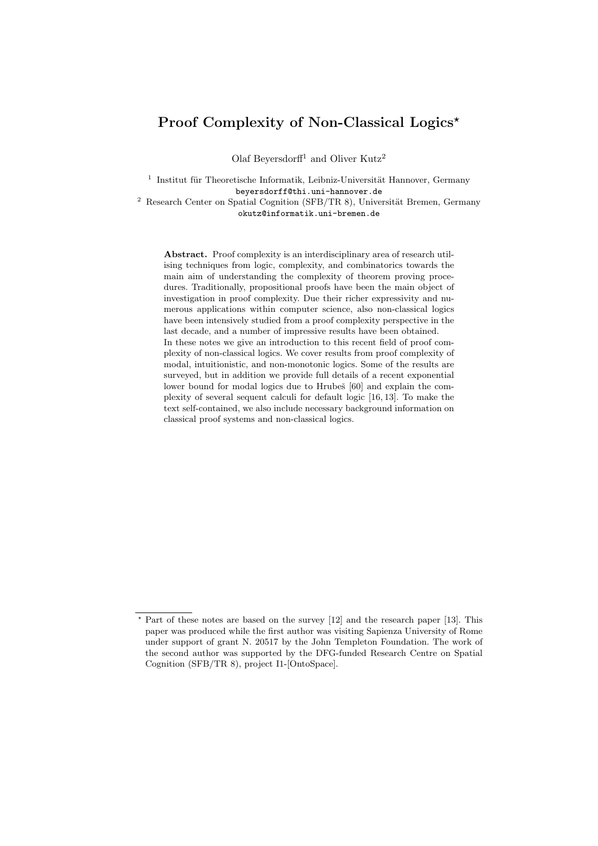## Proof Complexity of Non-Classical Logics\*

Olaf Beyersdorff<sup>1</sup> and Oliver Kutz<sup>2</sup>

<sup>1</sup> Institut für Theoretische Informatik, Leibniz-Universität Hannover, Germany beyersdorff@thi.uni-hannover.de

 $2$  Research Center on Spatial Cognition (SFB/TR 8), Universität Bremen, Germany okutz@informatik.uni-bremen.de

Abstract. Proof complexity is an interdisciplinary area of research utilising techniques from logic, complexity, and combinatorics towards the main aim of understanding the complexity of theorem proving procedures. Traditionally, propositional proofs have been the main object of investigation in proof complexity. Due their richer expressivity and numerous applications within computer science, also non-classical logics have been intensively studied from a proof complexity perspective in the last decade, and a number of impressive results have been obtained. In these notes we give an introduction to this recent field of proof complexity of non-classical logics. We cover results from proof complexity of modal, intuitionistic, and non-monotonic logics. Some of the results are surveyed, but in addition we provide full details of a recent exponential

lower bound for modal logics due to Hrubeš [60] and explain the complexity of several sequent calculi for default logic [16, 13]. To make the text self-contained, we also include necessary background information on classical proof systems and non-classical logics.

<sup>?</sup> Part of these notes are based on the survey [12] and the research paper [13]. This paper was produced while the first author was visiting Sapienza University of Rome under support of grant N. 20517 by the John Templeton Foundation. The work of the second author was supported by the DFG-funded Research Centre on Spatial Cognition (SFB/TR 8), project I1-[OntoSpace].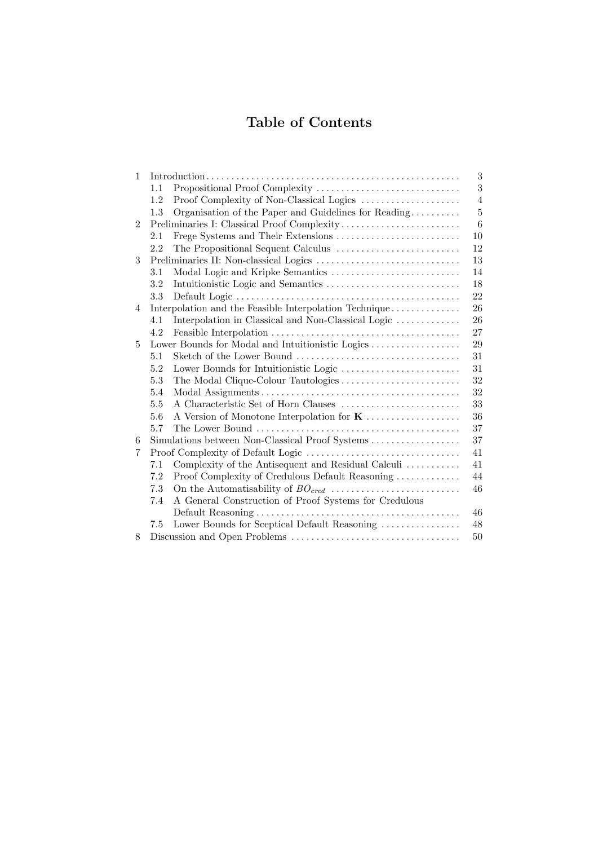# Table of Contents

| $\mathbf{1}$ | 3                                                |                                                                           |                |  |  |
|--------------|--------------------------------------------------|---------------------------------------------------------------------------|----------------|--|--|
|              | 1.1                                              |                                                                           |                |  |  |
|              | 1.2                                              | Proof Complexity of Non-Classical Logics                                  |                |  |  |
|              | 1.3                                              | Organisation of the Paper and Guidelines for Reading                      | $\overline{5}$ |  |  |
| 2            |                                                  |                                                                           |                |  |  |
|              | 2.1                                              |                                                                           | 10             |  |  |
|              | 2.2                                              |                                                                           | 12             |  |  |
| 3            |                                                  |                                                                           |                |  |  |
|              | 3.1                                              |                                                                           | 14             |  |  |
|              | 3.2                                              |                                                                           | 18             |  |  |
|              | 3.3                                              |                                                                           | 22             |  |  |
| 4            | 26                                               |                                                                           |                |  |  |
|              | 4.1                                              | Interpolation in Classical and Non-Classical Logic                        | 26             |  |  |
|              | 4.2                                              |                                                                           | 27             |  |  |
| 5            | Lower Bounds for Modal and Intuitionistic Logics |                                                                           |                |  |  |
|              | 5.1                                              |                                                                           | 31             |  |  |
|              | 5.2                                              |                                                                           | 31             |  |  |
|              | 5.3                                              | The Modal Clique-Colour Tautologies                                       | 32             |  |  |
|              | 5.4                                              |                                                                           | 32             |  |  |
|              | 5.5                                              |                                                                           | 33             |  |  |
|              | 5.6                                              | A Version of Monotone Interpolation for $\mathbf K$                       | 36             |  |  |
|              | 5.7                                              |                                                                           | 37             |  |  |
| 6            | Simulations between Non-Classical Proof Systems  |                                                                           |                |  |  |
| 7            |                                                  |                                                                           | 41             |  |  |
|              | 7.1                                              | Complexity of the Antisequent and Residual Calculi $\ldots \ldots \ldots$ | 41             |  |  |
|              | 7.2                                              | Proof Complexity of Credulous Default Reasoning                           | 44             |  |  |
|              | 7.3                                              |                                                                           | 46             |  |  |
|              | 7.4                                              | A General Construction of Proof Systems for Credulous                     |                |  |  |
|              |                                                  |                                                                           | 46             |  |  |
|              | 7.5                                              | Lower Bounds for Sceptical Default Reasoning                              | 48             |  |  |
| 8            |                                                  | 50                                                                        |                |  |  |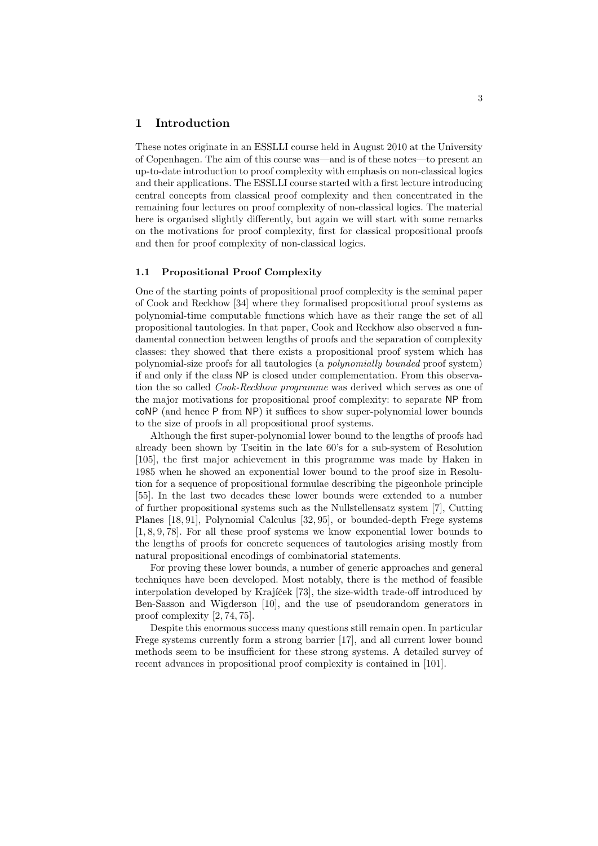## 1 Introduction

These notes originate in an ESSLLI course held in August 2010 at the University of Copenhagen. The aim of this course was—and is of these notes—to present an up-to-date introduction to proof complexity with emphasis on non-classical logics and their applications. The ESSLLI course started with a first lecture introducing central concepts from classical proof complexity and then concentrated in the remaining four lectures on proof complexity of non-classical logics. The material here is organised slightly differently, but again we will start with some remarks on the motivations for proof complexity, first for classical propositional proofs and then for proof complexity of non-classical logics.

#### 1.1 Propositional Proof Complexity

One of the starting points of propositional proof complexity is the seminal paper of Cook and Reckhow [34] where they formalised propositional proof systems as polynomial-time computable functions which have as their range the set of all propositional tautologies. In that paper, Cook and Reckhow also observed a fundamental connection between lengths of proofs and the separation of complexity classes: they showed that there exists a propositional proof system which has polynomial-size proofs for all tautologies (a polynomially bounded proof system) if and only if the class NP is closed under complementation. From this observation the so called Cook-Reckhow programme was derived which serves as one of the major motivations for propositional proof complexity: to separate NP from coNP (and hence P from NP) it suffices to show super-polynomial lower bounds to the size of proofs in all propositional proof systems.

Although the first super-polynomial lower bound to the lengths of proofs had already been shown by Tseitin in the late 60's for a sub-system of Resolution [105], the first major achievement in this programme was made by Haken in 1985 when he showed an exponential lower bound to the proof size in Resolution for a sequence of propositional formulae describing the pigeonhole principle [55]. In the last two decades these lower bounds were extended to a number of further propositional systems such as the Nullstellensatz system [7], Cutting Planes [18, 91], Polynomial Calculus [32, 95], or bounded-depth Frege systems [1, 8, 9, 78]. For all these proof systems we know exponential lower bounds to the lengths of proofs for concrete sequences of tautologies arising mostly from natural propositional encodings of combinatorial statements.

For proving these lower bounds, a number of generic approaches and general techniques have been developed. Most notably, there is the method of feasible interpolation developed by Krajíček  $[73]$ , the size-width trade-off introduced by Ben-Sasson and Wigderson [10], and the use of pseudorandom generators in proof complexity [2, 74, 75].

Despite this enormous success many questions still remain open. In particular Frege systems currently form a strong barrier [17], and all current lower bound methods seem to be insufficient for these strong systems. A detailed survey of recent advances in propositional proof complexity is contained in [101].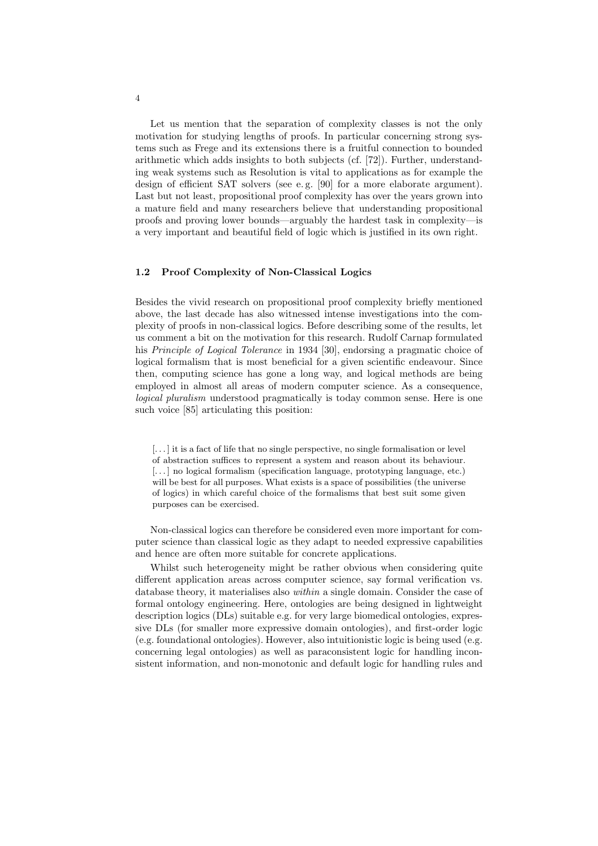Let us mention that the separation of complexity classes is not the only motivation for studying lengths of proofs. In particular concerning strong systems such as Frege and its extensions there is a fruitful connection to bounded arithmetic which adds insights to both subjects (cf. [72]). Further, understanding weak systems such as Resolution is vital to applications as for example the design of efficient SAT solvers (see e.g. [90] for a more elaborate argument). Last but not least, propositional proof complexity has over the years grown into a mature field and many researchers believe that understanding propositional proofs and proving lower bounds—arguably the hardest task in complexity—is a very important and beautiful field of logic which is justified in its own right.

#### 1.2 Proof Complexity of Non-Classical Logics

Besides the vivid research on propositional proof complexity briefly mentioned above, the last decade has also witnessed intense investigations into the complexity of proofs in non-classical logics. Before describing some of the results, let us comment a bit on the motivation for this research. Rudolf Carnap formulated his *Principle of Logical Tolerance* in 1934 [30], endorsing a pragmatic choice of logical formalism that is most beneficial for a given scientific endeavour. Since then, computing science has gone a long way, and logical methods are being employed in almost all areas of modern computer science. As a consequence, logical pluralism understood pragmatically is today common sense. Here is one such voice [85] articulating this position:

[. . . ] it is a fact of life that no single perspective, no single formalisation or level of abstraction suffices to represent a system and reason about its behaviour. [...] no logical formalism (specification language, prototyping language, etc.) will be best for all purposes. What exists is a space of possibilities (the universe of logics) in which careful choice of the formalisms that best suit some given purposes can be exercised.

Non-classical logics can therefore be considered even more important for computer science than classical logic as they adapt to needed expressive capabilities and hence are often more suitable for concrete applications.

Whilst such heterogeneity might be rather obvious when considering quite different application areas across computer science, say formal verification vs. database theory, it materialises also within a single domain. Consider the case of formal ontology engineering. Here, ontologies are being designed in lightweight description logics (DLs) suitable e.g. for very large biomedical ontologies, expressive DLs (for smaller more expressive domain ontologies), and first-order logic (e.g. foundational ontologies). However, also intuitionistic logic is being used (e.g. concerning legal ontologies) as well as paraconsistent logic for handling inconsistent information, and non-monotonic and default logic for handling rules and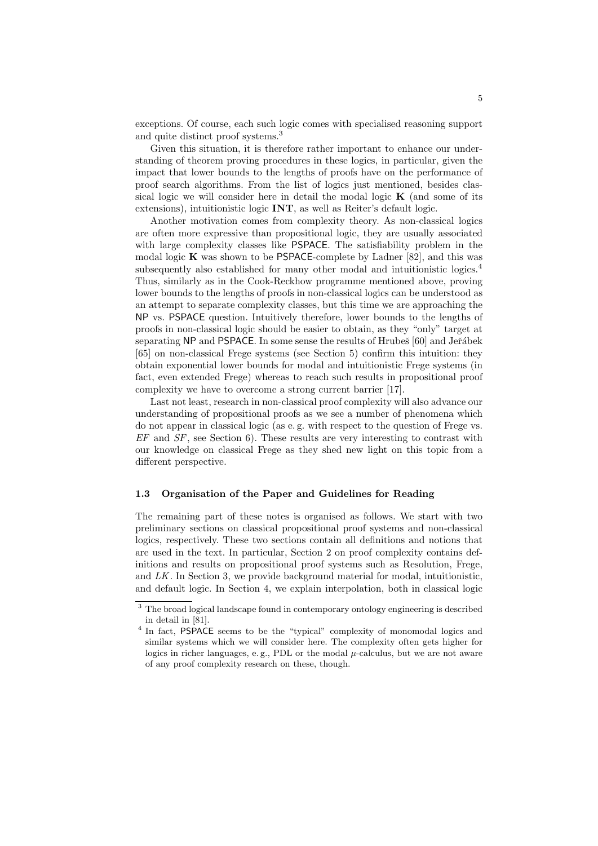exceptions. Of course, each such logic comes with specialised reasoning support and quite distinct proof systems.<sup>3</sup>

Given this situation, it is therefore rather important to enhance our understanding of theorem proving procedures in these logics, in particular, given the impact that lower bounds to the lengths of proofs have on the performance of proof search algorithms. From the list of logics just mentioned, besides classical logic we will consider here in detail the modal logic  $\bf{K}$  (and some of its extensions), intuitionistic logic INT, as well as Reiter's default logic.

Another motivation comes from complexity theory. As non-classical logics are often more expressive than propositional logic, they are usually associated with large complexity classes like PSPACE. The satisfiability problem in the modal logic  $K$  was shown to be PSPACE-complete by Ladner [82], and this was subsequently also established for many other modal and intuitionistic logics.<sup>4</sup> Thus, similarly as in the Cook-Reckhow programme mentioned above, proving lower bounds to the lengths of proofs in non-classical logics can be understood as an attempt to separate complexity classes, but this time we are approaching the NP vs. PSPACE question. Intuitively therefore, lower bounds to the lengths of proofs in non-classical logic should be easier to obtain, as they "only" target at separating NP and PSPACE. In some sense the results of Hrubes [60] and Jeřábek [65] on non-classical Frege systems (see Section 5) confirm this intuition: they obtain exponential lower bounds for modal and intuitionistic Frege systems (in fact, even extended Frege) whereas to reach such results in propositional proof complexity we have to overcome a strong current barrier [17].

Last not least, research in non-classical proof complexity will also advance our understanding of propositional proofs as we see a number of phenomena which do not appear in classical logic (as e. g. with respect to the question of Frege vs.  $EF$  and  $SF$ , see Section 6). These results are very interesting to contrast with our knowledge on classical Frege as they shed new light on this topic from a different perspective.

## 1.3 Organisation of the Paper and Guidelines for Reading

The remaining part of these notes is organised as follows. We start with two preliminary sections on classical propositional proof systems and non-classical logics, respectively. These two sections contain all definitions and notions that are used in the text. In particular, Section 2 on proof complexity contains definitions and results on propositional proof systems such as Resolution, Frege, and LK. In Section 3, we provide background material for modal, intuitionistic, and default logic. In Section 4, we explain interpolation, both in classical logic

 $\frac{3}{3}$  The broad logical landscape found in contemporary ontology engineering is described in detail in [81].

<sup>&</sup>lt;sup>4</sup> In fact, PSPACE seems to be the "typical" complexity of monomodal logics and similar systems which we will consider here. The complexity often gets higher for logics in richer languages, e.g., PDL or the modal  $\mu$ -calculus, but we are not aware of any proof complexity research on these, though.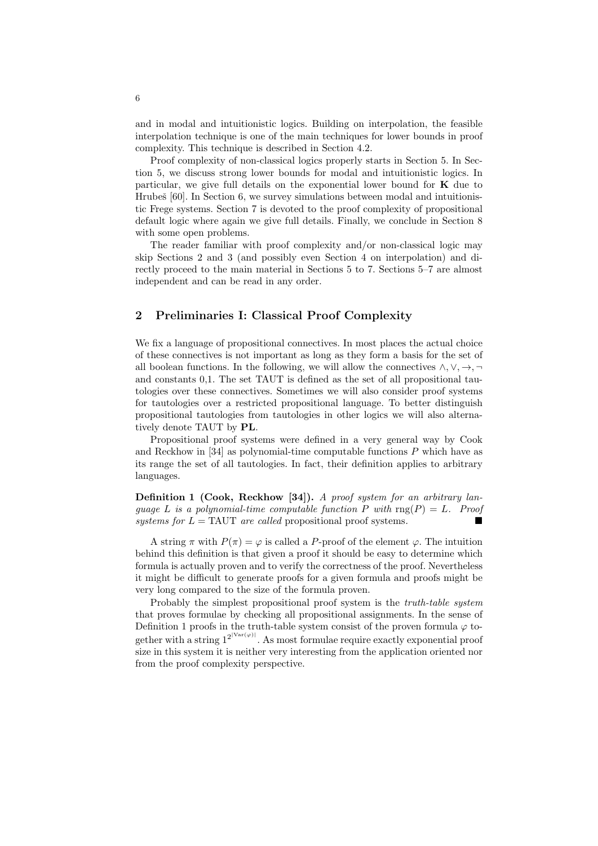and in modal and intuitionistic logics. Building on interpolation, the feasible interpolation technique is one of the main techniques for lower bounds in proof complexity. This technique is described in Section 4.2.

Proof complexity of non-classical logics properly starts in Section 5. In Section 5, we discuss strong lower bounds for modal and intuitionistic logics. In particular, we give full details on the exponential lower bound for  $\bf{K}$  due to Hrubes  $[60]$ . In Section 6, we survey simulations between modal and intuitionistic Frege systems. Section 7 is devoted to the proof complexity of propositional default logic where again we give full details. Finally, we conclude in Section 8 with some open problems.

The reader familiar with proof complexity and/or non-classical logic may skip Sections 2 and 3 (and possibly even Section 4 on interpolation) and directly proceed to the main material in Sections 5 to 7. Sections 5–7 are almost independent and can be read in any order.

## 2 Preliminaries I: Classical Proof Complexity

We fix a language of propositional connectives. In most places the actual choice of these connectives is not important as long as they form a basis for the set of all boolean functions. In the following, we will allow the connectives  $\wedge, \vee, \rightarrow, \neg$ and constants 0,1. The set TAUT is defined as the set of all propositional tautologies over these connectives. Sometimes we will also consider proof systems for tautologies over a restricted propositional language. To better distinguish propositional tautologies from tautologies in other logics we will also alternatively denote TAUT by PL.

Propositional proof systems were defined in a very general way by Cook and Reckhow in [34] as polynomial-time computable functions P which have as its range the set of all tautologies. In fact, their definition applies to arbitrary languages.

Definition 1 (Cook, Reckhow [34]). A proof system for an arbitrary lanquage L is a polynomial-time computable function P with  $\text{rng}(P) = L$ . Proof systems for  $L = TAUT$  are called propositional proof systems.

A string  $\pi$  with  $P(\pi) = \varphi$  is called a P-proof of the element  $\varphi$ . The intuition behind this definition is that given a proof it should be easy to determine which formula is actually proven and to verify the correctness of the proof. Nevertheless it might be difficult to generate proofs for a given formula and proofs might be very long compared to the size of the formula proven.

Probably the simplest propositional proof system is the truth-table system that proves formulae by checking all propositional assignments. In the sense of Definition 1 proofs in the truth-table system consist of the proven formula  $\varphi$  together with a string  $1^{2^{|Var(\varphi)|}}$ . As most formulae require exactly exponential proof size in this system it is neither very interesting from the application oriented nor from the proof complexity perspective.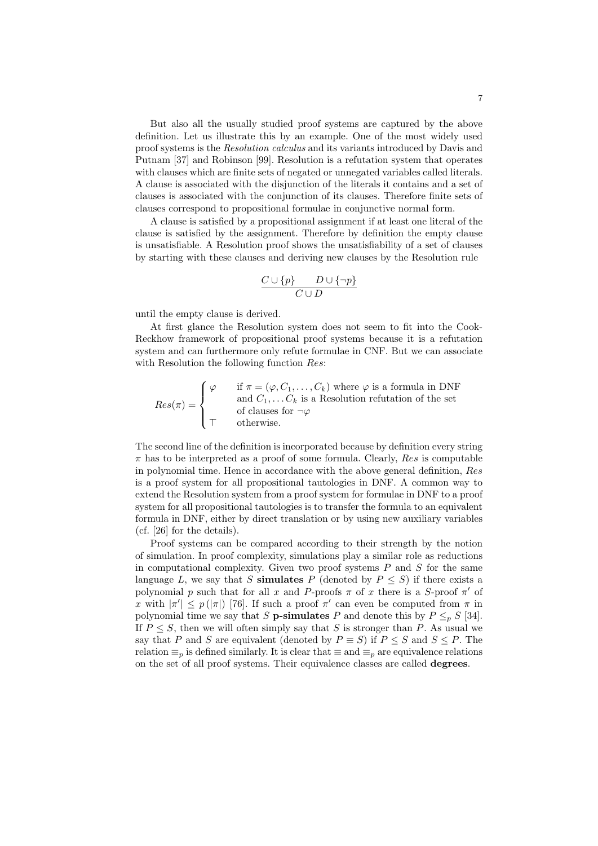But also all the usually studied proof systems are captured by the above definition. Let us illustrate this by an example. One of the most widely used proof systems is the Resolution calculus and its variants introduced by Davis and Putnam [37] and Robinson [99]. Resolution is a refutation system that operates with clauses which are finite sets of negated or unnegated variables called literals. A clause is associated with the disjunction of the literals it contains and a set of clauses is associated with the conjunction of its clauses. Therefore finite sets of clauses correspond to propositional formulae in conjunctive normal form.

A clause is satisfied by a propositional assignment if at least one literal of the clause is satisfied by the assignment. Therefore by definition the empty clause is unsatisfiable. A Resolution proof shows the unsatisfiability of a set of clauses by starting with these clauses and deriving new clauses by the Resolution rule

$$
\frac{C \cup \{p\}}{C \cup D} \qquad D \cup \{\neg p\}
$$

until the empty clause is derived.

At first glance the Resolution system does not seem to fit into the Cook-Reckhow framework of propositional proof systems because it is a refutation system and can furthermore only refute formulae in CNF. But we can associate with Resolution the following function Res:

$$
Res(\pi) = \begin{cases} \varphi & \text{if } \pi = (\varphi, C_1, \dots, C_k) \text{ where } \varphi \text{ is a formula in DNF} \\ & \text{and } C_1, \dots C_k \text{ is a Resolution refutation of the set} \\ \tau & \text{otherwise.} \end{cases}
$$

The second line of the definition is incorporated because by definition every string  $\pi$  has to be interpreted as a proof of some formula. Clearly, Res is computable in polynomial time. Hence in accordance with the above general definition, Res is a proof system for all propositional tautologies in DNF. A common way to extend the Resolution system from a proof system for formulae in DNF to a proof system for all propositional tautologies is to transfer the formula to an equivalent formula in DNF, either by direct translation or by using new auxiliary variables (cf. [26] for the details).

Proof systems can be compared according to their strength by the notion of simulation. In proof complexity, simulations play a similar role as reductions in computational complexity. Given two proof systems  $P$  and  $S$  for the same language L, we say that S simulates P (denoted by  $P \leq S$ ) if there exists a polynomial p such that for all x and P-proofs  $\pi$  of x there is a S-proof  $\pi'$  of x with  $|\pi'| \le p(|\pi|)$  [76]. If such a proof  $\pi'$  can even be computed from  $\pi$  in polynomial time we say that S **p-simulates** P and denote this by  $P \leq_{p} S$  [34]. If  $P \leq S$ , then we will often simply say that S is stronger than P. As usual we say that P and S are equivalent (denoted by  $P \equiv S$ ) if  $P \leq S$  and  $S \leq P$ . The relation  $\equiv_p$  is defined similarly. It is clear that  $\equiv$  and  $\equiv_p$  are equivalence relations on the set of all proof systems. Their equivalence classes are called degrees.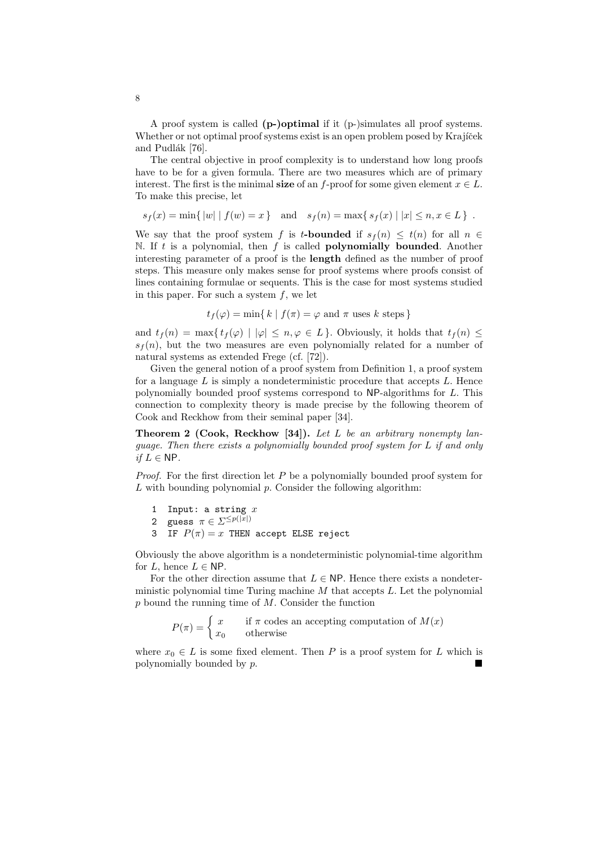A proof system is called (p-)optimal if it (p-)simulates all proof systems. Whether or not optimal proof systems exist is an open problem posed by Krajíček and Pudlák [76].

The central objective in proof complexity is to understand how long proofs have to be for a given formula. There are two measures which are of primary interest. The first is the minimal **size** of an f-proof for some given element  $x \in L$ . To make this precise, let

$$
s_f(x) = \min\{|w| | f(w) = x\}
$$
 and  $s_f(n) = \max\{s_f(x) | |x| \le n, x \in L\}$ .

We say that the proof system f is t-bounded if  $s_f(n) \leq t(n)$  for all  $n \in$ N. If  $t$  is a polynomial, then  $f$  is called **polynomially bounded**. Another interesting parameter of a proof is the length defined as the number of proof steps. This measure only makes sense for proof systems where proofs consist of lines containing formulae or sequents. This is the case for most systems studied in this paper. For such a system  $f$ , we let

$$
t_f(\varphi) = \min\{ k \mid f(\pi) = \varphi \text{ and } \pi \text{ uses } k \text{ steps } \}
$$

and  $t_f(n) = \max\{t_f(\varphi) \mid |\varphi| \leq n, \varphi \in L\}$ . Obviously, it holds that  $t_f(n) \leq$  $s_f(n)$ , but the two measures are even polynomially related for a number of natural systems as extended Frege (cf. [72]).

Given the general notion of a proof system from Definition 1, a proof system for a language  $L$  is simply a nondeterministic procedure that accepts  $L$ . Hence polynomially bounded proof systems correspond to NP-algorithms for L. This connection to complexity theory is made precise by the following theorem of Cook and Reckhow from their seminal paper [34].

Theorem 2 (Cook, Reckhow [34]). Let L be an arbitrary nonempty language. Then there exists a polynomially bounded proof system for L if and only if  $L \in \mathsf{NP}$ .

*Proof.* For the first direction let P be a polynomially bounded proof system for  $L$  with bounding polynomial  $p$ . Consider the following algorithm:

- 1 Input: a string  $x$
- 2 guess  $\pi \in \Sigma^{\leq p(|x|)}$
- 3 IF  $P(\pi) = x$  THEN accept ELSE reject

Obviously the above algorithm is a nondeterministic polynomial-time algorithm for L, hence  $L \in \mathsf{NP}$ .

For the other direction assume that  $L \in \mathsf{NP}$ . Hence there exists a nondeterministic polynomial time Turing machine  $M$  that accepts  $L$ . Let the polynomial  $p$  bound the running time of  $M$ . Consider the function

$$
P(\pi) = \begin{cases} x & \text{if } \pi \text{ codes an accepting computation of } M(x) \\ x_0 & \text{otherwise} \end{cases}
$$

where  $x_0 \in L$  is some fixed element. Then P is a proof system for L which is polynomially bounded by p.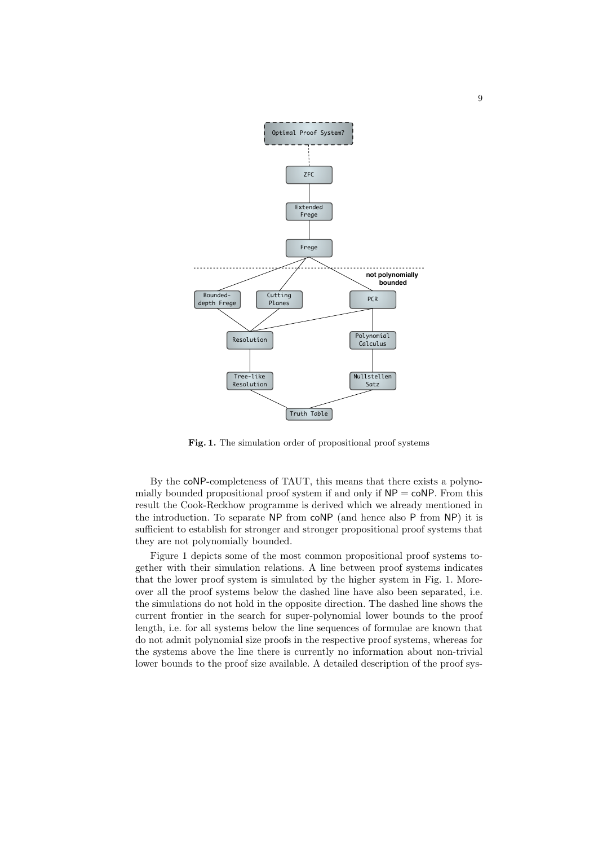

Fig. 1. The simulation order of propositional proof systems

By the coNP-completeness of TAUT, this means that there exists a polynomially bounded propositional proof system if and only if  $NP = \text{coNP}$ . From this result the Cook-Reckhow programme is derived which we already mentioned in the introduction. To separate NP from coNP (and hence also P from NP) it is sufficient to establish for stronger and stronger propositional proof systems that they are not polynomially bounded.

Figure 1 depicts some of the most common propositional proof systems together with their simulation relations. A line between proof systems indicates that the lower proof system is simulated by the higher system in Fig. 1. Moreover all the proof systems below the dashed line have also been separated, i.e. the simulations do not hold in the opposite direction. The dashed line shows the current frontier in the search for super-polynomial lower bounds to the proof length, i.e. for all systems below the line sequences of formulae are known that do not admit polynomial size proofs in the respective proof systems, whereas for the systems above the line there is currently no information about non-trivial lower bounds to the proof size available. A detailed description of the proof sys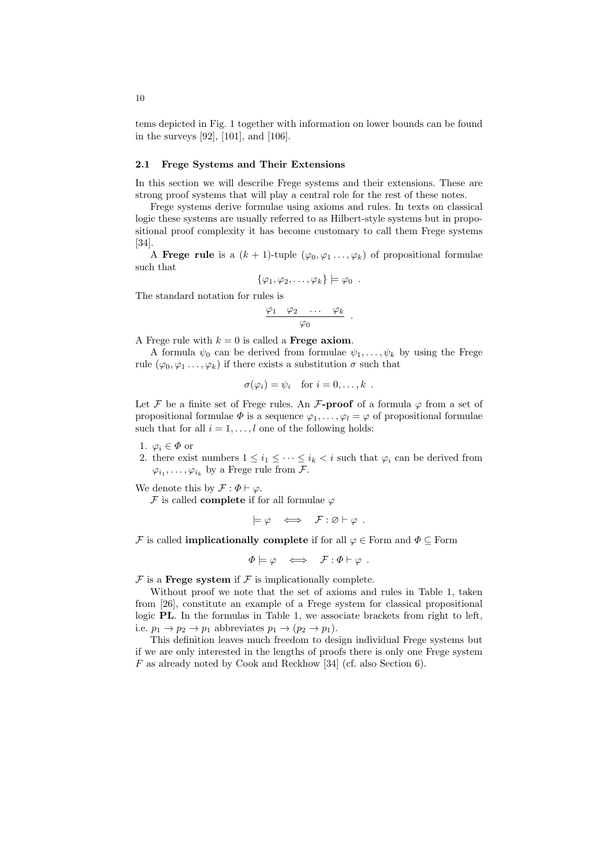tems depicted in Fig. 1 together with information on lower bounds can be found in the surveys [92], [101], and [106].

#### 2.1 Frege Systems and Their Extensions

In this section we will describe Frege systems and their extensions. These are strong proof systems that will play a central role for the rest of these notes.

Frege systems derive formulae using axioms and rules. In texts on classical logic these systems are usually referred to as Hilbert-style systems but in propositional proof complexity it has become customary to call them Frege systems [34].

A Frege rule is a  $(k + 1)$ -tuple  $(\varphi_0, \varphi_1, \ldots, \varphi_k)$  of propositional formulae such that

$$
\{\varphi_1,\varphi_2,\ldots,\varphi_k\}\models \varphi_0\enspace.
$$

The standard notation for rules is

$$
\frac{\varphi_1 \quad \varphi_2 \quad \dots \quad \varphi_k}{\varphi_0}
$$

.

A Frege rule with  $k = 0$  is called a **Frege axiom**.

A formula  $\psi_0$  can be derived from formulae  $\psi_1, \ldots, \psi_k$  by using the Frege rule  $(\varphi_0, \varphi_1, \ldots, \varphi_k)$  if there exists a substitution  $\sigma$  such that

$$
\sigma(\varphi_i) = \psi_i \quad \text{for } i = 0, \dots, k \ .
$$

Let F be a finite set of Frege rules. An F-proof of a formula  $\varphi$  from a set of propositional formulae  $\Phi$  is a sequence  $\varphi_1, \ldots, \varphi_l = \varphi$  of propositional formulae such that for all  $i = 1, \ldots, l$  one of the following holds:

- 1.  $\varphi_i \in \Phi$  or
- 2. there exist numbers  $1 \leq i_1 \leq \cdots \leq i_k < i$  such that  $\varphi_i$  can be derived from  $\varphi_{i_1}, \ldots, \varphi_{i_k}$  by a Frege rule from  $\mathcal{F}$ .

We denote this by  $\mathcal{F} : \Phi \vdash \varphi$ .

 $\mathcal F$  is called **complete** if for all formulae  $\varphi$ 

$$
\models \varphi \iff \mathcal{F} : \varnothing \vdash \varphi \ .
$$

F is called **implicationally complete** if for all  $\varphi \in$  Form and  $\Phi \subseteq$  Form

$$
\Phi \models \varphi \iff \mathcal{F} : \Phi \vdash \varphi \ .
$$

 $\mathcal F$  is a **Frege system** if  $\mathcal F$  is implicationally complete.

Without proof we note that the set of axioms and rules in Table 1, taken from [26], constitute an example of a Frege system for classical propositional logic PL. In the formulas in Table 1, we associate brackets from right to left, i.e.  $p_1 \rightarrow p_2 \rightarrow p_1$  abbreviates  $p_1 \rightarrow (p_2 \rightarrow p_1)$ .

This definition leaves much freedom to design individual Frege systems but if we are only interested in the lengths of proofs there is only one Frege system F as already noted by Cook and Reckhow [34] (cf. also Section 6).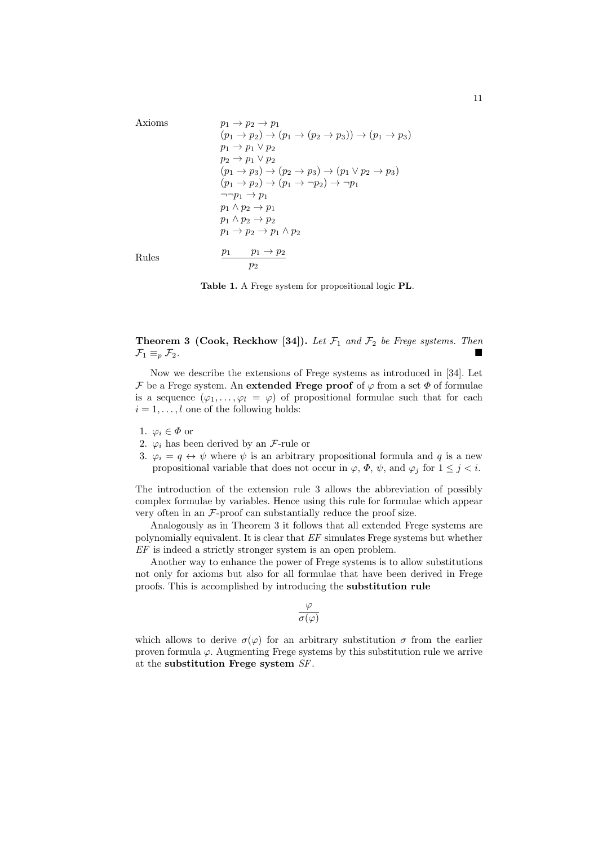Axioms

Axioms  
\n
$$
p_1 \rightarrow p_2 \rightarrow p_1
$$
\n
$$
(p_1 \rightarrow p_2) \rightarrow (p_1 \rightarrow (p_2 \rightarrow p_3)) \rightarrow (p_1 \rightarrow p_3)
$$
\n
$$
p_1 \rightarrow p_1 \lor p_2
$$
\n
$$
p_2 \rightarrow p_1 \lor p_2
$$
\n
$$
(p_1 \rightarrow p_3) \rightarrow (p_2 \rightarrow p_3) \rightarrow (p_1 \lor p_2 \rightarrow p_3)
$$
\n
$$
(p_1 \rightarrow p_2) \rightarrow (p_1 \rightarrow \neg p_2) \rightarrow \neg p_1
$$
\n
$$
\neg \neg p_1 \rightarrow p_1
$$
\n
$$
p_1 \land p_2 \rightarrow p_1
$$
\n
$$
p_1 \land p_2 \rightarrow p_2
$$
\n
$$
p_1 \rightarrow p_2 \rightarrow p_1 \land p_2
$$
\nRules

\n
$$
\frac{p_1}{p_2}
$$

Table 1. A Frege system for propositional logic PL.

**Theorem 3 (Cook, Reckhow [34]).** Let  $\mathcal{F}_1$  and  $\mathcal{F}_2$  be Frege systems. Then  $\mathcal{F}_1 \equiv_p \mathcal{F}_2$ .  $\mathcal{F}_1 \equiv_p \mathcal{F}_2.$ 

Now we describe the extensions of Frege systems as introduced in [34]. Let F be a Frege system. An **extended Frege proof** of  $\varphi$  from a set  $\Phi$  of formulae is a sequence  $(\varphi_1,\ldots,\varphi_l = \varphi)$  of propositional formulae such that for each  $i = 1, \ldots, l$  one of the following holds:

- 1.  $\varphi_i \in \Phi$  or
- 2.  $\varphi_i$  has been derived by an *F*-rule or
- 3.  $\varphi_i = q \leftrightarrow \psi$  where  $\psi$  is an arbitrary propositional formula and q is a new propositional variable that does not occur in  $\varphi$ ,  $\Phi$ ,  $\psi$ , and  $\varphi_j$  for  $1 \leq j < i$ .

The introduction of the extension rule 3 allows the abbreviation of possibly complex formulae by variables. Hence using this rule for formulae which appear very often in an  $\mathcal F$ -proof can substantially reduce the proof size.

Analogously as in Theorem 3 it follows that all extended Frege systems are polynomially equivalent. It is clear that EF simulates Frege systems but whether EF is indeed a strictly stronger system is an open problem.

Another way to enhance the power of Frege systems is to allow substitutions not only for axioms but also for all formulae that have been derived in Frege proofs. This is accomplished by introducing the substitution rule

$$
\frac{\varphi}{\sigma(\varphi)}
$$

which allows to derive  $\sigma(\varphi)$  for an arbitrary substitution  $\sigma$  from the earlier proven formula  $\varphi$ . Augmenting Frege systems by this substitution rule we arrive at the substitution Frege system SF.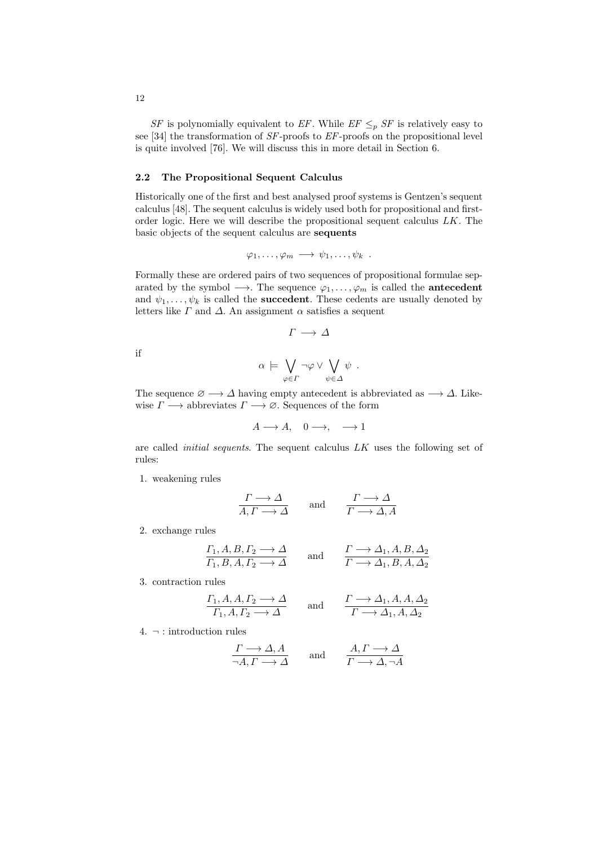#### 2.2 The Propositional Sequent Calculus

Historically one of the first and best analysed proof systems is Gentzen's sequent calculus [48]. The sequent calculus is widely used both for propositional and firstorder logic. Here we will describe the propositional sequent calculus  $LK$ . The basic objects of the sequent calculus are sequents

$$
\varphi_1,\ldots,\varphi_m\longrightarrow\psi_1,\ldots,\psi_k\ .
$$

Formally these are ordered pairs of two sequences of propositional formulae separated by the symbol  $\longrightarrow$ . The sequence  $\varphi_1, \ldots, \varphi_m$  is called the **antecedent** and  $\psi_1, \ldots, \psi_k$  is called the **succedent**. These cedents are usually denoted by letters like  $\Gamma$  and  $\Delta$ . An assignment  $\alpha$  satisfies a sequent

 $\varGamma\,\longrightarrow\,\varDelta$ 

$$
\quad\text{if}\quad
$$

$$
\alpha \models \bigvee_{\varphi \in \varGamma} \neg \varphi \vee \bigvee_{\psi \in \varDelta} \psi \ .
$$

The sequence  $\varnothing \longrightarrow \varDelta$  having empty antecedent is abbreviated as  $\longrightarrow \varDelta$ . Likewise  $\Gamma \longrightarrow$  abbreviates  $\Gamma \longrightarrow \emptyset$ . Sequences of the form

$$
A \longrightarrow A, \quad 0 \longrightarrow, \quad \longrightarrow 1
$$

are called *initial sequents*. The sequent calculus  $LK$  uses the following set of rules:

1. weakening rules

$$
\frac{\Gamma \to \Delta}{A, \Gamma \to \Delta} \quad \text{and} \quad \frac{\Gamma \to \Delta}{\Gamma \to \Delta, A}
$$

2. exchange rules

$$
\frac{\Gamma_1, A, B, \Gamma_2 \longrightarrow \Delta}{\Gamma_1, B, A, \Gamma_2 \longrightarrow \Delta} \quad \text{and} \quad \frac{\Gamma \longrightarrow \Delta_1, A, B, \Delta_2}{\Gamma \longrightarrow \Delta_1, B, A, \Delta_2}
$$

3. contraction rules

$$
\frac{\Gamma_1, A, A, \Gamma_2 \longrightarrow \Delta}{\Gamma_1, A, \Gamma_2 \longrightarrow \Delta} \quad \text{and} \quad \frac{\Gamma \longrightarrow \Delta_1, A, A, \Delta_2}{\Gamma \longrightarrow \Delta_1, A, \Delta_2}
$$

 $4. \neg$ : introduction rules

$$
\frac{\Gamma \to \Delta, A}{\neg A, \Gamma \to \Delta} \quad \text{and} \quad \frac{A, \Gamma \to \Delta}{\Gamma \to \Delta, \neg A}
$$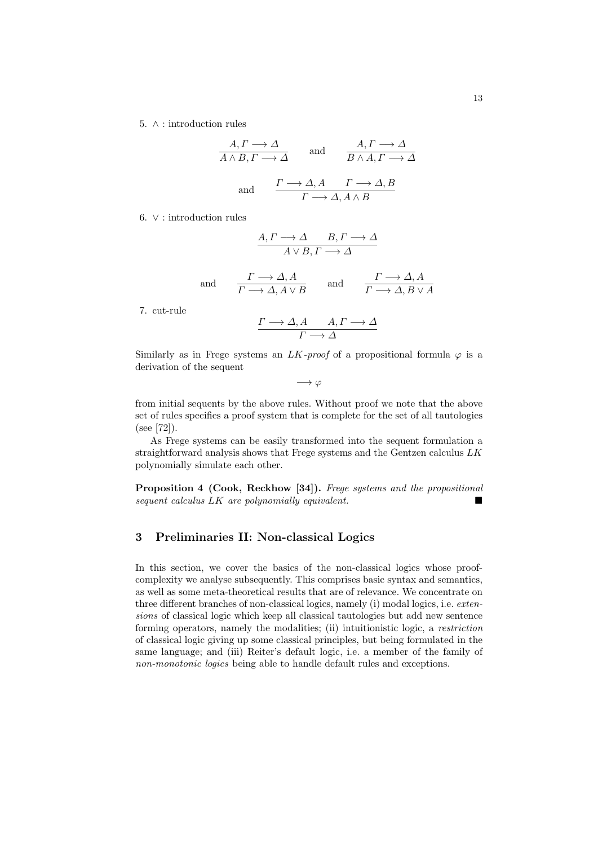5. ∧ : introduction rules

$$
\frac{A, \Gamma \longrightarrow \Delta}{A \land B, \Gamma \longrightarrow \Delta} \quad \text{and} \quad \frac{A, \Gamma \longrightarrow \Delta}{B \land A, \Gamma \longrightarrow \Delta}
$$
  
and 
$$
\frac{\Gamma \longrightarrow \Delta, A \quad \Gamma \longrightarrow \Delta, B}{\Gamma \longrightarrow \Delta, A \land B}
$$

6. ∨ : introduction rules

$$
\frac{A, \Gamma \longrightarrow \Delta \qquad B, \Gamma \longrightarrow \Delta}{A \lor B, \Gamma \longrightarrow \Delta}
$$

and 
$$
\frac{\Gamma \longrightarrow \Delta, A}{\Gamma \longrightarrow \Delta, A \vee B}
$$
 and  $\frac{\Gamma \longrightarrow \Delta, A}{\Gamma \longrightarrow \Delta, B \vee A}$ 

7. cut-rule

$$
\frac{\Gamma \longrightarrow \Delta, A \qquad A, \Gamma \longrightarrow \Delta}{\Gamma \longrightarrow \Delta}
$$

Similarly as in Frege systems an LK-proof of a propositional formula  $\varphi$  is a derivation of the sequent

$$
\longrightarrow \varphi
$$

from initial sequents by the above rules. Without proof we note that the above set of rules specifies a proof system that is complete for the set of all tautologies (see [72]).

As Frege systems can be easily transformed into the sequent formulation a straightforward analysis shows that Frege systems and the Gentzen calculus LK polynomially simulate each other.

Proposition 4 (Cook, Reckhow [34]). Frege systems and the propositional sequent calculus LK are polynomially equivalent.

## 3 Preliminaries II: Non-classical Logics

In this section, we cover the basics of the non-classical logics whose proofcomplexity we analyse subsequently. This comprises basic syntax and semantics, as well as some meta-theoretical results that are of relevance. We concentrate on three different branches of non-classical logics, namely (i) modal logics, i.e. extensions of classical logic which keep all classical tautologies but add new sentence forming operators, namely the modalities; (ii) intuitionistic logic, a restriction of classical logic giving up some classical principles, but being formulated in the same language; and (iii) Reiter's default logic, i.e. a member of the family of non-monotonic logics being able to handle default rules and exceptions.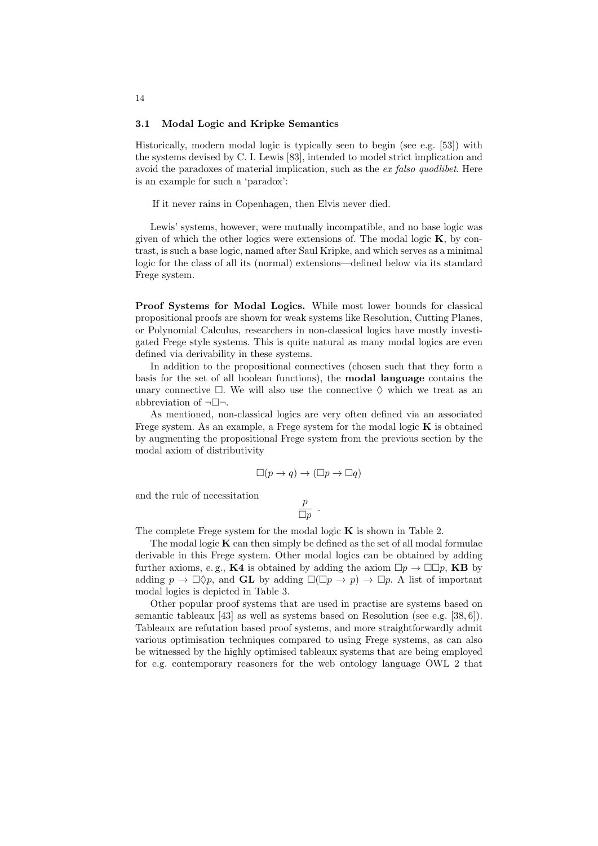#### 3.1 Modal Logic and Kripke Semantics

Historically, modern modal logic is typically seen to begin (see e.g. [53]) with the systems devised by C. I. Lewis [83], intended to model strict implication and avoid the paradoxes of material implication, such as the ex falso quodlibet. Here is an example for such a 'paradox':

If it never rains in Copenhagen, then Elvis never died.

Lewis' systems, however, were mutually incompatible, and no base logic was given of which the other logics were extensions of. The modal logic  $K$ , by contrast, is such a base logic, named after Saul Kripke, and which serves as a minimal logic for the class of all its (normal) extensions—defined below via its standard Frege system.

Proof Systems for Modal Logics. While most lower bounds for classical propositional proofs are shown for weak systems like Resolution, Cutting Planes, or Polynomial Calculus, researchers in non-classical logics have mostly investigated Frege style systems. This is quite natural as many modal logics are even defined via derivability in these systems.

In addition to the propositional connectives (chosen such that they form a basis for the set of all boolean functions), the modal language contains the unary connective  $\Box$ . We will also use the connective  $\Diamond$  which we treat as an abbreviation of  $\neg \Box \neg$ .

As mentioned, non-classical logics are very often defined via an associated Frege system. As an example, a Frege system for the modal logic  $K$  is obtained by augmenting the propositional Frege system from the previous section by the modal axiom of distributivity

$$
\Box(p \to q) \to (\Box p \to \Box q)
$$

and the rule of necessitation

$$
\frac{p}{\Box p} \ .
$$

The complete Frege system for the modal logic  $\bf{K}$  is shown in Table 2.

The modal logic  $K$  can then simply be defined as the set of all modal formulae derivable in this Frege system. Other modal logics can be obtained by adding further axioms, e.g., **K4** is obtained by adding the axiom  $\Box p \rightarrow \Box \Box p$ , **KB** by adding  $p \to \Box \Diamond p$ , and **GL** by adding  $\Box(\Box p \to p) \to \Box p$ . A list of important modal logics is depicted in Table 3.

Other popular proof systems that are used in practise are systems based on semantic tableaux [43] as well as systems based on Resolution (see e.g. [38, 6]). Tableaux are refutation based proof systems, and more straightforwardly admit various optimisation techniques compared to using Frege systems, as can also be witnessed by the highly optimised tableaux systems that are being employed for e.g. contemporary reasoners for the web ontology language OWL 2 that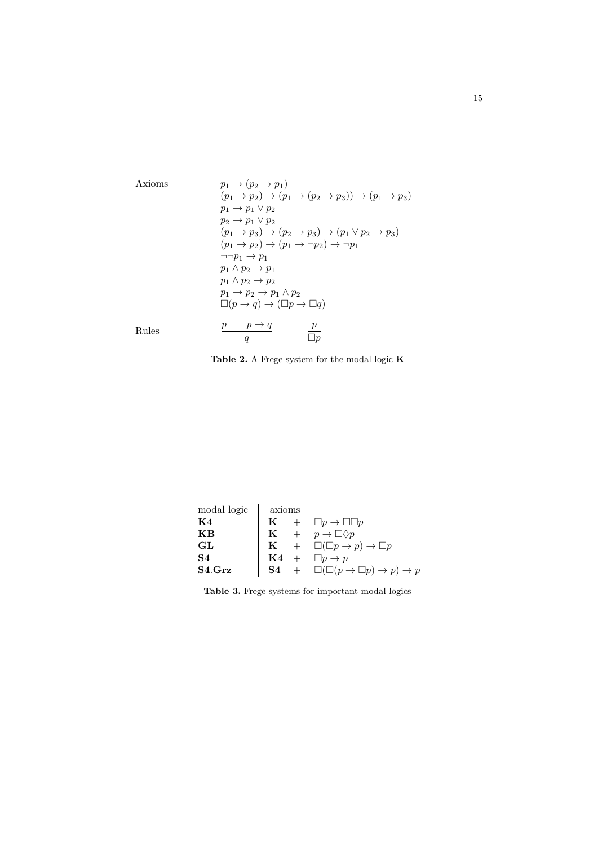Axioms  
\n
$$
p_1 \rightarrow (p_2 \rightarrow p_1)
$$
\n
$$
(p_1 \rightarrow p_2) \rightarrow (p_1 \rightarrow (p_2 \rightarrow p_3)) \rightarrow (p_1 \rightarrow p_3)
$$
\n
$$
p_1 \rightarrow p_1 \vee p_2
$$
\n
$$
p_2 \rightarrow p_1 \vee p_2
$$
\n
$$
(p_1 \rightarrow p_3) \rightarrow (p_2 \rightarrow p_3) \rightarrow (p_1 \vee p_2 \rightarrow p_3)
$$
\n
$$
(p_1 \rightarrow p_2) \rightarrow (p_1 \rightarrow \neg p_2) \rightarrow \neg p_1
$$
\n
$$
\neg \neg p_1 \rightarrow p_1
$$
\n
$$
p_1 \wedge p_2 \rightarrow p_1
$$
\n
$$
p_1 \wedge p_2 \rightarrow p_2
$$
\n
$$
p_1 \rightarrow p_2 \rightarrow p_1 \wedge p_2
$$
\n
$$
\Box(p \rightarrow q) \rightarrow (\Box p \rightarrow \Box q)
$$
\nRules  
\n
$$
\frac{p \quad p \rightarrow q}{q} \qquad \frac{p}{\Box p}
$$

 $\mathop{\rm Rules}$ 

Table 2. A Frege system for the modal logic  ${\bf K}$ 

| modal logic | axioms |                                                                                     |
|-------------|--------|-------------------------------------------------------------------------------------|
| K4          |        | $\mathbf{K} + \Box p \rightarrow \Box \Box p$                                       |
| КB          |        | $\mathbf{K}$ + $p \rightarrow \Box \Diamond p$                                      |
| GL          |        | $\mathbf{K} \quad + \quad \Box(\Box p \to p) \to \Box p$                            |
| S4          |        | <b>K4</b> + $\Box p \rightarrow p$                                                  |
| S4.Grz      |        | <b>S4</b> + $\square(\square(p \rightarrow \square p) \rightarrow p) \rightarrow p$ |

Table 3. Frege systems for important modal logics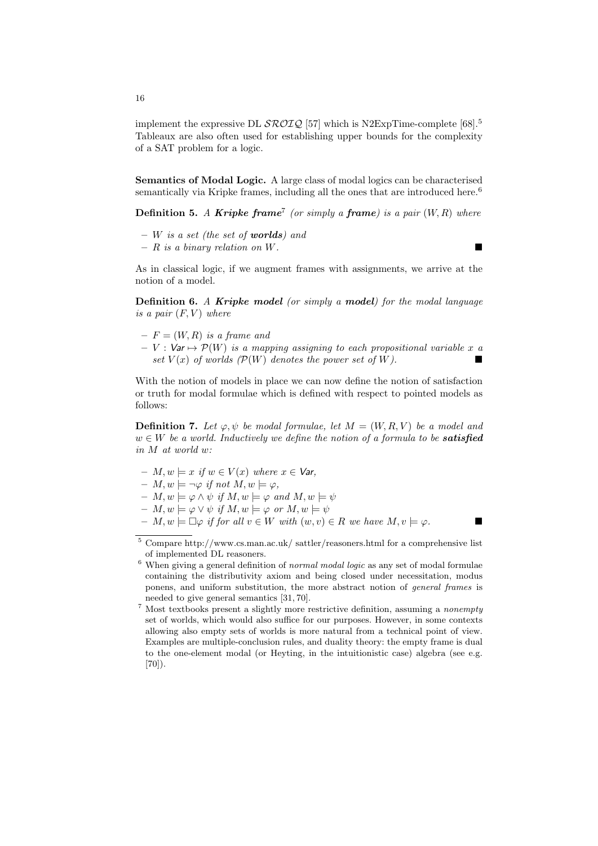implement the expressive DL  $\text{SROLQ}$  [57] which is N2ExpTime-complete [68].<sup>5</sup> Tableaux are also often used for establishing upper bounds for the complexity of a SAT problem for a logic.

Semantics of Modal Logic. A large class of modal logics can be characterised semantically via Kripke frames, including all the ones that are introduced here.<sup>6</sup>

**Definition 5.** A Kripke frame<sup>7</sup> (or simply a frame) is a pair  $(W, R)$  where

- $W$  is a set (the set of **worlds**) and
- $-$  R is a binary relation on W.

As in classical logic, if we augment frames with assignments, we arrive at the notion of a model.

Definition 6. A Kripke model (or simply a model) for the modal language is a pair  $(F, V)$  where

- $-F = (W, R)$  is a frame and
- V : Var  $\mapsto \mathcal{P}(W)$  is a mapping assigning to each propositional variable x a<br>set V(x) of worlds ( $\mathcal{P}(W)$  denotes the nower set of W) set  $V(x)$  of worlds  $(\mathcal{P}(W))$  denotes the power set of W).

With the notion of models in place we can now define the notion of satisfaction or truth for modal formulae which is defined with respect to pointed models as follows:

**Definition 7.** Let  $\varphi, \psi$  be modal formulae, let  $M = (W, R, V)$  be a model and  $w \in W$  be a world. Inductively we define the notion of a formula to be **satisfied** in M at world w:

- $M, w \models x \text{ if } w \in V(x) \text{ where } x \in \text{Var},$
- $M, w \models \neg \varphi \text{ if not } M, w \models \varphi,$
- $M, w \models \varphi \land \psi \text{ if } M, w \models \varphi \text{ and } M, w \models \psi$
- $M, w \models \varphi \lor \psi \text{ if } M, w \models \varphi \text{ or } M, w \models \psi$
- $M, w \models \Box \varphi$  if for all  $v \in W$  with  $(w, v) \in R$  we have  $M, v \models \varphi$ .

 $^5$  Compare http://www.cs.man.ac.uk/ sattler/reasoners.html for a comprehensive list of implemented DL reasoners.

 $6$  When giving a general definition of *normal modal logic* as any set of modal formulae containing the distributivity axiom and being closed under necessitation, modus ponens, and uniform substitution, the more abstract notion of general frames is needed to give general semantics [31, 70].

 $^7$  Most textbooks present a slightly more restrictive definition, assuming a  $\emph{nonempty}$ set of worlds, which would also suffice for our purposes. However, in some contexts allowing also empty sets of worlds is more natural from a technical point of view. Examples are multiple-conclusion rules, and duality theory: the empty frame is dual to the one-element modal (or Heyting, in the intuitionistic case) algebra (see e.g.  $[70]$ .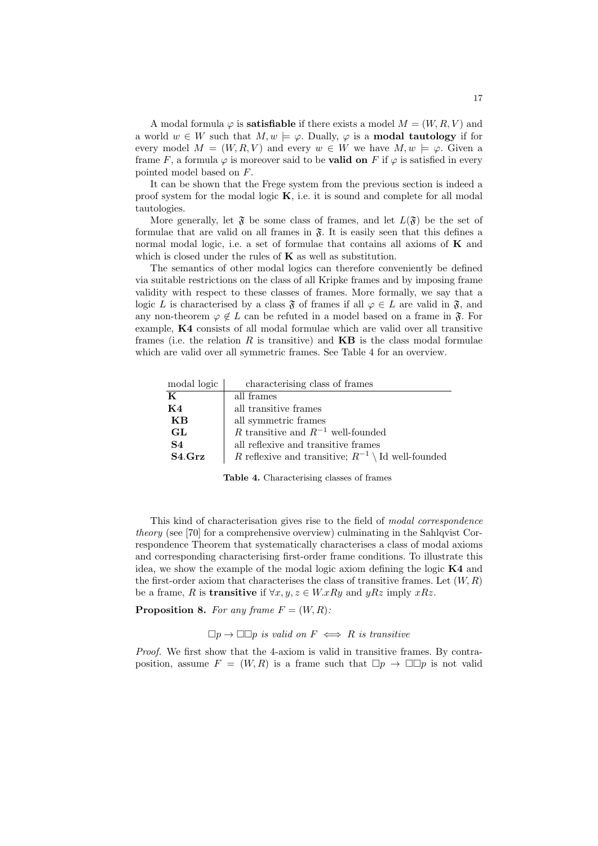A modal formula  $\varphi$  is **satisfiable** if there exists a model  $M = (W, R, V)$  and a world  $w \in W$  such that  $M, w \models \varphi$ . Dually,  $\varphi$  is a **modal tautology** if for every model  $M = (W, R, V)$  and every  $w \in W$  we have  $M, w \models \varphi$ . Given a frame F, a formula  $\varphi$  is moreover said to be **valid on** F if  $\varphi$  is satisfied in every pointed model based on F.

It can be shown that the Frege system from the previous section is indeed a proof system for the modal logic  $K$ , i.e. it is sound and complete for all modal tautologies.

More generally, let  $\mathfrak F$  be some class of frames, and let  $L(\mathfrak F)$  be the set of formulae that are valid on all frames in  $\mathfrak{F}$ . It is easily seen that this defines a normal modal logic, i.e. a set of formulae that contains all axioms of  $\bf{K}$  and which is closed under the rules of  $K$  as well as substitution.

The semantics of other modal logics can therefore conveniently be defined via suitable restrictions on the class of all Kripke frames and by imposing frame validity with respect to these classes of frames. More formally, we say that a logic L is characterised by a class  $\mathfrak{F}$  of frames if all  $\varphi \in L$  are valid in  $\mathfrak{F}$ , and any non-theorem  $\varphi \notin L$  can be refuted in a model based on a frame in  $\mathfrak{F}$ . For example, K4 consists of all modal formulae which are valid over all transitive frames (i.e. the relation R is transitive) and  $KB$  is the class modal formulae which are valid over all symmetric frames. See Table 4 for an overview.

modal logic characterising class of frames K all frames K4 all transitive frames KB all symmetric frames **GL** R transitive and  $R^{-1}$  well-founded S4 all reflexive and transitive frames **S4.Grz** R reflexive and transitive;  $R^{-1} \setminus$  Id well-founded

Table 4. Characterising classes of frames

This kind of characterisation gives rise to the field of modal correspondence theory (see [70] for a comprehensive overview) culminating in the Sahlqvist Correspondence Theorem that systematically characterises a class of modal axioms and corresponding characterising first-order frame conditions. To illustrate this idea, we show the example of the modal logic axiom defining the logic  $K4$  and the first-order axiom that characterises the class of transitive frames. Let  $(W, R)$ be a frame, R is **transitive** if  $\forall x, y, z \in W \in \mathbb{R}$  and  $yRz$  imply  $xRz$ .

**Proposition 8.** For any frame  $F = (W, R)$ :

 $\Box p \rightarrow \Box \Box p$  is valid on  $F \iff R$  is transitive

Proof. We first show that the 4-axiom is valid in transitive frames. By contraposition, assume  $F = (W, R)$  is a frame such that  $\Box p \rightarrow \Box \Box p$  is not valid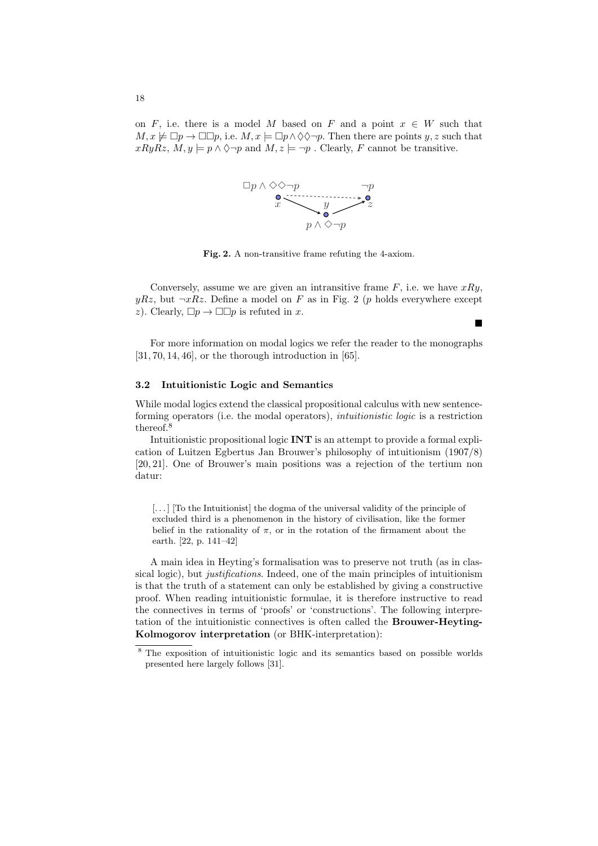on F, i.e. there is a model M based on F and a point  $x \in W$  such that  $M, x \not\models \Box p \rightarrow \Box \Box p$ , i.e.  $M, x \models \Box p \land \Diamond \Diamond \neg p$ . Then there are points y, z such that  $xRyRz$ ,  $M, y \models p \land \Diamond \neg p$  and  $M, z \models \neg p$ . Clearly, F cannot be transitive.



Fig. 2. A non-transitive frame refuting the 4-axiom.

Conversely, assume we are given an intransitive frame  $F$ , i.e. we have  $xRy$ ,  $yRz$ , but  $\neg xRz$ . Define a model on F as in Fig. 2 (p holds everywhere except z). Clearly,  $\Box p \rightarrow \Box \Box p$  is refuted in x.

 $\blacksquare$ 

For more information on modal logics we refer the reader to the monographs [31, 70, 14, 46], or the thorough introduction in [65].

#### 3.2 Intuitionistic Logic and Semantics

While modal logics extend the classical propositional calculus with new sentenceforming operators (i.e. the modal operators), intuitionistic logic is a restriction thereof. $8$ 

Intuitionistic propositional logic INT is an attempt to provide a formal explication of Luitzen Egbertus Jan Brouwer's philosophy of intuitionism (1907/8) [20, 21]. One of Brouwer's main positions was a rejection of the tertium non datur:

[...] To the Intuitionist] the dogma of the universal validity of the principle of excluded third is a phenomenon in the history of civilisation, like the former belief in the rationality of  $\pi$ , or in the rotation of the firmament about the earth. [22, p. 141–42]

A main idea in Heyting's formalisation was to preserve not truth (as in classical logic), but *justifications*. Indeed, one of the main principles of intuitionism is that the truth of a statement can only be established by giving a constructive proof. When reading intuitionistic formulae, it is therefore instructive to read the connectives in terms of 'proofs' or 'constructions'. The following interpretation of the intuitionistic connectives is often called the Brouwer-Heyting-Kolmogorov interpretation (or BHK-interpretation):

<sup>8</sup> The exposition of intuitionistic logic and its semantics based on possible worlds presented here largely follows [31].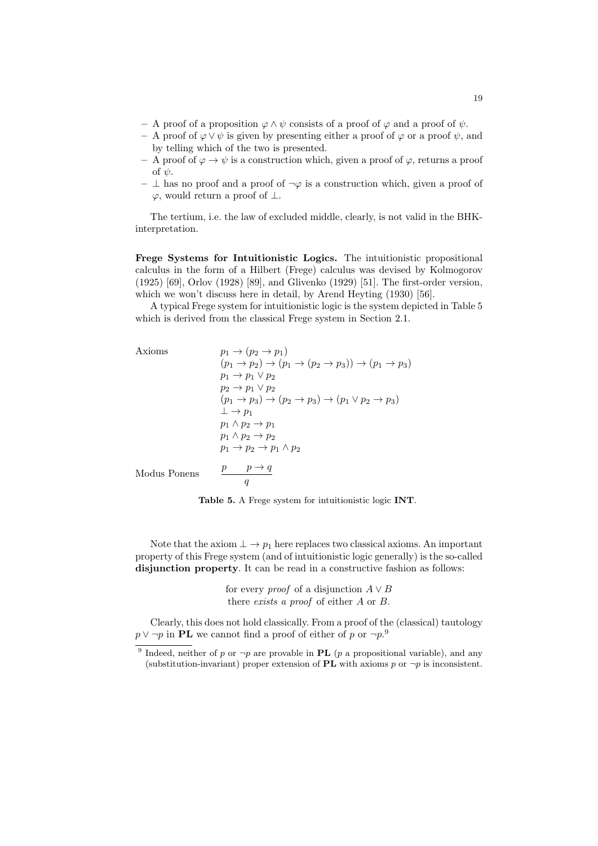- A proof of a proposition  $\varphi \wedge \psi$  consists of a proof of  $\varphi$  and a proof of  $\psi$ .
- A proof of  $\varphi \vee \psi$  is given by presenting either a proof of  $\varphi$  or a proof  $\psi$ , and by telling which of the two is presented.
- A proof of  $\varphi \to \psi$  is a construction which, given a proof of  $\varphi$ , returns a proof of  $\psi$ .
- ⊥ has no proof and a proof of ¬ϕ is a construction which, given a proof of  $\varphi$ , would return a proof of  $\perp$ .

The tertium, i.e. the law of excluded middle, clearly, is not valid in the BHKinterpretation.

Frege Systems for Intuitionistic Logics. The intuitionistic propositional calculus in the form of a Hilbert (Frege) calculus was devised by Kolmogorov (1925) [69], Orlov (1928) [89], and Glivenko (1929) [51]. The first-order version, which we won't discuss here in detail, by Arend Heyting (1930) [56].

A typical Frege system for intuitionistic logic is the system depicted in Table 5 which is derived from the classical Frege system in Section 2.1.

Axioms  $p_1 \rightarrow (p_2 \rightarrow p_1)$  $(p_1 \to p_2) \to (p_1 \to (p_2 \to p_3)) \to (p_1 \to p_3)$  $p_1 \rightarrow p_1 \vee p_2$  $p_2 \rightarrow p_1 \vee p_2$  $(p_1 \rightarrow p_3) \rightarrow (p_2 \rightarrow p_3) \rightarrow (p_1 \vee p_2 \rightarrow p_3)$  $\perp \rightarrow p_1$  $p_1 \wedge p_2 \rightarrow p_1$  $p_1 \wedge p_2 \rightarrow p_2$  $p_1 \rightarrow p_2 \rightarrow p_1 \land p_2$ Modus Ponens  $\frac{p}{q}$ 

Table 5. A Frege system for intuitionistic logic INT.

Note that the axiom  $\perp \to p_1$  here replaces two classical axioms. An important property of this Frege system (and of intuitionistic logic generally) is the so-called disjunction property. It can be read in a constructive fashion as follows:

> for every *proof* of a disjunction  $A \vee B$ there exists a proof of either A or B.

Clearly, this does not hold classically. From a proof of the (classical) tautology  $p \vee \neg p$  in **PL** we cannot find a proof of either of p or  $\neg p$ .<sup>9</sup>

<sup>&</sup>lt;sup>9</sup> Indeed, neither of p or  $\neg p$  are provable in **PL** (p a propositional variable), and any (substitution-invariant) proper extension of **PL** with axioms  $p$  or  $\neg p$  is inconsistent.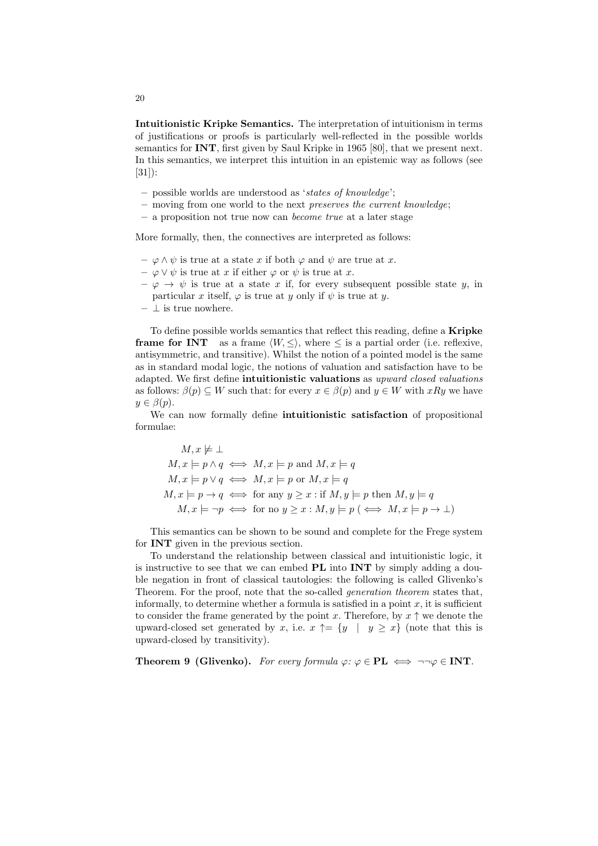Intuitionistic Kripke Semantics. The interpretation of intuitionism in terms of justifications or proofs is particularly well-reflected in the possible worlds semantics for **INT**, first given by Saul Kripke in 1965 [80], that we present next. In this semantics, we interpret this intuition in an epistemic way as follows (see [31]):

- possible worlds are understood as 'states of knowledge';
- moving from one world to the next preserves the current knowledge;
- $-$  a proposition not true now can become true at a later stage

More formally, then, the connectives are interpreted as follows:

- $-\varphi \wedge \psi$  is true at a state x if both  $\varphi$  and  $\psi$  are true at x.
- $-\varphi \vee \psi$  is true at x if either  $\varphi$  or  $\psi$  is true at x.
- $-\varphi \rightarrow \psi$  is true at a state x if, for every subsequent possible state y, in particular x itself,  $\varphi$  is true at y only if  $\psi$  is true at y.
- $\perp$  is true nowhere.

To define possible worlds semantics that reflect this reading, define a Kripke **frame for INT** as a frame  $\langle W, \leq \rangle$ , where  $\leq$  is a partial order (i.e. reflexive, antisymmetric, and transitive). Whilst the notion of a pointed model is the same as in standard modal logic, the notions of valuation and satisfaction have to be adapted. We first define intuitionistic valuations as upward closed valuations as follows:  $\beta(p) \subseteq W$  such that: for every  $x \in \beta(p)$  and  $y \in W$  with  $xRy$  we have  $y \in \beta(p)$ .

We can now formally define intuitionistic satisfaction of propositional formulae:

$$
M, x \not\models \bot
$$
  
\n
$$
M, x \models p \land q \iff M, x \models p \text{ and } M, x \models q
$$
  
\n
$$
M, x \models p \lor q \iff M, x \models p \text{ or } M, x \models q
$$
  
\n
$$
M, x \models p \to q \iff \text{for any } y \geq x : \text{if } M, y \models p \text{ then } M, y \models q
$$
  
\n
$$
M, x \models \neg p \iff \text{for no } y \geq x : M, y \models p \iff M, x \models p \to \bot
$$

This semantics can be shown to be sound and complete for the Frege system for INT given in the previous section.

To understand the relationship between classical and intuitionistic logic, it is instructive to see that we can embed PL into INT by simply adding a double negation in front of classical tautologies: the following is called Glivenko's Theorem. For the proof, note that the so-called *generation theorem* states that, informally, to determine whether a formula is satisfied in a point  $x$ , it is sufficient to consider the frame generated by the point x. Therefore, by  $x \uparrow$  we denote the upward-closed set generated by x, i.e.  $x \uparrow = \{y \mid y \geq x\}$  (note that this is upward-closed by transitivity).

Theorem 9 (Glivenko). For every formula  $\varphi: \varphi \in PL \iff \neg \neg \varphi \in INT$ .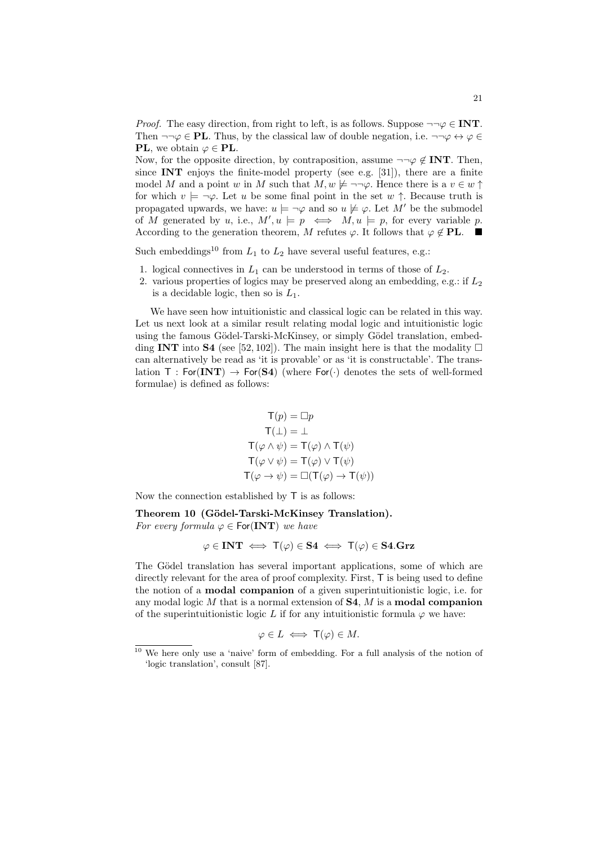*Proof.* The easy direction, from right to left, is as follows. Suppose  $\neg \neg \varphi \in \mathbf{INT}$ . Then  $\neg\neg\varphi \in \mathbf{PL}$ . Thus, by the classical law of double negation, i.e.  $\neg\neg\varphi \leftrightarrow \varphi \in \mathbf{PL}$ . **PL**, we obtain  $\varphi \in$  **PL**.

Now, for the opposite direction, by contraposition, assume  $\neg\neg\varphi \notin INT$ . Then, since **INT** enjoys the finite-model property (see e.g. [31]), there are a finite model M and a point w in M such that  $M, w \not\models \neg\neg \varphi$ . Hence there is a  $v \in w \uparrow$ for which  $v \models \neg \varphi$ . Let u be some final point in the set  $w \uparrow$ . Because truth is propagated upwards, we have:  $u \models \neg \varphi$  and so  $u \not\models \varphi$ . Let M' be the submodel of M generated by u, i.e.,  $M', u \models p \iff M, u \models p$ , for every variable p. According to the generation theorem, M refutes  $\varphi$ . It follows that  $\varphi \notin PL$ .

Such embeddings<sup>10</sup> from  $L_1$  to  $L_2$  have several useful features, e.g.:

- 1. logical connectives in  $L_1$  can be understood in terms of those of  $L_2$ .
- 2. various properties of logics may be preserved along an embedding, e.g.: if  $L_2$ is a decidable logic, then so is  $L_1$ .

We have seen how intuitionistic and classical logic can be related in this way. Let us next look at a similar result relating modal logic and intuitionistic logic using the famous Gödel-Tarski-McKinsey, or simply Gödel translation, embedding INT into S4 (see [52, 102]). The main insight here is that the modality  $\Box$ can alternatively be read as 'it is provable' or as 'it is constructable'. The translation  $\mathsf{T}$ : For(INT)  $\rightarrow$  For(S4) (where For(·) denotes the sets of well-formed formulae) is defined as follows:

$$
T(p) = \Box p
$$
  
\n
$$
T(\bot) = \bot
$$
  
\n
$$
T(\varphi \land \psi) = T(\varphi) \land T(\psi)
$$
  
\n
$$
T(\varphi \lor \psi) = T(\varphi) \lor T(\psi)
$$
  
\n
$$
T(\varphi \to \psi) = \Box(T(\varphi) \to T(\psi))
$$

Now the connection established by T is as follows:

Theorem 10 (Gödel-Tarski-McKinsey Translation). For every formula  $\varphi \in \text{For}(\text{INT})$  we have

$$
\varphi \in \mathbf{INT} \iff \mathsf{T}(\varphi) \in \mathbf{S4} \iff \mathsf{T}(\varphi) \in \mathbf{S4}.\mathbf{Grz}
$$

The Gödel translation has several important applications, some of which are directly relevant for the area of proof complexity. First, T is being used to define the notion of a modal companion of a given superintuitionistic logic, i.e. for any modal logic  $M$  that is a normal extension of  $S4$ ,  $M$  is a **modal companion** of the superintuitionistic logic L if for any intuitionistic formula  $\varphi$  we have:

$$
\varphi \in L \iff \mathsf{T}(\varphi) \in M.
$$

<sup>10</sup> We here only use a 'naive' form of embedding. For a full analysis of the notion of 'logic translation', consult [87].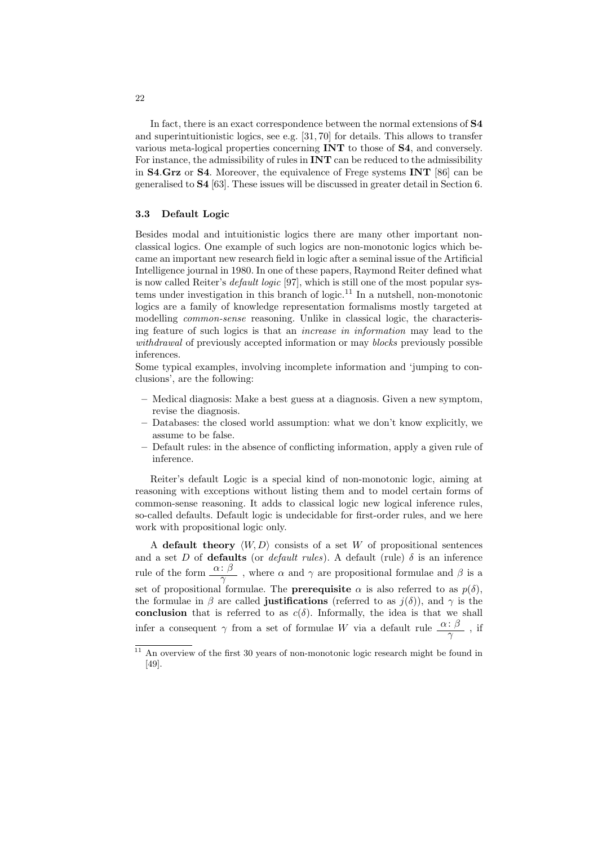In fact, there is an exact correspondence between the normal extensions of S4 and superintuitionistic logics, see e.g. [31, 70] for details. This allows to transfer various meta-logical properties concerning INT to those of S4, and conversely. For instance, the admissibility of rules in INT can be reduced to the admissibility in S4.Grz or S4. Moreover, the equivalence of Frege systems INT [86] can be generalised to S4 [63]. These issues will be discussed in greater detail in Section 6.

## 3.3 Default Logic

Besides modal and intuitionistic logics there are many other important nonclassical logics. One example of such logics are non-monotonic logics which became an important new research field in logic after a seminal issue of the Artificial Intelligence journal in 1980. In one of these papers, Raymond Reiter defined what is now called Reiter's default logic [97], which is still one of the most popular systems under investigation in this branch of logic.<sup>11</sup> In a nutshell, non-monotonic logics are a family of knowledge representation formalisms mostly targeted at modelling common-sense reasoning. Unlike in classical logic, the characterising feature of such logics is that an increase in information may lead to the withdrawal of previously accepted information or may blocks previously possible inferences.

Some typical examples, involving incomplete information and 'jumping to conclusions', are the following:

- Medical diagnosis: Make a best guess at a diagnosis. Given a new symptom, revise the diagnosis.
- Databases: the closed world assumption: what we don't know explicitly, we assume to be false.
- Default rules: in the absence of conflicting information, apply a given rule of inference.

Reiter's default Logic is a special kind of non-monotonic logic, aiming at reasoning with exceptions without listing them and to model certain forms of common-sense reasoning. It adds to classical logic new logical inference rules, so-called defaults. Default logic is undecidable for first-order rules, and we here work with propositional logic only.

A default theory  $\langle W, D \rangle$  consists of a set W of propositional sentences and a set D of **defaults** (or *default rules*). A default (rule)  $\delta$  is an inference rule of the form  $\frac{\alpha \,:\,\beta}{\gamma}$ , where  $\alpha$  and  $\gamma$  are propositional formulae and  $\beta$  is a set of propositional formulae. The **prerequisite**  $\alpha$  is also referred to as  $p(\delta)$ . the formulae in  $\beta$  are called **justifications** (referred to as  $i(\delta)$ ), and  $\gamma$  is the conclusion that is referred to as  $c(\delta)$ . Informally, the idea is that we shall infer a consequent  $\gamma$  from a set of formulae W via a default rule  $\frac{\alpha \,:\,\beta}{\gamma}$  , if

 $11$  An overview of the first 30 years of non-monotonic logic research might be found in [49].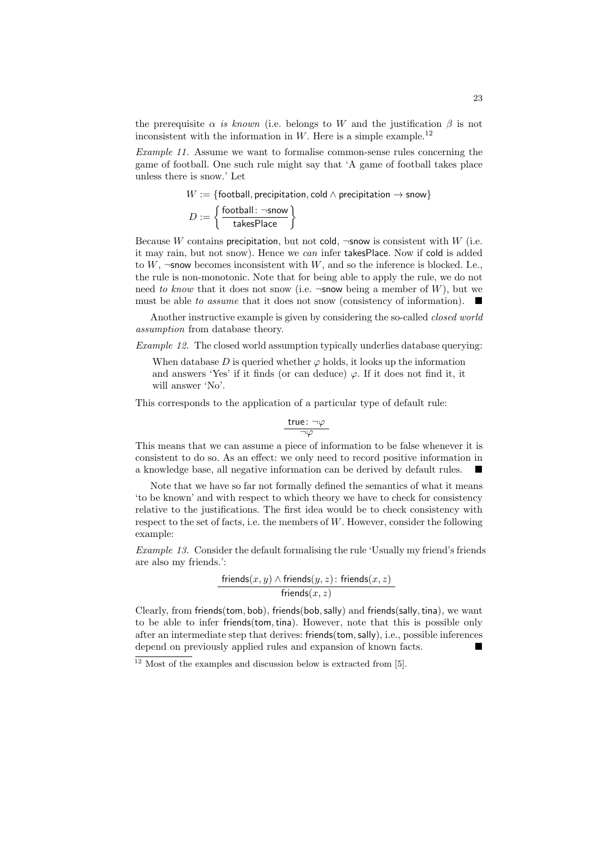the prerequisite  $\alpha$  is known (i.e. belongs to W and the justification  $\beta$  is not inconsistent with the information in  $W$ . Here is a simple example.<sup>12</sup>

Example 11. Assume we want to formalise common-sense rules concerning the game of football. One such rule might say that 'A game of football takes place unless there is snow.' Let

$$
W := \{\text{football, precipitation}, \text{cold} \land \text{precipitation} \rightarrow \text{snow}\}
$$
  

$$
D := \left\{\frac{\text{football: } \neg \text{snow}}{\text{takesPlace}}\right\}
$$

Because W contains precipitation, but not cold,  $\neg$ snow is consistent with W (i.e. it may rain, but not snow). Hence we can infer takesPlace. Now if cold is added to  $W$ ,  $\neg$ snow becomes inconsistent with  $W$ , and so the inference is blocked. I.e., the rule is non-monotonic. Note that for being able to apply the rule, we do not need to know that it does not snow (i.e.  $\neg$ snow being a member of W), but we must be able to assume that it does not snow (consistency of information).  $\blacksquare$ 

Another instructive example is given by considering the so-called closed world assumption from database theory.

Example 12. The closed world assumption typically underlies database querying:

When database  $D$  is queried whether  $\varphi$  holds, it looks up the information and answers 'Yes' if it finds (or can deduce)  $\varphi$ . If it does not find it, it will answer 'No'.

This corresponds to the application of a particular type of default rule:

$$
\frac{\mathsf{true}\colon \neg\varphi}{\neg\varphi}
$$

This means that we can assume a piece of information to be false whenever it is consistent to do so. As an effect: we only need to record positive information in a knowledge base, all negative information can be derived by default rules.

Note that we have so far not formally defined the semantics of what it means 'to be known' and with respect to which theory we have to check for consistency relative to the justifications. The first idea would be to check consistency with respect to the set of facts, i.e. the members of  $W$ . However, consider the following example:

Example 13. Consider the default formalising the rule 'Usually my friend's friends are also my friends.':

$$
\frac{\mathsf{friends}(x,y) \land \mathsf{friends}(y,z) \colon \mathsf{friends}(x,z)}{\mathsf{friends}(x,z)}
$$

Clearly, from friends(tom, bob), friends(bob,sally) and friends(sally,tina), we want to be able to infer friends(tom,tina). However, note that this is possible only after an intermediate step that derives: friends(tom,sally), i.e., possible inferences depend on previously applied rules and expansion of known facts.

 $12$  Most of the examples and discussion below is extracted from [5].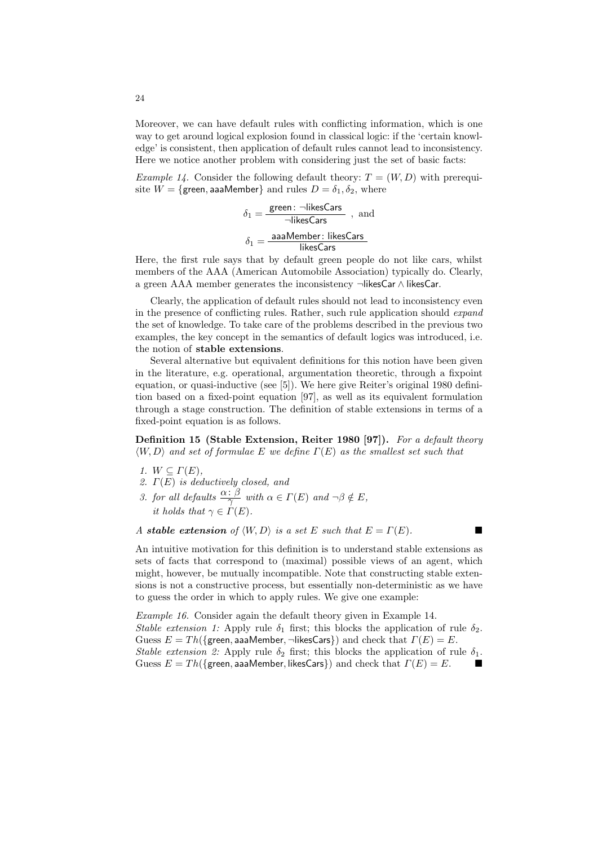Moreover, we can have default rules with conflicting information, which is one way to get around logical explosion found in classical logic: if the 'certain knowledge' is consistent, then application of default rules cannot lead to inconsistency. Here we notice another problem with considering just the set of basic facts:

*Example 14.* Consider the following default theory:  $T = (W, D)$  with prerequisite  $W = \{\text{green}, \text{aaaa} \text{Member}\}\$ and rules  $D = \delta_1, \delta_2$ , where

$$
\delta_1 = \frac{\text{green: } \neg \text{likesCars}}{\neg \text{likesCars}} , \text{ and}
$$

$$
\delta_1 = \frac{\text{aaaMember: } \text{likesCars}}{\text{likesCars}}
$$

Here, the first rule says that by default green people do not like cars, whilst members of the AAA (American Automobile Association) typically do. Clearly, a green AAA member generates the inconsistency ¬likesCar ∧ likesCar.

Clearly, the application of default rules should not lead to inconsistency even in the presence of conflicting rules. Rather, such rule application should expand the set of knowledge. To take care of the problems described in the previous two examples, the key concept in the semantics of default logics was introduced, i.e. the notion of stable extensions.

Several alternative but equivalent definitions for this notion have been given in the literature, e.g. operational, argumentation theoretic, through a fixpoint equation, or quasi-inductive (see [5]). We here give Reiter's original 1980 definition based on a fixed-point equation [97], as well as its equivalent formulation through a stage construction. The definition of stable extensions in terms of a fixed-point equation is as follows.

Definition 15 (Stable Extension, Reiter 1980 [97]). For a default theory  $\langle W, D \rangle$  and set of formulae E we define  $\Gamma(E)$  as the smallest set such that

- 1.  $W \subset \Gamma(E)$ .
- 2. Γ(E) is deductively closed, and
- 3. for all defaults  $\frac{\alpha \,:\, \beta}{\gamma}$  with  $\alpha \in \Gamma(E)$  and  $\neg \beta \notin E$ , it holds that  $\gamma \in \Gamma(E)$ .

A stable extension of  $\langle W, D \rangle$  is a set E such that  $E = \Gamma(E)$ .

An intuitive motivation for this definition is to understand stable extensions as sets of facts that correspond to (maximal) possible views of an agent, which might, however, be mutually incompatible. Note that constructing stable extensions is not a constructive process, but essentially non-deterministic as we have to guess the order in which to apply rules. We give one example:

Example 16. Consider again the default theory given in Example 14. Stable extension 1: Apply rule  $\delta_1$  first; this blocks the application of rule  $\delta_2$ . Guess  $E = Th({\text{green}, \text{aaaMember}, \neg \text{likesCars}})$  and check that  $\Gamma(E) = E$ . Stable extension 2: Apply rule  $\delta_2$  first; this blocks the application of rule  $\delta_1$ . Guess  $E = Th({\text{green}, \text{aaa} \text{Member}, \text{likes} \text{Cars}})$  and check that  $\Gamma(E) = E$ .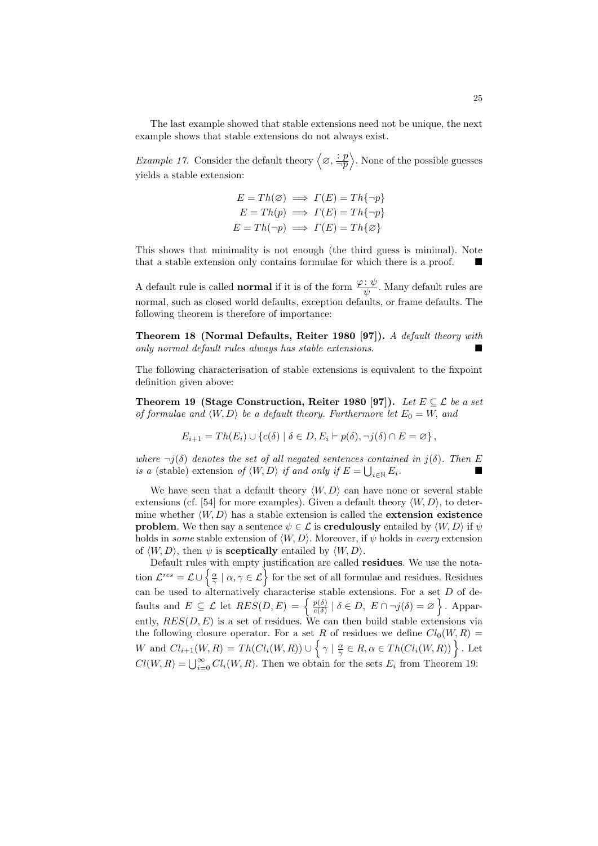The last example showed that stable extensions need not be unique, the next example shows that stable extensions do not always exist.

*Example 17.* Consider the default theory  $\left\langle \emptyset, \frac{p}{\overline{p}} \right\rangle$  $\langle \frac{p}{p} \rangle$ . None of the possible guesses yields a stable extension:

$$
E = Th(\varnothing) \implies \Gamma(E) = Th\{\neg p\}
$$
  
\n
$$
E = Th(p) \implies \Gamma(E) = Th\{\neg p\}
$$
  
\n
$$
E = Th(\neg p) \implies \Gamma(E) = Th\{\varnothing\}
$$

This shows that minimality is not enough (the third guess is minimal). Note that a stable extension only contains formulae for which there is a proof.

A default rule is called **normal** if it is of the form  $\frac{\varphi : \psi}{\psi}$ . Many default rules are normal, such as closed world defaults, exception defaults, or frame defaults. The following theorem is therefore of importance:

Theorem 18 (Normal Defaults, Reiter 1980 [97]). A default theory with only normal default rules always has stable extensions.

The following characterisation of stable extensions is equivalent to the fixpoint definition given above:

Theorem 19 (Stage Construction, Reiter 1980 [97]). Let  $E \subseteq \mathcal{L}$  be a set of formulae and  $\langle W, D \rangle$  be a default theory. Furthermore let  $E_0 = W$ , and

$$
E_{i+1} = Th(E_i) \cup \{c(\delta) \mid \delta \in D, E_i \vdash p(\delta), \neg j(\delta) \cap E = \varnothing\},\
$$

where  $\neg i(\delta)$  denotes the set of all negated sentences contained in  $i(\delta)$ . Then E is a (stable) extension of  $\langle W, D \rangle$  if and only if  $E = \bigcup_{i \in \mathbb{N}} E_i$ .

We have seen that a default theory  $\langle W, D \rangle$  can have none or several stable extensions (cf. [54] for more examples). Given a default theory  $\langle W, D \rangle$ , to determine whether  $\langle W, D \rangle$  has a stable extension is called the **extension existence problem**. We then say a sentence  $\psi \in \mathcal{L}$  is **credulously** entailed by  $\langle W, D \rangle$  if  $\psi$ holds in *some* stable extension of  $\langle W, D \rangle$ . Moreover, if  $\psi$  holds in *every* extension of  $\langle W, D \rangle$ , then  $\psi$  is **sceptically** entailed by  $\langle W, D \rangle$ .

Default rules with empty justification are called residues. We use the notation  $\mathcal{L}^{res} = \mathcal{L} \cup \left\{ \frac{\alpha}{\gamma} \mid \alpha, \gamma \in \mathcal{L} \right\}$  for the set of all formulae and residues. Residues can be used to alternatively characterise stable extensions. For a set D of defaults and  $E \subseteq \mathcal{L}$  let  $RES(D, E) = \left\{ \frac{p(\delta)}{c(\delta)} \right\}$  $\frac{p(\delta)}{c(\delta)} | \delta \in D, E \cap \neg j(\delta) = \varnothing$ . Apparently,  $RES(D, E)$  is a set of residues. We can then build stable extensions via the following closure operator. For a set R of residues we define  $Cl_0(W, R)$  = W and  $Cl_{i+1}(W, R) = Th(Cl_i(W, R)) \cup \left\{ \gamma \mid \frac{\alpha}{\gamma} \in R, \alpha \in Th(Cl_i(W, R)) \right\}$ . Let  $Cl(W, R) = \bigcup_{i=0}^{\infty} Cl_i(W, R)$ . Then we obtain for the sets  $E_i$  from Theorem 19: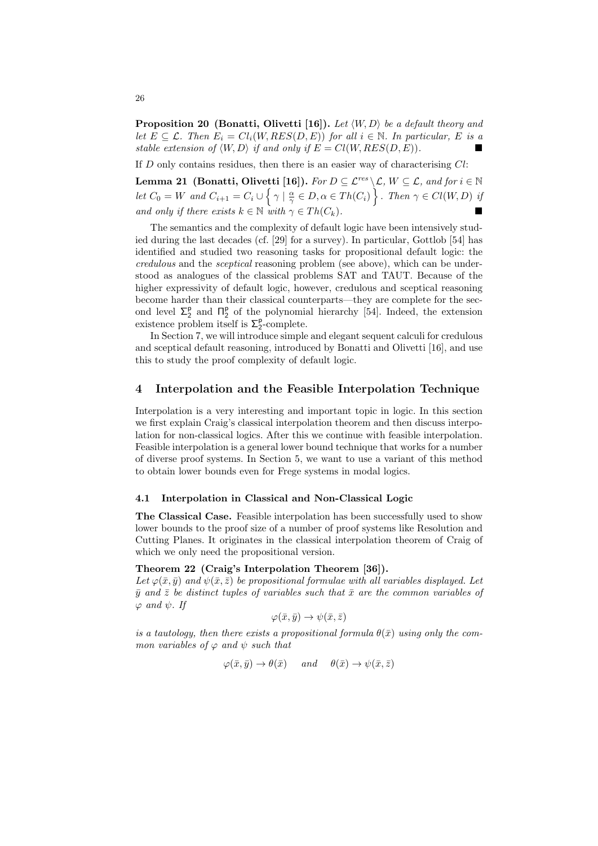**Proposition 20 (Bonatti, Olivetti [16]).** Let  $\langle W, D \rangle$  be a default theory and let  $E \subseteq \mathcal{L}$ . Then  $E_i = Cl_i(W,RES(D, E))$  for all  $i \in \mathbb{N}$ . In particular, E is a stable extension of  $\langle W, D \rangle$  if and only if  $E = Cl(W, RES(D, E)).$ 

If  $D$  only contains residues, then there is an easier way of characterising  $Cl$ :

Lemma 21 (Bonatti, Olivetti [16]). For  $D \subseteq \mathcal{L}^{res} \setminus \mathcal{L}$ ,  $W \subseteq \mathcal{L}$ , and for  $i \in \mathbb{N}$ let  $C_0 = W$  and  $C_{i+1} = C_i \cup \left\{ \gamma \mid \frac{\alpha}{\gamma} \in D, \alpha \in Th(C_i) \right\}$ . Then  $\gamma \in Cl(W, D)$  if and only if there exists  $k \in \mathbb{N}$  with  $\gamma \in Th(C_k)$ .

The semantics and the complexity of default logic have been intensively studied during the last decades (cf. [29] for a survey). In particular, Gottlob [54] has identified and studied two reasoning tasks for propositional default logic: the credulous and the sceptical reasoning problem (see above), which can be understood as analogues of the classical problems SAT and TAUT. Because of the higher expressivity of default logic, however, credulous and sceptical reasoning become harder than their classical counterparts—they are complete for the second level  $\Sigma_2^{\mathsf{p}}$  and  $\Pi_2^{\mathsf{p}}$  of the polynomial hierarchy [54]. Indeed, the extension existence problem itself is  $\Sigma_2^p$ -complete.

In Section 7, we will introduce simple and elegant sequent calculi for credulous and sceptical default reasoning, introduced by Bonatti and Olivetti [16], and use this to study the proof complexity of default logic.

## 4 Interpolation and the Feasible Interpolation Technique

Interpolation is a very interesting and important topic in logic. In this section we first explain Craig's classical interpolation theorem and then discuss interpolation for non-classical logics. After this we continue with feasible interpolation. Feasible interpolation is a general lower bound technique that works for a number of diverse proof systems. In Section 5, we want to use a variant of this method to obtain lower bounds even for Frege systems in modal logics.

## 4.1 Interpolation in Classical and Non-Classical Logic

The Classical Case. Feasible interpolation has been successfully used to show lower bounds to the proof size of a number of proof systems like Resolution and Cutting Planes. It originates in the classical interpolation theorem of Craig of which we only need the propositional version.

#### Theorem 22 (Craig's Interpolation Theorem [36]).

Let  $\varphi(\bar{x}, \bar{y})$  and  $\psi(\bar{x}, \bar{z})$  be propositional formulae with all variables displayed. Let  $\bar{y}$  and  $\bar{z}$  be distinct tuples of variables such that  $\bar{x}$  are the common variables of  $\varphi$  and  $\psi$ . If

$$
\varphi(\bar{x}, \bar{y}) \to \psi(\bar{x}, \bar{z})
$$

is a tautology, then there exists a propositional formula  $\theta(\bar{x})$  using only the common variables of  $\varphi$  and  $\psi$  such that

$$
\varphi(\bar{x}, \bar{y}) \to \theta(\bar{x})
$$
 and  $\theta(\bar{x}) \to \psi(\bar{x}, \bar{z})$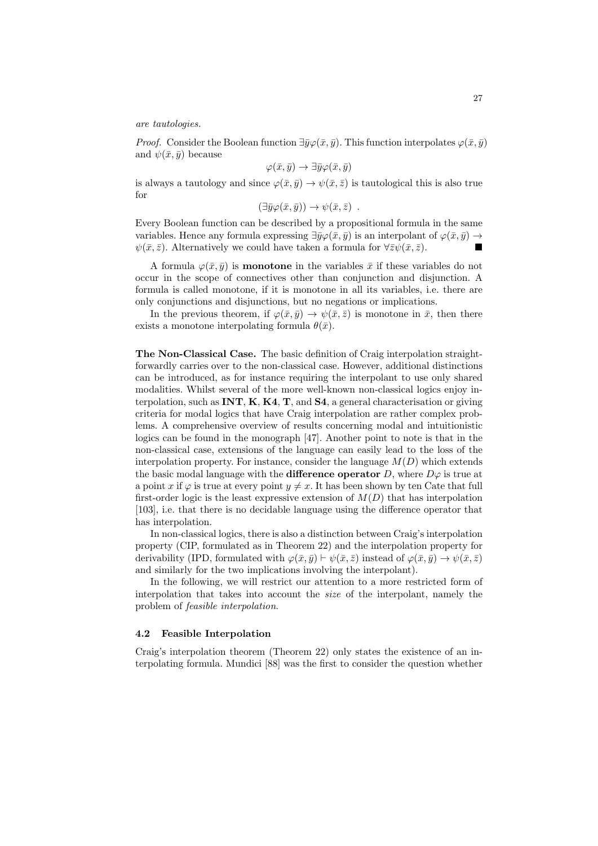are tautologies.

*Proof.* Consider the Boolean function  $\exists \bar{y} \varphi(\bar{x}, \bar{y})$ . This function interpolates  $\varphi(\bar{x}, \bar{y})$ and  $\psi(\bar{x}, \bar{y})$  because

$$
\varphi(\bar{x}, \bar{y}) \to \exists \bar{y} \varphi(\bar{x}, \bar{y})
$$

is always a tautology and since  $\varphi(\bar{x}, \bar{y}) \to \psi(\bar{x}, \bar{z})$  is tautological this is also true for

$$
(\exists \bar{y}\varphi(\bar{x},\bar{y})) \to \psi(\bar{x},\bar{z}) .
$$

Every Boolean function can be described by a propositional formula in the same variables. Hence any formula expressing  $\exists \bar{y} \varphi(\bar{x}, \bar{y})$  is an interpolant of  $\varphi(\bar{x}, \bar{y}) \to \psi(\bar{x}, \bar{z})$ . Alternatively we could have taken a formula for  $\forall \bar{z} \psi(\bar{x}, \bar{z})$ .  $\psi(\bar{x}, \bar{z})$ . Alternatively we could have taken a formula for  $\forall \bar{z}\psi(\bar{x}, \bar{z})$ .

A formula  $\varphi(\bar{x}, \bar{y})$  is **monotone** in the variables  $\bar{x}$  if these variables do not occur in the scope of connectives other than conjunction and disjunction. A formula is called monotone, if it is monotone in all its variables, i.e. there are only conjunctions and disjunctions, but no negations or implications.

In the previous theorem, if  $\varphi(\bar{x}, \bar{y}) \to \psi(\bar{x}, \bar{z})$  is monotone in  $\bar{x}$ , then there exists a monotone interpolating formula  $\theta(\bar{x})$ .

The Non-Classical Case. The basic definition of Craig interpolation straightforwardly carries over to the non-classical case. However, additional distinctions can be introduced, as for instance requiring the interpolant to use only shared modalities. Whilst several of the more well-known non-classical logics enjoy interpolation, such as INT,  $K$ ,  $K4$ , T, and  $S4$ , a general characterisation or giving criteria for modal logics that have Craig interpolation are rather complex problems. A comprehensive overview of results concerning modal and intuitionistic logics can be found in the monograph [47]. Another point to note is that in the non-classical case, extensions of the language can easily lead to the loss of the interpolation property. For instance, consider the language  $M(D)$  which extends the basic modal language with the **difference operator** D, where  $D\varphi$  is true at a point x if  $\varphi$  is true at every point  $y \neq x$ . It has been shown by ten Cate that full first-order logic is the least expressive extension of  $M(D)$  that has interpolation [103], i.e. that there is no decidable language using the difference operator that has interpolation.

In non-classical logics, there is also a distinction between Craig's interpolation property (CIP, formulated as in Theorem 22) and the interpolation property for derivability (IPD, formulated with  $\varphi(\bar{x}, \bar{y}) \vdash \psi(\bar{x}, \bar{z})$  instead of  $\varphi(\bar{x}, \bar{y}) \rightarrow \psi(\bar{x}, \bar{z})$ and similarly for the two implications involving the interpolant).

In the following, we will restrict our attention to a more restricted form of interpolation that takes into account the size of the interpolant, namely the problem of feasible interpolation.

#### 4.2 Feasible Interpolation

Craig's interpolation theorem (Theorem 22) only states the existence of an interpolating formula. Mundici [88] was the first to consider the question whether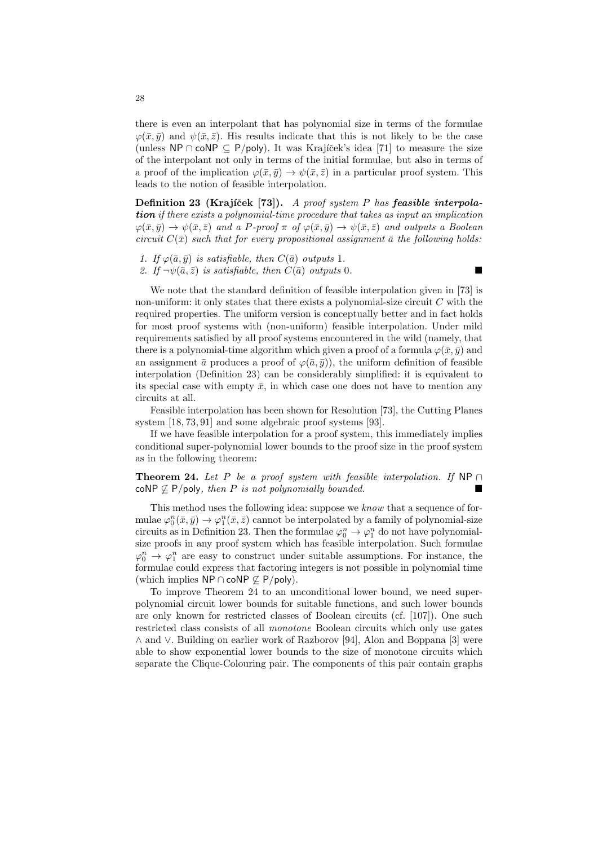there is even an interpolant that has polynomial size in terms of the formulae  $\varphi(\bar{x}, \bar{y})$  and  $\psi(\bar{x}, \bar{z})$ . His results indicate that this is not likely to be the case (unless NP ∩ coNP  $\subseteq$  P/poly). It was Krajíček's idea [71] to measure the size of the interpolant not only in terms of the initial formulae, but also in terms of a proof of the implication  $\varphi(\bar{x}, \bar{y}) \to \psi(\bar{x}, \bar{z})$  in a particular proof system. This leads to the notion of feasible interpolation.

Definition 23 (Krajíček [73]). A proof system P has feasible interpolation if there exists a polynomial-time procedure that takes as input an implication  $\varphi(\bar{x}, \bar{y}) \to \psi(\bar{x}, \bar{z})$  and a P-proof  $\pi$  of  $\varphi(\bar{x}, \bar{y}) \to \psi(\bar{x}, \bar{z})$  and outputs a Boolean circuit  $C(\bar{x})$  such that for every propositional assignment  $\bar{a}$  the following holds:

1. If  $\varphi(\bar{a}, \bar{y})$  is satisfiable, then  $C(\bar{a})$  outputs 1. 2. If  $\neg \psi(\bar{a}, \bar{z})$  is satisfiable, then  $C(\bar{a})$  outputs 0.

We note that the standard definition of feasible interpolation given in [73] is non-uniform: it only states that there exists a polynomial-size circuit  $C$  with the required properties. The uniform version is conceptually better and in fact holds for most proof systems with (non-uniform) feasible interpolation. Under mild requirements satisfied by all proof systems encountered in the wild (namely, that there is a polynomial-time algorithm which given a proof of a formula  $\varphi(\bar{x}, \bar{y})$  and an assignment  $\bar{a}$  produces a proof of  $\varphi(\bar{a}, \bar{y})$ , the uniform definition of feasible interpolation (Definition 23) can be considerably simplified: it is equivalent to its special case with empty  $\bar{x}$ , in which case one does not have to mention any circuits at all.

Feasible interpolation has been shown for Resolution [73], the Cutting Planes system [18, 73, 91] and some algebraic proof systems [93].

If we have feasible interpolation for a proof system, this immediately implies conditional super-polynomial lower bounds to the proof size in the proof system as in the following theorem:

**Theorem 24.** Let P be a proof system with feasible interpolation. If NP ∩ coNP  $\nsubseteq$  P/poly, then P is not polynomially bounded.

This method uses the following idea: suppose we know that a sequence of formulae  $\varphi_0^n(\bar{x}, \bar{y}) \to \varphi_1^n(\bar{x}, \bar{z})$  cannot be interpolated by a family of polynomial-size circuits as in Definition 23. Then the formulae  $\varphi_0^n \to \varphi_1^n$  do not have polynomialsize proofs in any proof system which has feasible interpolation. Such formulae  $\varphi_0^n \to \varphi_1^n$  are easy to construct under suitable assumptions. For instance, the formulae could express that factoring integers is not possible in polynomial time (which implies  $\mathsf{NP} \cap \mathsf{coNP} \not\subseteq \mathsf{P/poly}$ ).

To improve Theorem 24 to an unconditional lower bound, we need superpolynomial circuit lower bounds for suitable functions, and such lower bounds are only known for restricted classes of Boolean circuits (cf. [107]). One such restricted class consists of all monotone Boolean circuits which only use gates ∧ and ∨. Building on earlier work of Razborov [94], Alon and Boppana [3] were able to show exponential lower bounds to the size of monotone circuits which separate the Clique-Colouring pair. The components of this pair contain graphs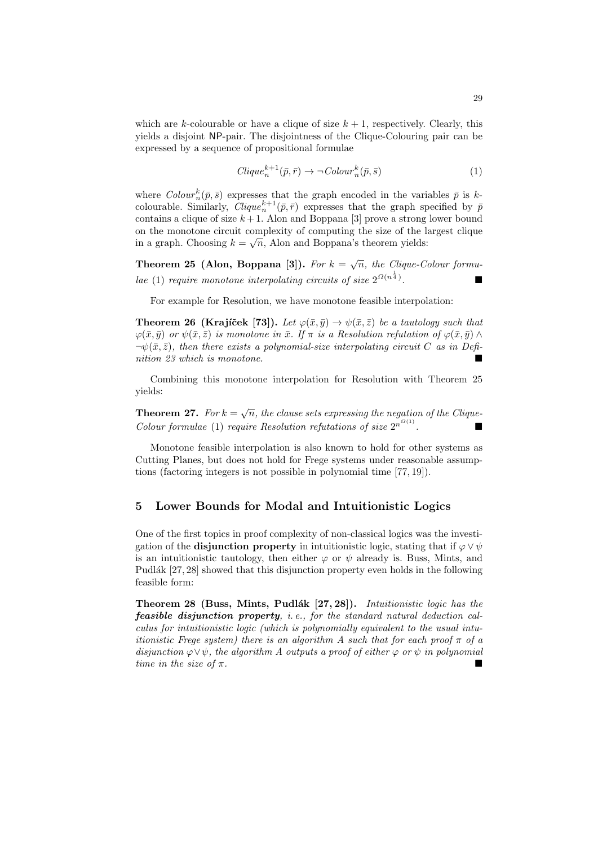which are k-colourable or have a clique of size  $k + 1$ , respectively. Clearly, this yields a disjoint NP-pair. The disjointness of the Clique-Colouring pair can be expressed by a sequence of propositional formulae

$$
Clique_n^{k+1}(\bar{p}, \bar{r}) \to \neg Color_n^k(\bar{p}, \bar{s})
$$
\n<sup>(1)</sup>

where  $Color_n^k(\bar{p}, \bar{s})$  expresses that the graph encoded in the variables  $\bar{p}$  is kcolourable. Similarly,  $Clique_n^{k+1}(\bar{p}, \bar{r})$  expresses that the graph specified by  $\bar{p}$ contains a clique of size  $k+1$ . Alon and Boppana [3] prove a strong lower bound on the monotone circuit complexity of computing the size of the largest clique in a graph. Choosing  $k = \sqrt{n}$ , Alon and Boppana's theorem yields:

**Theorem 25 (Alon, Boppana [3]).** For  $k = \sqrt{n}$ , the Clique-Colour formu*lae* (1) require monotone interpolating circuits of size  $2^{\Omega(n^{\frac{1}{4}})}$ .

For example for Resolution, we have monotone feasible interpolation:

**Theorem 26 (Krajíček [73]).** Let  $\varphi(\bar{x}, \bar{y}) \to \psi(\bar{x}, \bar{z})$  be a tautology such that  $\varphi(\bar{x}, \bar{y})$  or  $\psi(\bar{x}, \bar{z})$  is monotone in  $\bar{x}$ . If  $\pi$  is a Resolution refutation of  $\varphi(\bar{x}, \bar{y}) \wedge \pi$  $\neg\psi(\bar{x},\bar{z})$ , then there exists a polynomial-size interpolating circuit C as in Definition 23 which is monotone.

Combining this monotone interpolation for Resolution with Theorem 25 yields:

**Theorem 27.** For  $k = \sqrt{n}$ , the clause sets expressing the negation of the Clique-Colour formulae (1) require Resolution refutations of size  $2^{n^{\Omega(1)}}$ .

Monotone feasible interpolation is also known to hold for other systems as Cutting Planes, but does not hold for Frege systems under reasonable assumptions (factoring integers is not possible in polynomial time [77, 19]).

## 5 Lower Bounds for Modal and Intuitionistic Logics

One of the first topics in proof complexity of non-classical logics was the investigation of the **disjunction property** in intuitionistic logic, stating that if  $\varphi \vee \psi$ is an intuitionistic tautology, then either  $\varphi$  or  $\psi$  already is. Buss, Mints, and Pudlák [27, 28] showed that this disjunction property even holds in the following feasible form:

Theorem 28 (Buss, Mints, Pudlák [27, 28]). Intuitionistic logic has the feasible disjunction property, i. e., for the standard natural deduction calculus for intuitionistic logic (which is polynomially equivalent to the usual intuitionistic Frege system) there is an algorithm A such that for each proof  $\pi$  of a disjunction  $\varphi \lor \psi$ , the algorithm A outputs a proof of either  $\varphi$  or  $\psi$  in polynomial time in the size of  $\pi$ time in the size of  $\pi$ .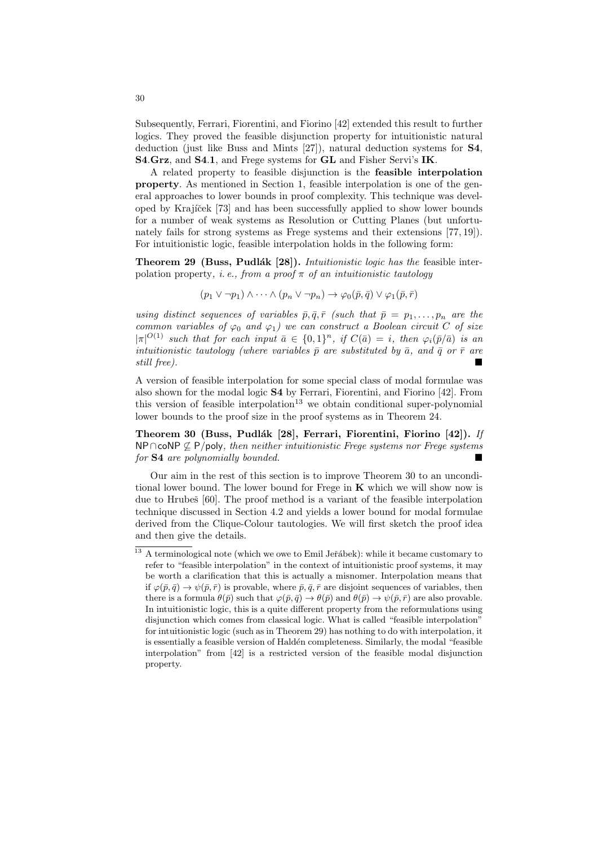Subsequently, Ferrari, Fiorentini, and Fiorino [42] extended this result to further logics. They proved the feasible disjunction property for intuitionistic natural deduction (just like Buss and Mints [27]), natural deduction systems for S4, S4.Grz, and S4.1, and Frege systems for GL and Fisher Servi's IK.

A related property to feasible disjunction is the feasible interpolation property. As mentioned in Section 1, feasible interpolation is one of the general approaches to lower bounds in proof complexity. This technique was developed by Krajíček [73] and has been successfully applied to show lower bounds for a number of weak systems as Resolution or Cutting Planes (but unfortunately fails for strong systems as Frege systems and their extensions [77, 19]). For intuitionistic logic, feasible interpolation holds in the following form:

**Theorem 29 (Buss, Pudlák [28]).** Intuitionistic logic has the feasible interpolation property, i.e., from a proof  $\pi$  of an intuitionistic tautology

 $(p_1 \vee \neg p_1) \wedge \cdots \wedge (p_n \vee \neg p_n) \rightarrow \varphi_0(\bar{p}, \bar{q}) \vee \varphi_1(\bar{p}, \bar{r})$ 

using distinct sequences of variables  $\bar{p}, \bar{q}, \bar{r}$  (such that  $\bar{p} = p_1, \ldots, p_n$  are the common variables of  $\varphi_0$  and  $\varphi_1$ ) we can construct a Boolean circuit C of size  $|\pi|^{O(1)}$  such that for each input  $\bar{a} \in \{0,1\}^n$ , if  $C(\bar{a}) = i$ , then  $\varphi_i(\bar{p}/\bar{a})$  is an intuitionistic tautology (where variables  $\bar{p}$  are substituted by  $\bar{a}$ , and  $\bar{q}$  or  $\bar{r}$  are still free).

A version of feasible interpolation for some special class of modal formulae was also shown for the modal logic S4 by Ferrari, Fiorentini, and Fiorino [42]. From this version of feasible interpolation<sup>13</sup> we obtain conditional super-polynomial lower bounds to the proof size in the proof systems as in Theorem 24.

Theorem 30 (Buss, Pudlák [28], Ferrari, Fiorentini, Fiorino [42]). If NP∩coNP  $\nsubseteq$  P/poly, then neither intuitionistic Frege systems nor Frege systems for **S4** are nolunomially bounded for S4 are polynomially bounded.

Our aim in the rest of this section is to improve Theorem 30 to an unconditional lower bound. The lower bound for Frege in  $\bf{K}$  which we will show now is due to Hrubeš [60]. The proof method is a variant of the feasible interpolation technique discussed in Section 4.2 and yields a lower bound for modal formulae derived from the Clique-Colour tautologies. We will first sketch the proof idea and then give the details.

 $13$  A terminological note (which we owe to Emil Jeřábek): while it became customary to refer to "feasible interpolation" in the context of intuitionistic proof systems, it may be worth a clarification that this is actually a misnomer. Interpolation means that if  $\varphi(\bar{p}, \bar{q}) \to \psi(\bar{p}, \bar{r})$  is provable, where  $\bar{p}, \bar{q}, \bar{r}$  are disjoint sequences of variables, then there is a formula  $\theta(\bar{p})$  such that  $\varphi(\bar{p}, \bar{q}) \to \theta(\bar{p})$  and  $\theta(\bar{p}) \to \psi(\bar{p}, \bar{r})$  are also provable. In intuitionistic logic, this is a quite different property from the reformulations using disjunction which comes from classical logic. What is called "feasible interpolation" for intuitionistic logic (such as in Theorem 29) has nothing to do with interpolation, it is essentially a feasible version of Haldén completeness. Similarly, the modal "feasible interpolation" from [42] is a restricted version of the feasible modal disjunction property.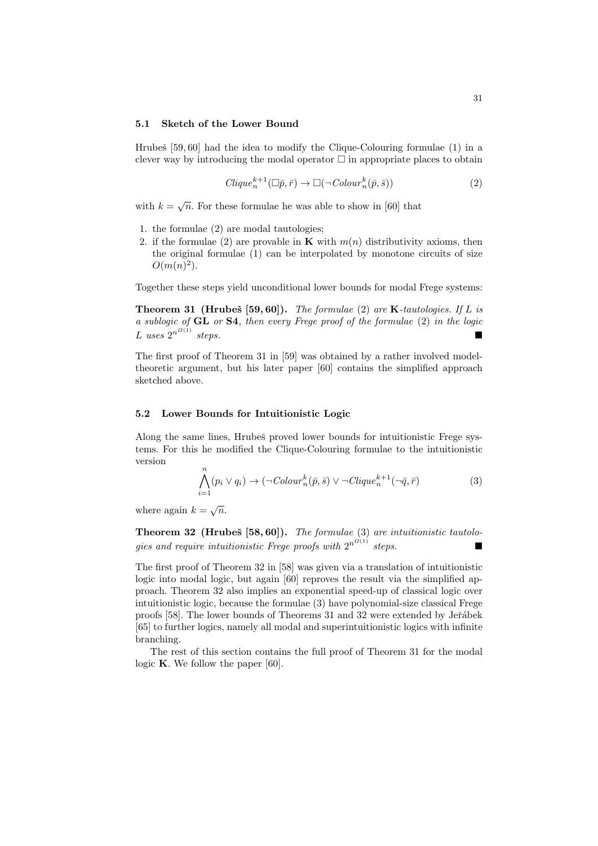#### 5.1 Sketch of the Lower Bound

Hrubeš  $[59, 60]$  had the idea to modify the Clique-Colouring formulae  $(1)$  in a clever way by introducing the modal operator  $\Box$  in appropriate places to obtain

$$
Clique_n^{k+1}(\Box \bar{p}, \bar{r}) \to \Box(\neg \text{Color}_n^k(\bar{p}, \bar{s})) \tag{2}
$$

with  $k = \sqrt{n}$ . For these formulae he was able to show in [60] that

- 1. the formulae (2) are modal tautologies;
- 2. if the formulae (2) are provable in **K** with  $m(n)$  distributivity axioms, then the original formulae (1) can be interpolated by monotone circuits of size  $O(m(n)^2)$ .

Together these steps yield unconditional lower bounds for modal Frege systems:

**Theorem 31 (Hrubeš [59, 60]).** The formulae (2) are  $K$ -tautologies. If  $L$  is a sublogic of GL or S4, then every Frege proof of the formulae (2) in the logic  $L$  uses  $2^{n^{\Omega(1)}}$ steps.

The first proof of Theorem 31 in [59] was obtained by a rather involved modeltheoretic argument, but his later paper [60] contains the simplified approach sketched above.

#### 5.2 Lower Bounds for Intuitionistic Logic

Along the same lines, Hrubes proved lower bounds for intuitionistic Frege systems. For this he modified the Clique-Colouring formulae to the intuitionistic version

$$
\bigwedge_{i=1}^{n} (p_i \vee q_i) \to (\neg Colour_n^k(\bar{p}, \bar{s}) \vee \neg Clique_n^{k+1}(\neg \bar{q}, \bar{r})
$$
\n(3)

where again  $k = \sqrt{n}$ .

**Theorem 32 (Hrubeš** [58, 60]). The formulae  $(3)$  are intuitionistic tautologies and require intuitionistic Frege proofs with  $2^{n^{\Omega(1)}}$  steps.

The first proof of Theorem 32 in [58] was given via a translation of intuitionistic logic into modal logic, but again [60] reproves the result via the simplified approach. Theorem 32 also implies an exponential speed-up of classical logic over intuitionistic logic, because the formulae (3) have polynomial-size classical Frege proofs [58]. The lower bounds of Theorems 31 and 32 were extended by Jeřábek [65] to further logics, namely all modal and superintuitionistic logics with infinite branching.

The rest of this section contains the full proof of Theorem 31 for the modal logic K. We follow the paper [60].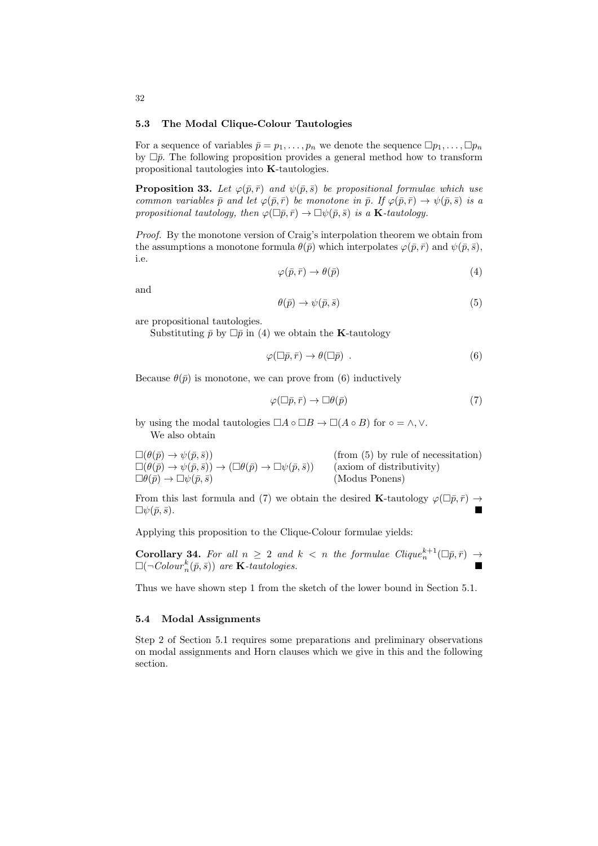#### 5.3 The Modal Clique-Colour Tautologies

For a sequence of variables  $\bar{p} = p_1, \ldots, p_n$  we denote the sequence  $\Box p_1, \ldots, \Box p_n$ by  $\Box \bar{p}$ . The following proposition provides a general method how to transform propositional tautologies into K-tautologies.

**Proposition 33.** Let  $\varphi(\bar{p}, \bar{r})$  and  $\psi(\bar{p}, \bar{s})$  be propositional formulae which use common variables  $\bar{p}$  and let  $\varphi(\bar{p}, \bar{r})$  be monotone in  $\bar{p}$ . If  $\varphi(\bar{p}, \bar{r}) \to \psi(\bar{p}, \bar{s})$  is a propositional tautology, then  $\varphi(\Box \bar{p}, \bar{r}) \to \Box \psi(\bar{p}, \bar{s})$  is a **K**-tautology.

Proof. By the monotone version of Craig's interpolation theorem we obtain from the assumptions a monotone formula  $\theta(\bar{p})$  which interpolates  $\varphi(\bar{p}, \bar{r})$  and  $\psi(\bar{p}, \bar{s})$ , i.e.

$$
\varphi(\bar{p}, \bar{r}) \to \theta(\bar{p}) \tag{4}
$$

and

$$
\theta(\bar{p}) \to \psi(\bar{p}, \bar{s}) \tag{5}
$$

are propositional tautologies.

Substituting  $\bar{p}$  by  $\Box \bar{p}$  in (4) we obtain the **K**-tautology

$$
\varphi(\Box \bar{p}, \bar{r}) \to \theta(\Box \bar{p}) \tag{6}
$$

Because  $\theta(\bar{p})$  is monotone, we can prove from (6) inductively

$$
\varphi(\Box \bar{p}, \bar{r}) \to \Box \theta(\bar{p}) \tag{7}
$$

by using the modal tautologies  $\Box A \circ \Box B \to \Box (A \circ B)$  for ∘ = ∧, ∨. We also obtain

$$
\Box(\theta(\bar{p}) \to \psi(\bar{p}, \bar{s})) \qquad \qquad \text{(from (5) by rule of necessitation)}\\ \Box(\theta(\bar{p}) \to \psi(\bar{p}, \bar{s})) \to (\Box \theta(\bar{p}) \to \Box \psi(\bar{p}, \bar{s})) \qquad \qquad \text{(axiom of distributivity)}\\ \Box \theta(\bar{p}) \to \Box \psi(\bar{p}, \bar{s}) \qquad \qquad \text{(Modus Ponens)}
$$

From this last formula and (7) we obtain the desired K-tautology  $\varphi(\Box \bar{p}, \bar{r}) \rightarrow \Box \psi(\bar{p}, \bar{s})$ .  $\Box \psi(\bar{p}, \bar{s}).$ 

Applying this proposition to the Clique-Colour formulae yields:

**Corollary 34.** For all  $n \geq 2$  and  $k < n$  the formulae  $Clique_n^{k+1}(\Box \bar{p}, \bar{r}) \rightarrow$  $\square(\neg \textit{Column}_n^k(\bar{p}, \bar{s}))$  are **K**-tautologies.

Thus we have shown step 1 from the sketch of the lower bound in Section 5.1.

#### 5.4 Modal Assignments

Step 2 of Section 5.1 requires some preparations and preliminary observations on modal assignments and Horn clauses which we give in this and the following section.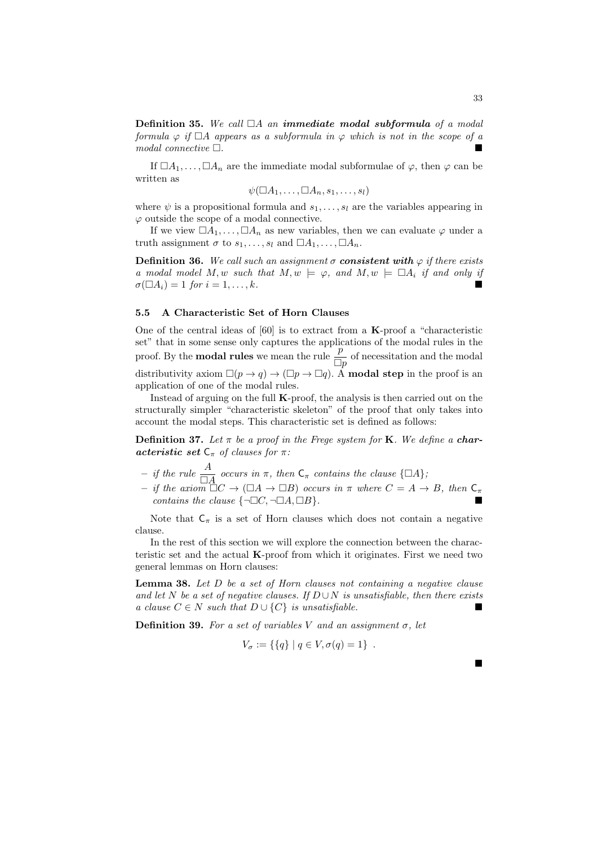Definition 35. We call  $\Box A$  an immediate modal subformula of a modal formula  $\varphi$  if  $\Box A$  appears as a subformula in  $\varphi$  which is not in the scope of a  $\Box$  modal connective  $\Box$ .

If  $\Box A_1, \ldots, \Box A_n$  are the immediate modal subformulae of  $\varphi$ , then  $\varphi$  can be written as

$$
\psi(\Box A_1,\ldots,\Box A_n,s_1,\ldots,s_l)
$$

where  $\psi$  is a propositional formula and  $s_1, \ldots, s_l$  are the variables appearing in  $\varphi$  outside the scope of a modal connective.

If we view  $\Box A_1, \ldots, \Box A_n$  as new variables, then we can evaluate  $\varphi$  under a truth assignment  $\sigma$  to  $s_1, \ldots, s_l$  and  $\Box A_1, \ldots, \Box A_n$ .

**Definition 36.** We call such an assignment  $\sigma$  **consistent with**  $\varphi$  if there exists a modal model M, w such that  $M, w \models \varphi$ , and  $M, w \models \Box A_i$  if and only if  $\sigma(\Box A_i) = 1$  for  $i = 1, \ldots, k$ .

### 5.5 A Characteristic Set of Horn Clauses

One of the central ideas of  $[60]$  is to extract from a **K**-proof a "characteristic set" that in some sense only captures the applications of the modal rules in the proof. By the **modal rules** we mean the rule  $\frac{p}{\Box p}$  of necessitation and the modal distributivity axiom  $\Box(p \to q) \to (\Box p \to \Box q)$ . A modal step in the proof is an application of one of the modal rules.

Instead of arguing on the full K-proof, the analysis is then carried out on the structurally simpler "characteristic skeleton" of the proof that only takes into account the modal steps. This characteristic set is defined as follows:

**Definition 37.** Let  $\pi$  be a proof in the Freque system for **K**. We define a **char**acteristic set  $C_{\pi}$  of clauses for  $\pi$ :

- $-$  if the rule  $\frac{A}{\Box A}$  occurs in π, then **C**<sub>π</sub> contains the clause { $\Box A$ };
- $-$  if the axiom  $\Box C \rightarrow (\Box A \rightarrow \Box B)$  occurs in  $\pi$  where  $C = A \rightarrow B$ , then  $C_{\pi}$ contains the clause  $\{\neg \Box C, \neg \Box A, \Box B\}.$

Note that  $C_{\pi}$  is a set of Horn clauses which does not contain a negative clause.

In the rest of this section we will explore the connection between the characteristic set and the actual K-proof from which it originates. First we need two general lemmas on Horn clauses:

**Lemma 38.** Let  $D$  be a set of Horn clauses not containing a negative clause and let N be a set of negative clauses. If  $D \cup N$  is unsatisfiable, then there exists a clause  $C \in N$  such that  $D \cup \{C\}$  is unsatisfiable. a clause  $C \in N$  such that  $D \cup \{C\}$  is unsatisfiable.

**Definition 39.** For a set of variables V and an assignment  $\sigma$ , let

$$
V_{\sigma} := \{ \{q\} \mid q \in V, \sigma(q) = 1 \} .
$$

 $\blacksquare$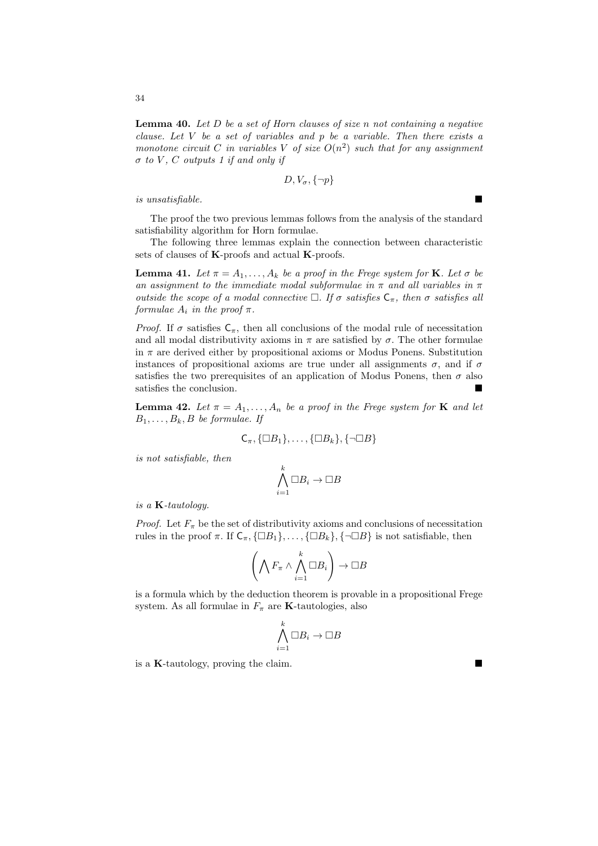**Lemma 40.** Let  $D$  be a set of Horn clauses of size n not containing a negative clause. Let  $V$  be a set of variables and  $p$  be a variable. Then there exists a monotone circuit C in variables V of size  $O(n^2)$  such that for any assignment  $\sigma$  to V, C outputs 1 if and only if

$$
D, V_{\sigma}, \{\neg p\}
$$

is unsatisfiable.

The proof the two previous lemmas follows from the analysis of the standard satisfiability algorithm for Horn formulae.

The following three lemmas explain the connection between characteristic sets of clauses of K-proofs and actual K-proofs.

**Lemma 41.** Let  $\pi = A_1, \ldots, A_k$  be a proof in the Frege system for **K**. Let  $\sigma$  be an assignment to the immediate modal subformulae in  $\pi$  and all variables in  $\pi$ outside the scope of a modal connective  $\Box$ . If  $\sigma$  satisfies  $C_{\pi}$ , then  $\sigma$  satisfies all formulae  $A_i$  in the proof  $\pi$ .

*Proof.* If  $\sigma$  satisfies  $C_{\pi}$ , then all conclusions of the modal rule of necessitation and all modal distributivity axioms in  $\pi$  are satisfied by  $\sigma$ . The other formulae in  $\pi$  are derived either by propositional axioms or Modus Ponens. Substitution instances of propositional axioms are true under all assignments  $\sigma$ , and if  $\sigma$ satisfies the two prerequisites of an application of Modus Ponens, then  $\sigma$  also satisfies the conclusion.

**Lemma 42.** Let  $\pi = A_1, \ldots, A_n$  be a proof in the Frege system for **K** and let  $B_1, \ldots, B_k, B$  be formulae. If

$$
\mathsf{C}_\pi,\{\Box B_1\},\ldots,\{\Box B_k\},\{\neg\Box B\}
$$

is not satisfiable, then

$$
\bigwedge_{i=1}^k \Box B_i \to \Box B
$$

is a K-tautology.

*Proof.* Let  $F_\pi$  be the set of distributivity axioms and conclusions of necessitation rules in the proof  $\pi$ . If  $\mathsf{C}_{\pi}$ ,  $\{\Box B_1\}, \ldots, \{\Box B_k\}, \{\neg \Box B\}$  is not satisfiable, then

$$
\left(\bigwedge F_{\pi} \land \bigwedge_{i=1}^{k} \Box B_{i}\right) \to \Box B
$$

is a formula which by the deduction theorem is provable in a propositional Frege system. As all formulae in  $F_{\pi}$  are **K**-tautologies, also

$$
\bigwedge_{i=1}^k \Box B_i \to \Box B
$$

is a K-tautology, proving the claim.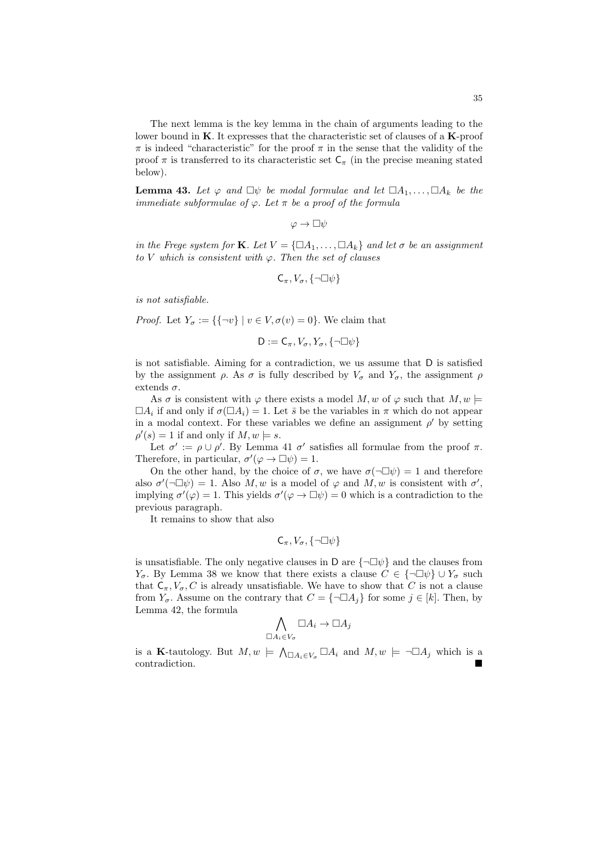The next lemma is the key lemma in the chain of arguments leading to the lower bound in K. It expresses that the characteristic set of clauses of a K-proof  $\pi$  is indeed "characteristic" for the proof  $\pi$  in the sense that the validity of the proof  $\pi$  is transferred to its characteristic set  $C_{\pi}$  (in the precise meaning stated below).

**Lemma 43.** Let  $\varphi$  and  $\Box \psi$  be modal formulae and let  $\Box A_1, \ldots, \Box A_k$  be the immediate subformulae of  $\varphi$ . Let  $\pi$  be a proof of the formula

$$
\varphi \to \Box \psi
$$

in the Frege system for **K**. Let  $V = {\square A_1, \ldots, \square A_k}$  and let  $\sigma$  be an assignment to V which is consistent with  $\varphi$ . Then the set of clauses

$$
\mathsf{C}_\pi, V_\sigma, \{\neg \Box \psi\}
$$

is not satisfiable.

*Proof.* Let  $Y_{\sigma} := \{\{\neg v\} \mid v \in V, \sigma(v) = 0\}$ . We claim that

$$
\mathsf{D}:=\mathsf{C}_\pi, V_\sigma, Y_\sigma, \{\neg \Box \psi\}
$$

is not satisfiable. Aiming for a contradiction, we us assume that D is satisfied by the assignment  $\rho$ . As  $\sigma$  is fully described by  $V_{\sigma}$  and  $Y_{\sigma}$ , the assignment  $\rho$ extends  $\sigma$ .

As  $\sigma$  is consistent with  $\varphi$  there exists a model M, w of  $\varphi$  such that  $M, w \models$  $\Box A_i$  if and only if  $\sigma(\Box A_i) = 1$ . Let  $\bar{s}$  be the variables in  $\pi$  which do not appear in a modal context. For these variables we define an assignment  $\rho'$  by setting  $\rho'(s) = 1$  if and only if  $M, w \models s$ .

Let  $\sigma' := \rho \cup \rho'$ . By Lemma 41  $\sigma'$  satisfies all formulae from the proof  $\pi$ . Therefore, in particular,  $\sigma'(\varphi \to \Box \psi) = 1$ .

On the other hand, by the choice of  $\sigma$ , we have  $\sigma(\neg \Box \psi) = 1$  and therefore also  $\sigma'(\neg \Box \psi) = 1$ . Also M, w is a model of  $\varphi$  and M, w is consistent with  $\sigma'$ , implying  $\sigma'(\varphi) = 1$ . This yields  $\sigma'(\varphi \to \Box \psi) = 0$  which is a contradiction to the previous paragraph.

It remains to show that also

$$
\mathsf{C}_\pi, V_\sigma, \{\neg \Box \psi\}
$$

is unsatisfiable. The only negative clauses in D are  $\{\neg \Box \psi\}$  and the clauses from  $Y_{\sigma}$ . By Lemma 38 we know that there exists a clause  $C \in \{\neg \Box \psi\} \cup Y_{\sigma}$  such that  $C_{\pi}$ ,  $V_{\sigma}$ , C is already unsatisfiable. We have to show that C is not a clause from  $Y_{\sigma}$ . Assume on the contrary that  $C = {\neg \Box A_j}$  for some  $j \in [k]$ . Then, by Lemma 42, the formula

$$
\bigwedge_{\Box A_i \in V_{\sigma}} \Box A_i \to \Box A_j
$$

is a K-tautology. But  $M, w \models \bigwedge_{\Box A_i \in V_{\sigma}} \Box A_i$  and  $M, w \models \neg \Box A_j$  which is a  $\blacksquare$ contradiction.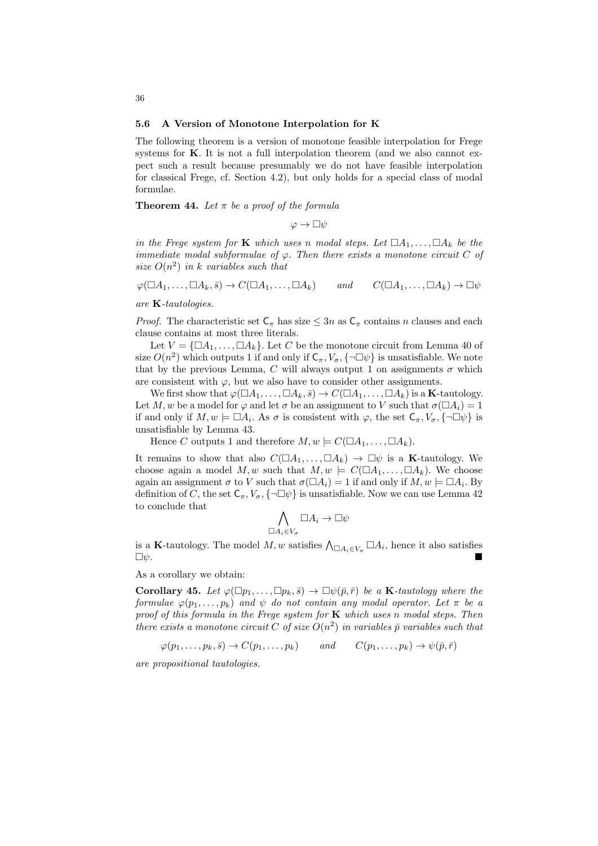## 5.6 A Version of Monotone Interpolation for K

The following theorem is a version of monotone feasible interpolation for Frege systems for  $K$ . It is not a full interpolation theorem (and we also cannot expect such a result because presumably we do not have feasible interpolation for classical Frege, cf. Section 4.2), but only holds for a special class of modal formulae.

**Theorem 44.** Let  $\pi$  be a proof of the formula

 $\varphi \to \Box \psi$ 

in the Frege system for **K** which uses n modal steps. Let  $\Box A_1, \ldots, \Box A_k$  be the immediate modal subformulae of  $\varphi$ . Then there exists a monotone circuit C of size  $O(n^2)$  in k variables such that

$$
\varphi(\Box A_1,\ldots,\Box A_k,\bar{s})\to C(\Box A_1,\ldots,\Box A_k)
$$
 and  $C(\Box A_1,\ldots,\Box A_k)\to \Box\psi$ 

are K-tautologies.

*Proof.* The characteristic set  $C_{\pi}$  has size  $\leq 3n$  as  $C_{\pi}$  contains n clauses and each clause contains at most three literals.

Let  $V = {\square}A_1, \ldots, \square A_k$ . Let C be the monotone circuit from Lemma 40 of size  $O(n^2)$  which outputs 1 if and only if  $\mathsf{C}_\pi$ ,  $V_\sigma$ ,  $\{\neg \Box \psi\}$  is unsatisfiable. We note that by the previous Lemma, C will always output 1 on assignments  $\sigma$  which are consistent with  $\varphi$ , but we also have to consider other assignments.

We first show that  $\varphi(\Box A_1, \ldots, \Box A_k, \bar{s}) \to C(\Box A_1, \ldots, \Box A_k)$  is a **K**-tautology. Let M, w be a model for  $\varphi$  and let  $\sigma$  be an assignment to V such that  $\sigma(\Box A_i) = 1$ if and only if  $M, w \models \Box A_i$ . As  $\sigma$  is consistent with  $\varphi$ , the set  $C_{\pi}, V_{\sigma}, \{\neg \Box \psi\}$  is unsatisfiable by Lemma 43.

Hence C outputs 1 and therefore  $M, w \models C(\Box A_1, \ldots, \Box A_k)$ .

 $\Box$ 

It remains to show that also  $C(\Box A_1, \ldots, \Box A_k) \rightarrow \Box \psi$  is a **K**-tautology. We choose again a model M, w such that  $M, w \models C(\Box A_1, \ldots, \Box A_k)$ . We choose again an assignment  $\sigma$  to V such that  $\sigma(\Box A_i) = 1$  if and only if  $M, w \models \Box A_i$ . By definition of C, the set  $C_{\pi}$ ,  $V_{\sigma}$ ,  $\{\neg \Box \psi\}$  is unsatisfiable. Now we can use Lemma 42 to conclude that

$$
\bigwedge_{\mathrm{I} A_i \in V_{\sigma}} \Box A_i \to \Box \psi
$$

is a K-tautology. The model  $M, w$  satisfies  $\bigwedge_{\Box A_i \in V_{\sigma}} \Box A_i$ , hence it also satisfies  $\Box \psi$ .

As a corollary we obtain:

**Corollary 45.** Let  $\varphi(\Box p_1, \ldots, \Box p_k, \bar{s}) \rightarrow \Box \psi(\bar{p}, \bar{r})$  be a **K**-tautology where the formulae  $\varphi(p_1,\ldots,p_k)$  and  $\psi$  do not contain any modal operator. Let  $\pi$  be a proof of this formula in the Frege system for  $K$  which uses n modal steps. Then there exists a monotone circuit C of size  $O(n^2)$  in variables  $\bar{p}$  variables such that

$$
\varphi(p_1,\ldots,p_k,\bar{s})\to C(p_1,\ldots,p_k)
$$
 and  $C(p_1,\ldots,p_k)\to\psi(\bar{p},\bar{r})$ 

are propositional tautologies.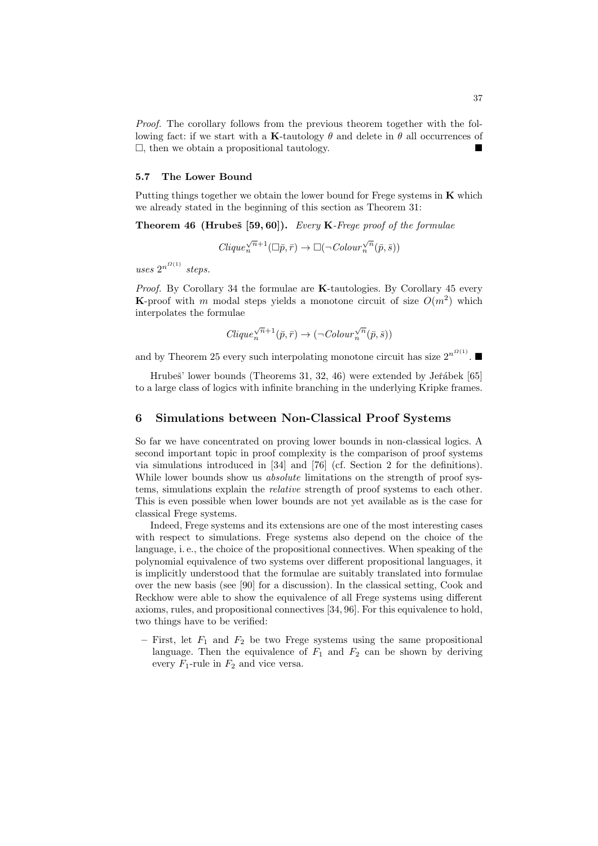Proof. The corollary follows from the previous theorem together with the following fact: if we start with a K-tautology  $\theta$  and delete in  $\theta$  all occurrences of  $\square$ , then we obtain a propositional tautology.

#### 5.7 The Lower Bound

Putting things together we obtain the lower bound for Frege systems in  $K$  which we already stated in the beginning of this section as Theorem 31:

Theorem 46 (Hrubeš  $[59, 60]$ ). Every K-Frege proof of the formulae

$$
\textit{Clique}^{\sqrt{n}+1}_n(\Box \bar{p}, \bar{r}) \to \Box (\neg \textit{Colour}^{\sqrt{n}}_n(\bar{p}, \bar{s}))
$$

uses  $2^{n^{\Omega(1)}}$  steps.

Proof. By Corollary 34 the formulae are K-tautologies. By Corollary 45 every **K**-proof with m modal steps yields a monotone circuit of size  $O(m^2)$  which interpolates the formulae

$$
\textit{Clique}^{\sqrt{n}+1}_{n}(\bar{p},\bar{r}) \rightarrow (\neg \textit{Colour}^{\sqrt{n}}_{n}(\bar{p},\bar{s}))
$$

and by Theorem 25 every such interpolating monotone circuit has size  $2^{n^{\Omega(1)}}$ .

Hrubeš' lower bounds (Theorems 31, 32, 46) were extended by Jeřábek  $[65]$ to a large class of logics with infinite branching in the underlying Kripke frames.

## 6 Simulations between Non-Classical Proof Systems

So far we have concentrated on proving lower bounds in non-classical logics. A second important topic in proof complexity is the comparison of proof systems via simulations introduced in [34] and [76] (cf. Section 2 for the definitions). While lower bounds show us *absolute* limitations on the strength of proof systems, simulations explain the *relative* strength of proof systems to each other. This is even possible when lower bounds are not yet available as is the case for classical Frege systems.

Indeed, Frege systems and its extensions are one of the most interesting cases with respect to simulations. Frege systems also depend on the choice of the language, i. e., the choice of the propositional connectives. When speaking of the polynomial equivalence of two systems over different propositional languages, it is implicitly understood that the formulae are suitably translated into formulae over the new basis (see [90] for a discussion). In the classical setting, Cook and Reckhow were able to show the equivalence of all Frege systems using different axioms, rules, and propositional connectives [34, 96]. For this equivalence to hold, two things have to be verified:

– First, let  $F_1$  and  $F_2$  be two Frege systems using the same propositional language. Then the equivalence of  $F_1$  and  $F_2$  can be shown by deriving every  $F_1$ -rule in  $F_2$  and vice versa.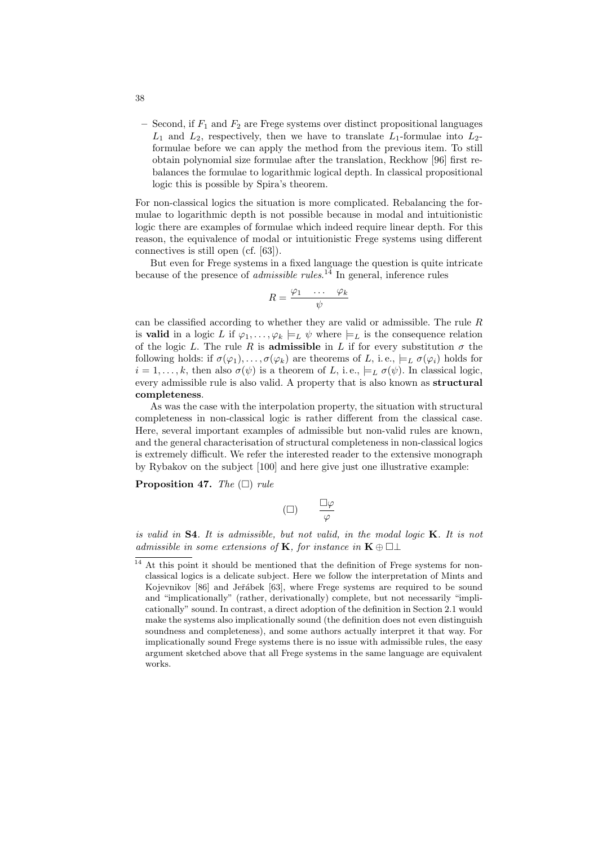– Second, if  $F_1$  and  $F_2$  are Frege systems over distinct propositional languages  $L_1$  and  $L_2$ , respectively, then we have to translate  $L_1$ -formulae into  $L_2$ formulae before we can apply the method from the previous item. To still obtain polynomial size formulae after the translation, Reckhow [96] first rebalances the formulae to logarithmic logical depth. In classical propositional logic this is possible by Spira's theorem.

For non-classical logics the situation is more complicated. Rebalancing the formulae to logarithmic depth is not possible because in modal and intuitionistic logic there are examples of formulae which indeed require linear depth. For this reason, the equivalence of modal or intuitionistic Frege systems using different connectives is still open (cf. [63]).

But even for Frege systems in a fixed language the question is quite intricate because of the presence of *admissible rules*.<sup>14</sup> In general, inference rules

$$
R = \frac{\varphi_1 \quad \cdots \quad \varphi_k}{\psi}
$$

can be classified according to whether they are valid or admissible. The rule  $R$ is **valid** in a logic L if  $\varphi_1, \ldots, \varphi_k \models_L \psi$  where  $\models_L$  is the consequence relation of the logic L. The rule R is admissible in L if for every substitution  $\sigma$  the following holds: if  $\sigma(\varphi_1), \ldots, \sigma(\varphi_k)$  are theorems of L, i.e.,  $\models_L \sigma(\varphi_i)$  holds for  $i = 1, \ldots, k$ , then also  $\sigma(\psi)$  is a theorem of L, i.e.,  $\models_L \sigma(\psi)$ . In classical logic, every admissible rule is also valid. A property that is also known as structural completeness.

As was the case with the interpolation property, the situation with structural completeness in non-classical logic is rather different from the classical case. Here, several important examples of admissible but non-valid rules are known, and the general characterisation of structural completeness in non-classical logics is extremely difficult. We refer the interested reader to the extensive monograph by Rybakov on the subject [100] and here give just one illustrative example:

**Proposition 47.** The  $(\Box)$  rule

$$
(\Box) \qquad \frac{\Box \varphi}{\varphi}
$$

is valid in  $S4$ . It is admissible, but not valid, in the modal logic  $K$ . It is not admissible in some extensions of **K**, for instance in  $K \oplus \Box \bot$ 

 $14$  At this point it should be mentioned that the definition of Frege systems for nonclassical logics is a delicate subject. Here we follow the interpretation of Mints and Kojevnikov [86] and Jeřábek [63], where Frege systems are required to be sound and "implicationally" (rather, derivationally) complete, but not necessarily "implicationally" sound. In contrast, a direct adoption of the definition in Section 2.1 would make the systems also implicationally sound (the definition does not even distinguish soundness and completeness), and some authors actually interpret it that way. For implicationally sound Frege systems there is no issue with admissible rules, the easy argument sketched above that all Frege systems in the same language are equivalent works.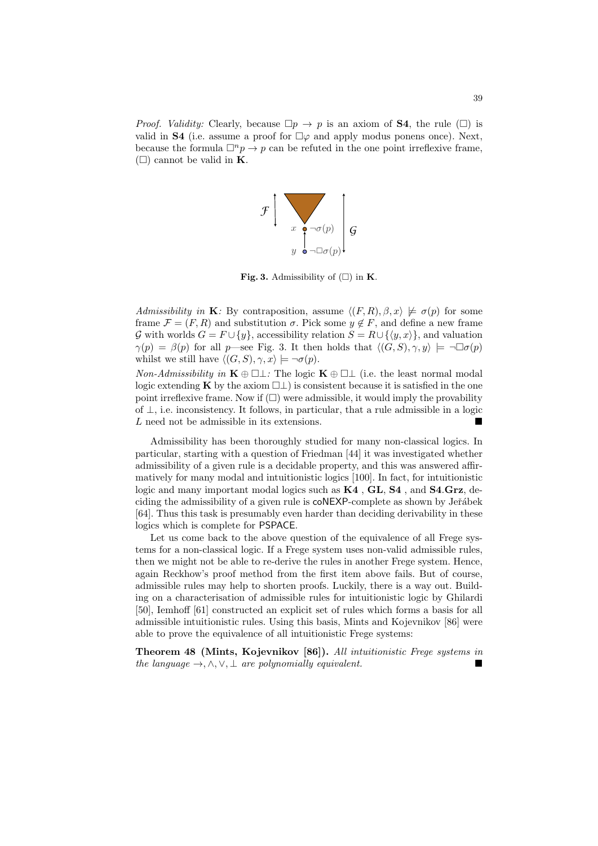*Proof.* Validity: Clearly, because  $\Box p \rightarrow p$  is an axiom of **S4**, the rule  $(\Box)$  is valid in S4 (i.e. assume a proof for  $\square \varphi$  and apply modus ponens once). Next, because the formula  $\Box^n p \rightarrow p$  can be refuted in the one point irreflexive frame,  $(\Box)$  cannot be valid in **K**.



Fig. 3. Admissibility of  $(\Box)$  in K.

frame  $\mathcal{F} = (F, R)$  and substitution  $\sigma$ . Pick some  $y \notin F$ , and define a new frame Admissibility in **K**: By contraposition, assume  $\langle (F, R), \beta, x \rangle \not\models \sigma(p)$  for some G with worlds  $G = F \cup \{y\}$ , accessibility relation  $S = R \cup \{\langle y, x \rangle\}$ , and valuation  $\gamma(p) = \beta(p)$  for all p—see Fig. 3. It then holds that  $\langle (G, S), \gamma, y \rangle \models \neg \Box \sigma(p)$ whilst we still have  $\langle (G, S), \gamma, x \rangle \models \neg \sigma(p)$ .

Non-Admissibility in  $\mathbf{K} \oplus \square \perp$ : The logic  $\mathbf{K} \oplus \square \perp$  (i.e. the least normal modal logic extending **K** by the axiom  $\Box \bot$ ) is consistent because it is satisfied in the one point irreflexive frame. Now if  $(\Box)$  were admissible, it would imply the provability of ⊥, i.e. inconsistency. It follows, in particular, that a rule admissible in a logic L need not be admissible in its extensions.

Admissibility has been thoroughly studied for many non-classical logics. In particular, starting with a question of Friedman [44] it was investigated whether admissibility of a given rule is a decidable property, and this was answered affirmatively for many modal and intuitionistic logics [100]. In fact, for intuitionistic logic and many important modal logics such as  $K4$ ,  $GL$ ,  $S4$ , and  $S4.G$ rz, deciding the admissibility of a given rule is  $coNEXP$ -complete as shown by Jeřábek [64]. Thus this task is presumably even harder than deciding derivability in these logics which is complete for PSPACE.

Let us come back to the above question of the equivalence of all Frege systems for a non-classical logic. If a Frege system uses non-valid admissible rules, then we might not be able to re-derive the rules in another Frege system. Hence, again Reckhow's proof method from the first item above fails. But of course, admissible rules may help to shorten proofs. Luckily, there is a way out. Building on a characterisation of admissible rules for intuitionistic logic by Ghilardi [50], Iemhoff [61] constructed an explicit set of rules which forms a basis for all admissible intuitionistic rules. Using this basis, Mints and Kojevnikov [86] were able to prove the equivalence of all intuitionistic Frege systems:

Theorem 48 (Mints, Kojevnikov [86]). All intuitionistic Frege systems in the language  $\rightarrow$ ,  $\land$ ,  $\lor$ ,  $\bot$  are polynomially equivalent.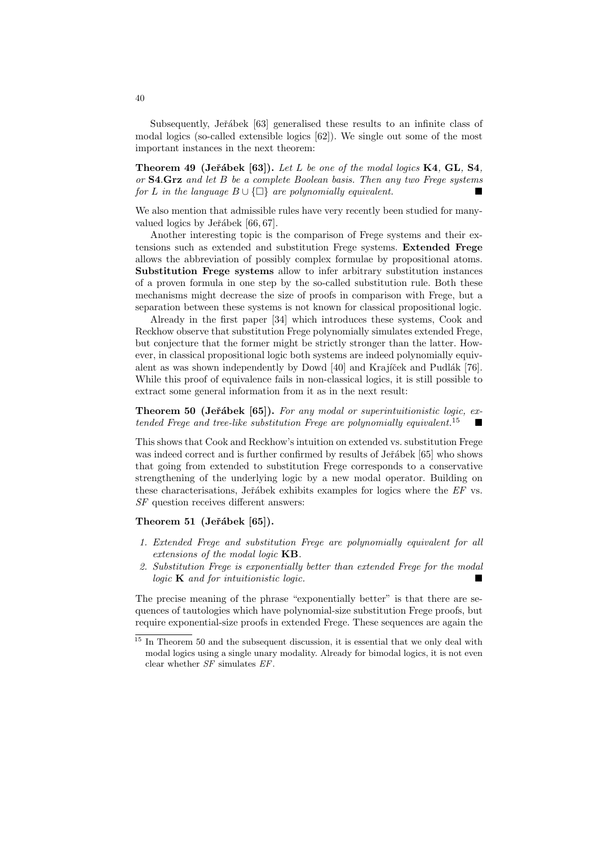Subsequently, Jeřábek [63] generalised these results to an infinite class of modal logics (so-called extensible logics [62]). We single out some of the most important instances in the next theorem:

Theorem 49 (Jeřábek [63]). Let L be one of the modal logics  $K4$ ,  $GL$ ,  $S4$ , or  $S4.Grz$  and let B be a complete Boolean basis. Then any two Frege systems for L in the language  $B \cup \{\Box\}$  are polynomially equivalent.

We also mention that admissible rules have very recently been studied for manyvalued logics by Jeřábek [66, 67].

Another interesting topic is the comparison of Frege systems and their extensions such as extended and substitution Frege systems. Extended Frege allows the abbreviation of possibly complex formulae by propositional atoms. Substitution Frege systems allow to infer arbitrary substitution instances of a proven formula in one step by the so-called substitution rule. Both these mechanisms might decrease the size of proofs in comparison with Frege, but a separation between these systems is not known for classical propositional logic.

Already in the first paper [34] which introduces these systems, Cook and Reckhow observe that substitution Frege polynomially simulates extended Frege, but conjecture that the former might be strictly stronger than the latter. However, in classical propositional logic both systems are indeed polynomially equivalent as was shown independently by Dowd [40] and Krajíček and Pudlák [76]. While this proof of equivalence fails in non-classical logics, it is still possible to extract some general information from it as in the next result:

Theorem 50 (Jeřábek  $[65]$ ). For any modal or superintuitionistic logic, extended Frege and tree-like substitution Frege are polynomially equivalent.<sup>15</sup>

This shows that Cook and Reckhow's intuition on extended vs. substitution Frege was indeed correct and is further confirmed by results of Jeřábek [65] who shows that going from extended to substitution Frege corresponds to a conservative strengthening of the underlying logic by a new modal operator. Building on these characterisations, Je $\check{\text{right}}$  exhibits examples for logics where the  $EF$  vs. SF question receives different answers:

## Theorem 51 (Jeřábek [65]).

- 1. Extended Frege and substitution Frege are polynomially equivalent for all extensions of the modal logic KB.
- 2. Substitution Frege is exponentially better than extended Frege for the modal logic  $\bf{K}$  and for intuitionistic logic.

The precise meaning of the phrase "exponentially better" is that there are sequences of tautologies which have polynomial-size substitution Frege proofs, but require exponential-size proofs in extended Frege. These sequences are again the

 $15$  In Theorem 50 and the subsequent discussion, it is essential that we only deal with modal logics using a single unary modality. Already for bimodal logics, it is not even clear whether SF simulates EF.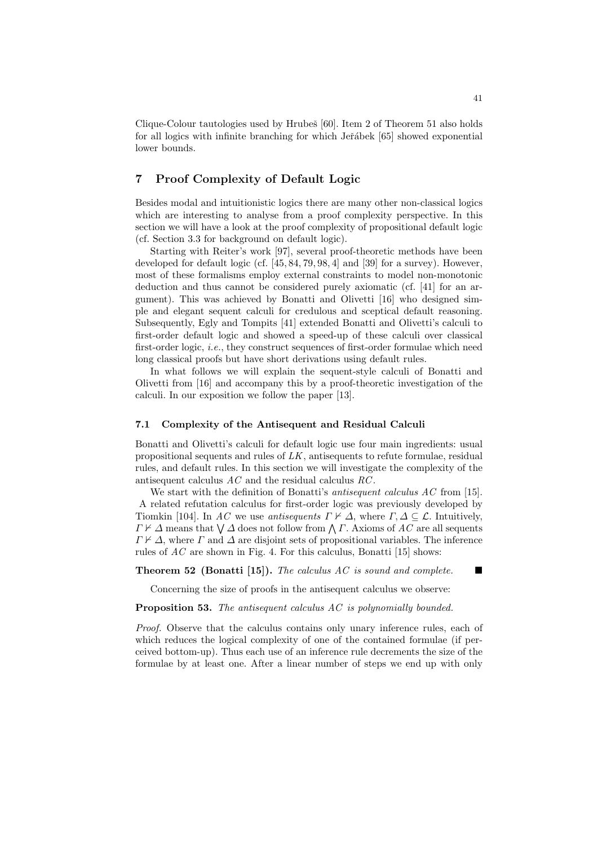Clique-Colour tautologies used by Hrubeš  $[60]$ . Item 2 of Theorem 51 also holds for all logics with infinite branching for which Jeřábek [65] showed exponential lower bounds.

## 7 Proof Complexity of Default Logic

Besides modal and intuitionistic logics there are many other non-classical logics which are interesting to analyse from a proof complexity perspective. In this section we will have a look at the proof complexity of propositional default logic (cf. Section 3.3 for background on default logic).

Starting with Reiter's work [97], several proof-theoretic methods have been developed for default logic (cf. [45, 84, 79, 98, 4] and [39] for a survey). However, most of these formalisms employ external constraints to model non-monotonic deduction and thus cannot be considered purely axiomatic (cf. [41] for an argument). This was achieved by Bonatti and Olivetti [16] who designed simple and elegant sequent calculi for credulous and sceptical default reasoning. Subsequently, Egly and Tompits [41] extended Bonatti and Olivetti's calculi to first-order default logic and showed a speed-up of these calculi over classical first-order logic, *i.e.*, they construct sequences of first-order formulae which need long classical proofs but have short derivations using default rules.

In what follows we will explain the sequent-style calculi of Bonatti and Olivetti from [16] and accompany this by a proof-theoretic investigation of the calculi. In our exposition we follow the paper [13].

#### 7.1 Complexity of the Antisequent and Residual Calculi

Bonatti and Olivetti's calculi for default logic use four main ingredients: usual propositional sequents and rules of LK, antisequents to refute formulae, residual rules, and default rules. In this section we will investigate the complexity of the antisequent calculus AC and the residual calculus RC .

We start with the definition of Bonatti's *antisequent calculus AC* from [15]. A related refutation calculus for first-order logic was previously developed by Tiomkin [104]. In AC we use antisequents  $\Gamma \nvdash \Delta$ , where  $\Gamma, \Delta \subseteq \mathcal{L}$ . Intuitively,  $\Gamma \nvdash \Delta$  means that  $\bigvee \Delta$  does not follow from  $\bigwedge \Gamma$ . Axioms of AC are all sequents  $\Gamma \nvdash \Delta$ , where  $\Gamma$  and  $\Delta$  are disjoint sets of propositional variables. The inference rules of  $AC$  are shown in Fig. 4. For this calculus, Bonatti [15] shows:

**Theorem 52 (Bonatti [15]).** The calculus AC is sound and complete.

Concerning the size of proofs in the antisequent calculus we observe:

**Proposition 53.** The antisequent calculus AC is polynomially bounded.

Proof. Observe that the calculus contains only unary inference rules, each of which reduces the logical complexity of one of the contained formulae (if perceived bottom-up). Thus each use of an inference rule decrements the size of the formulae by at least one. After a linear number of steps we end up with only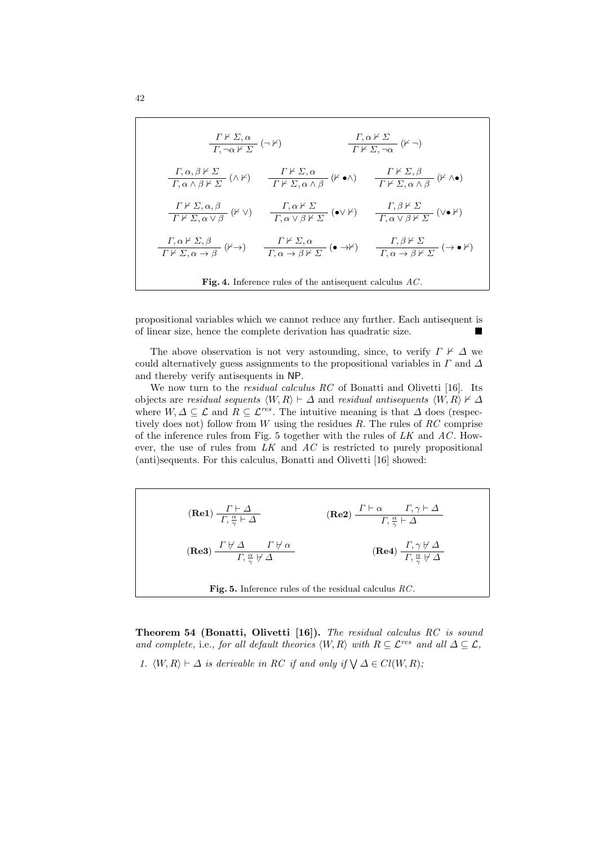$$
\frac{\Gamma \nvdash \Sigma, \alpha}{\Gamma, \neg \alpha \nvdash \Sigma} (\neg \nvdash) \qquad \frac{\Gamma, \alpha \nvdash \Sigma}{\Gamma \nvdash \Sigma, \neg \alpha} (\nvdash \neg)
$$
\n
$$
\frac{\Gamma, \alpha, \beta \nvdash \Sigma}{\Gamma, \alpha \land \beta \nvdash \Sigma} (\land \nvdash) \qquad \frac{\Gamma \nvdash \Sigma, \alpha}{\Gamma \nvdash \Sigma, \alpha \land \beta} (\nvdash \bullet \land) \qquad \frac{\Gamma \nvdash \Sigma, \beta}{\Gamma \nvdash \Sigma, \alpha \land \beta} (\nvdash \land \bullet)
$$
\n
$$
\frac{\Gamma \nvdash \Sigma, \alpha, \beta}{\Gamma \nvdash \Sigma, \alpha \lor \beta} (\nvdash \lor) \qquad \frac{\Gamma, \alpha \nvdash \Sigma}{\Gamma, \alpha \lor \beta \nvdash \Sigma} (\bullet \lor \nvdash) \qquad \frac{\Gamma, \beta \nvdash \Sigma}{\Gamma, \alpha \lor \beta \nvdash \Sigma} (\lor \bullet \nvdash)
$$
\n
$$
\frac{\Gamma, \alpha \nvdash \Sigma, \beta}{\Gamma \nvdash \Sigma, \alpha \to \beta} (\nvdash \rightarrow) \qquad \frac{\Gamma \nvdash \Sigma, \alpha}{\Gamma, \alpha \to \beta \nvdash \Sigma} (\bullet \rightarrow \nvdash) \qquad \frac{\Gamma, \beta \nvdash \Sigma}{\Gamma, \alpha \to \beta \nvdash \Sigma} (\rightarrow \bullet \nvdash)
$$
\n
$$
\text{Fig. 4. Inference rules of the antisquent calculus } AC.
$$

propositional variables which we cannot reduce any further. Each antisequent is of linear size, hence the complete derivation has quadratic size.

The above observation is not very astounding, since, to verify  $\Gamma \nvdash \Delta$  we could alternatively guess assignments to the propositional variables in  $\Gamma$  and  $\Delta$ and thereby verify antisequents in NP.

We now turn to the *residual calculus RC* of Bonatti and Olivetti [16]. Its objects are residual sequents  $\langle W, R \rangle \vdash \Delta$  and residual antisequents  $\langle W, R \rangle \nvdash \Delta$ where  $W, \Delta \subseteq \mathcal{L}$  and  $R \subseteq \mathcal{L}^{res}$ . The intuitive meaning is that  $\Delta$  does (respectively does not) follow from  $W$  using the residues  $R$ . The rules of  $RC$  comprise of the inference rules from Fig. 5 together with the rules of  $LK$  and  $AC$ . However, the use of rules from  $LK$  and  $AC$  is restricted to purely propositional (anti)sequents. For this calculus, Bonatti and Olivetti [16] showed:



Theorem 54 (Bonatti, Olivetti [16]). The residual calculus RC is sound and complete, i.e., for all default theories  $\langle W, R \rangle$  with  $R \subseteq \mathcal{L}^{res}$  and all  $\Delta \subseteq \mathcal{L}$ ,

1.  $\langle W, R \rangle \vdash \Delta$  is derivable in RC if and only if  $\bigvee \Delta \in Cl(W, R)$ ;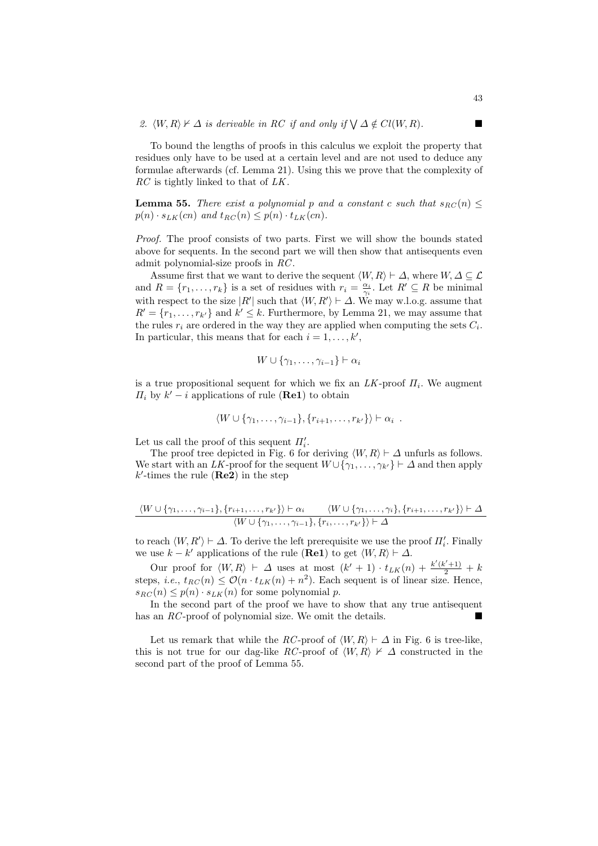## 2.  $\langle W, R \rangle \nvdash \Delta$  is derivable in RC if and only if  $\bigvee \Delta \notin Cl(W, R)$ .

To bound the lengths of proofs in this calculus we exploit the property that residues only have to be used at a certain level and are not used to deduce any formulae afterwards (cf. Lemma 21). Using this we prove that the complexity of RC is tightly linked to that of LK.

**Lemma 55.** There exist a polynomial p and a constant c such that  $s_{RC}(n) \leq$  $p(n) \cdot s_{LK}(cn)$  and  $t_{RC}(n) \leq p(n) \cdot t_{LK}(cn)$ .

Proof. The proof consists of two parts. First we will show the bounds stated above for sequents. In the second part we will then show that antisequents even admit polynomial-size proofs in RC .

Assume first that we want to derive the sequent  $\langle W, R \rangle \vdash \Delta$ , where  $W, \Delta \subseteq \mathcal{L}$ and  $R = \{r_1, \ldots, r_k\}$  is a set of residues with  $r_i = \frac{\alpha_i}{\gamma_i}$ . Let  $R' \subseteq R$  be minimal with respect to the size  $|R'|$  such that  $\langle W, R'\rangle \vdash \Delta$ . We may w.l.o.g. assume that  $R' = \{r_1, \ldots, r_{k'}\}$  and  $k' \leq k$ . Furthermore, by Lemma 21, we may assume that the rules  $r_i$  are ordered in the way they are applied when computing the sets  $C_i$ . In particular, this means that for each  $i = 1, \ldots, k'$ ,

$$
W\cup\{\gamma_1,\ldots,\gamma_{i-1}\}\vdash\alpha_i
$$

is a true propositional sequent for which we fix an  $LK$ -proof  $\Pi_i$ . We augment  $\Pi_i$  by  $k'-i$  applications of rule (**Re1**) to obtain

$$
\langle W \cup \{\gamma_1,\ldots,\gamma_{i-1}\},\{r_{i+1},\ldots,r_{k'}\}\rangle \vdash \alpha_i.
$$

Let us call the proof of this sequent  $\Pi_i'$ .

The proof tree depicted in Fig. 6 for deriving  $\langle W, R \rangle \vdash \Delta$  unfurls as follows. We start with an LK-proof for the sequent  $W \cup \{\gamma_1, \ldots, \gamma_{k'}\} \vdash \Delta$  and then apply  $k'$ -times the rule ( $\bf{Re2)}$ ) in the step

$$
\frac{\langle W \cup \{\gamma_1,\ldots,\gamma_{i-1}\}, \{r_{i+1},\ldots,r_{k'}\}\rangle \vdash \alpha_i \qquad \langle W \cup \{\gamma_1,\ldots,\gamma_i\}, \{r_{i+1},\ldots,r_{k'}\}\rangle \vdash \Delta}{\langle W \cup \{\gamma_1,\ldots,\gamma_{i-1}\}, \{r_i,\ldots,r_{k'}\}\rangle \vdash \Delta}
$$

to reach  $\langle W, R' \rangle \vdash \Delta$ . To derive the left prerequisite we use the proof  $\Pi_i'$ . Finally we use  $k - k'$  applications of the rule (**Re1**) to get  $\langle W, R \rangle \vdash \Delta$ .

Our proof for  $\langle W, R \rangle \vdash \Delta$  uses at most  $(k' + 1) \cdot t_{LK}(n) + \frac{k'(k'+1)}{2} + k$ steps, *i.e.*,  $t_{RC}(n) \leq \mathcal{O}(n \cdot t_{LK}(n) + n^2)$ . Each sequent is of linear size. Hence,  $s_{RC}(n) \leq p(n) \cdot s_{LK}(n)$  for some polynomial p.

In the second part of the proof we have to show that any true antisequent has an RC-proof of polynomial size. We omit the details.

Let us remark that while the RC-proof of  $\langle W, R \rangle \vdash \Delta$  in Fig. 6 is tree-like, this is not true for our dag-like RC-proof of  $\langle W, R \rangle \nvdash \Delta$  constructed in the second part of the proof of Lemma 55.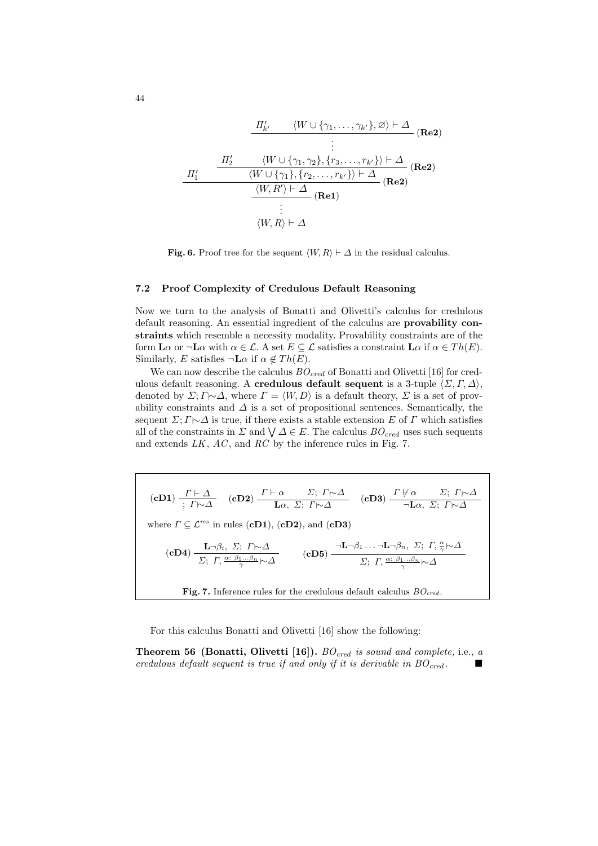$$
\frac{\Pi'_{k'} \qquad \langle W \cup \{\gamma_1, \dots, \gamma_{k'}\}, \varnothing \rangle \vdash \Delta}{\vdots}
$$
\n
$$
\frac{\Pi'_{2} \qquad \langle W \cup \{\gamma_1, \gamma_2\}, \{r_3, \dots, r_{k'}\} \rangle \vdash \Delta}{\langle W \cup \{\gamma_1\}, \{r_2, \dots, r_{k'}\} \rangle \vdash \Delta} \quad \textbf{(Re2)}
$$
\n
$$
\frac{\langle W, R' \rangle \vdash \Delta}{\vdots}
$$
\n
$$
\langle W, R \rangle \vdash \Delta
$$
\n
$$
\vdots
$$
\n
$$
\langle W, R \rangle \vdash \Delta
$$

Fig. 6. Proof tree for the sequent  $\langle W, R \rangle \vdash \Delta$  in the residual calculus.

#### 7.2 Proof Complexity of Credulous Default Reasoning

Now we turn to the analysis of Bonatti and Olivetti's calculus for credulous default reasoning. An essential ingredient of the calculus are provability constraints which resemble a necessity modality. Provability constraints are of the form  $\mathbf{L}\alpha$  or  $\neg \mathbf{L}\alpha$  with  $\alpha \in \mathcal{L}$ . A set  $E \subseteq \mathcal{L}$  satisfies a constraint  $\mathbf{L}\alpha$  if  $\alpha \in Th(E)$ . Similarly, E satisfies  $\neg \mathbf{L}\alpha$  if  $\alpha \notin Th(E)$ .

We can now describe the calculus  $BO_{\text{cred}}$  of Bonatti and Olivetti [16] for credulous default reasoning. A credulous default sequent is a 3-tuple  $\langle \Sigma, \Gamma, \Delta \rangle$ , denoted by  $\Sigma$ ;  $\Gamma \rightarrow \Delta$ , where  $\Gamma = \langle W, D \rangle$  is a default theory,  $\Sigma$  is a set of provability constraints and  $\Delta$  is a set of propositional sentences. Semantically, the sequent  $\Sigma$ ;  $\Gamma \sim \Delta$  is true, if there exists a stable extension E of  $\Gamma$  which satisfies all of the constraints in  $\Sigma$  and  $\bigvee \Delta \in E$ . The calculus  $BO_{\text{cred}}$  uses such sequents and extends  $LK$ ,  $AC$ , and  $RC$  by the inference rules in Fig. 7.

(cD1) 
$$
\frac{\Gamma \vdash \Delta}{;\Gamma \triangleright \Delta}
$$
 (cD2)  $\frac{\Gamma \vdash \alpha}{\mathbf{L}\alpha, \Sigma; \Gamma \triangleright \Delta}$  (cD3)  $\frac{\Gamma \not\vdash \alpha}{\neg \mathbf{L}\alpha, \Sigma; \Gamma \triangleright \Delta}$   
\nwhere  $\Gamma \subseteq \mathcal{L}^{res}$  in rules (cD1), (cD2), and (cD3)  
\n(cD4)  $\frac{\mathbf{L}\neg\beta_i, \Sigma; \Gamma \triangleright \Delta}{\Sigma; \Gamma, \frac{\alpha:\beta_1...\beta_n}{\gamma} \triangleright \Delta}$  (cD5)  $\frac{\neg \mathbf{L}\neg\beta_1 \dots \neg \mathbf{L}\neg\beta_n, \Sigma; \Gamma, \frac{\alpha}{\gamma} \triangleright \Delta}{\Sigma; \Gamma, \frac{\alpha:\beta_1...\beta_n}{\gamma} \triangleright \Delta}$   
\nFig. 7. Inference rules for the credulous default calculus  $BO_{\text{cred}}$ .

For this calculus Bonatti and Olivetti [16] show the following:

**Theorem 56 (Bonatti, Olivetti [16]).**  $BO_{\text{cred}}$  is sound and complete, i.e., a credulous default sequent is true if and only if it is derivable in  $BO_{\text{cred}}$ .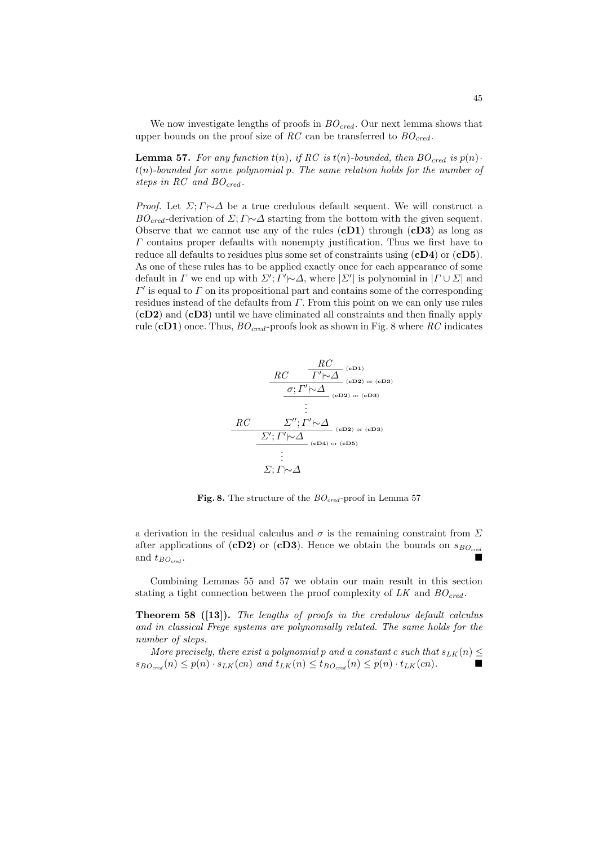We now investigate lengths of proofs in  $BO_{\text{cred}}$ . Our next lemma shows that upper bounds on the proof size of RC can be transferred to  $BO_{\text{cred}}$ .

**Lemma 57.** For any function  $t(n)$ , if RC is  $t(n)$ -bounded, then  $BO_{\text{cred}}$  is  $p(n)$ .  $t(n)$ -bounded for some polynomial p. The same relation holds for the number of steps in RC and  $BO_{\text{cred}}$ .

*Proof.* Let  $\Sigma$ ;  $\Gamma \sim \Delta$  be a true credulous default sequent. We will construct a BO<sub>cred</sub>-derivation of  $\Sigma$ ; Γ $\sim \Delta$  starting from the bottom with the given sequent. Observe that we cannot use any of the rules  $(cD1)$  through  $(cD3)$  as long as  $\Gamma$  contains proper defaults with nonempty justification. Thus we first have to reduce all defaults to residues plus some set of constraints using  $(cD4)$  or  $(cD5)$ . As one of these rules has to be applied exactly once for each appearance of some default in  $\Gamma$  we end up with  $\Sigma'; \Gamma' \sim \Delta$ , where  $|\Sigma'|$  is polynomial in  $|\Gamma \cup \Sigma|$  and  $\Gamma'$  is equal to  $\Gamma$  on its propositional part and contains some of the corresponding residues instead of the defaults from  $\Gamma$ . From this point on we can only use rules (cD2) and (cD3) until we have eliminated all constraints and then finally apply rule (cD1) once. Thus,  $BO_{cred}$ -proofs look as shown in Fig. 8 where RC indicates

$$
\frac{RC}{TC} \xrightarrow{r'\sim\Delta} \xrightarrow{(\text{cD1})} \xrightarrow{\text{(cD2) or (\text{cD3})}} \frac{\sigma; \Gamma'\sim\Delta}{\sigma; \Gamma'\sim\Delta} \xrightarrow{(\text{cD2}) \text{ or (\text{cD3})}} \vdots
$$
\n
$$
\frac{RC}{\Sigma'; \Gamma'\sim\Delta} \xrightarrow{(\text{cD2}) \text{ or (\text{cD3})}} \frac{\Sigma'; \Gamma'\sim\Delta}{\vdots}
$$
\n
$$
\Sigma; \Gamma\sim\Delta
$$

Fig. 8. The structure of the  $BO_{\text{cred}}$ -proof in Lemma 57

a derivation in the residual calculus and  $\sigma$  is the remaining constraint from  $\Sigma$ after applications of (cD2) or (cD3). Hence we obtain the bounds on  $s_{BO, red}$ and  $t_{BO_{cred}}$ .

Combining Lemmas 55 and 57 we obtain our main result in this section stating a tight connection between the proof complexity of LK and  $BO_{\text{cred}}$ .

Theorem 58 ([13]). The lengths of proofs in the credulous default calculus and in classical Frege systems are polynomially related. The same holds for the number of steps.

More precisely, there exist a polynomial p and a constant c such that  $s_{LK}(n) \leq$ <br> $\Omega_n(s) \leq n(n) \cdot s_{LK}(cn)$  and  $t_{LK}(n) \leq t_{RO}$   $(n) \leq n(n) \cdot t_{LK}(cn)$ .  $s_{BO_{cred}}(n) \leq p(n) \cdot s_{LK}(cn)$  and  $t_{LK}(n) \leq t_{BO_{cred}}(n) \leq p(n) \cdot t_{LK}(cn)$ .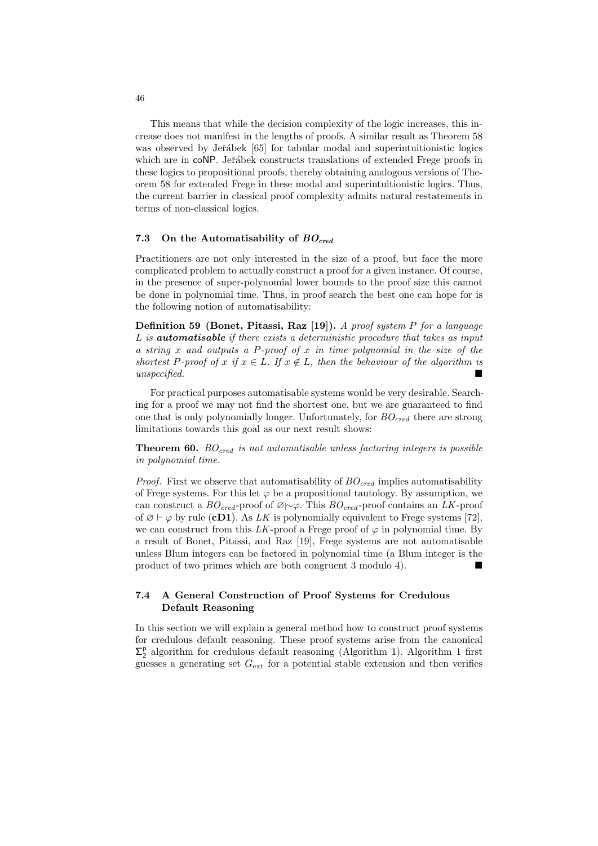This means that while the decision complexity of the logic increases, this increase does not manifest in the lengths of proofs. A similar result as Theorem 58 was observed by Jeřábek [65] for tabular modal and superintuitionistic logics which are in coNP. Jeřábek constructs translations of extended Frege proofs in these logics to propositional proofs, thereby obtaining analogous versions of Theorem 58 for extended Frege in these modal and superintuitionistic logics. Thus, the current barrier in classical proof complexity admits natural restatements in terms of non-classical logics.

#### 7.3 On the Automatisability of  $BO_{\text{cred}}$

Practitioners are not only interested in the size of a proof, but face the more complicated problem to actually construct a proof for a given instance. Of course, in the presence of super-polynomial lower bounds to the proof size this cannot be done in polynomial time. Thus, in proof search the best one can hope for is the following notion of automatisability:

Definition 59 (Bonet, Pitassi, Raz [19]). A proof system P for a language  $L$  is **automatisable** if there exists a deterministic procedure that takes as input a string  $x$  and outputs a P-proof of  $x$  in time polynomial in the size of the shortest P-proof of x if  $x \in L$ . If  $x \notin L$ , then the behaviour of the algorithm is unspecified. unspecified.

For practical purposes automatisable systems would be very desirable. Searching for a proof we may not find the shortest one, but we are guaranteed to find one that is only polynomially longer. Unfortunately, for  $BO_{cred}$  there are strong limitations towards this goal as our next result shows:

**Theorem 60.** BO<sub>cred</sub> is not automatisable unless factoring integers is possible in polynomial time.

*Proof.* First we observe that automatisability of  $BO_{\text{cred}}$  implies automatisability of Frege systems. For this let  $\varphi$  be a propositional tautology. By assumption, we can construct a  $BO_{cred}$ -proof of  $\varnothing \rightarrow \varphi$ . This  $BO_{cred}$ -proof contains an LK-proof of  $\varnothing \vdash \varphi$  by rule (cD1). As LK is polynomially equivalent to Frege systems [72], we can construct from this LK-proof a Frege proof of  $\varphi$  in polynomial time. By a result of Bonet, Pitassi, and Raz [19], Frege systems are not automatisable unless Blum integers can be factored in polynomial time (a Blum integer is the product of two primes which are both congruent 3 modulo 4).

## 7.4 A General Construction of Proof Systems for Credulous Default Reasoning

In this section we will explain a general method how to construct proof systems for credulous default reasoning. These proof systems arise from the canonical  $\Sigma_2^p$  algorithm for credulous default reasoning (Algorithm 1). Algorithm 1 first guesses a generating set  $G_{\text{ext}}$  for a potential stable extension and then verifies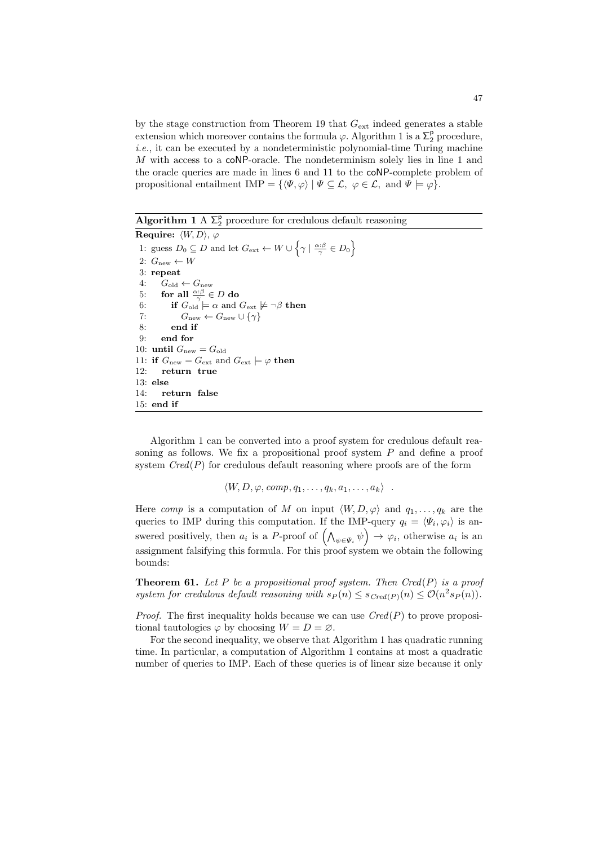by the stage construction from Theorem 19 that  $G_{\text{ext}}$  indeed generates a stable extension which moreover contains the formula  $\varphi$ . Algorithm 1 is a  $\Sigma_2^{\mathsf{p}}$  procedure, i.e., it can be executed by a nondeterministic polynomial-time Turing machine M with access to a coNP-oracle. The nondeterminism solely lies in line 1 and the oracle queries are made in lines 6 and 11 to the coNP-complete problem of propositional entailment IMP =  $\{\langle \Psi, \varphi \rangle \mid \Psi \subseteq \mathcal{L}, \varphi \in \mathcal{L}, \text{ and } \Psi \models \varphi\}.$ 

**Algorithm 1** A  $\Sigma_2^{\mathsf{p}}$  procedure for credulous default reasoning

Require:  $\langle W, D \rangle$ ,  $\varphi$ 1: guess  $D_0 \subseteq D$  and let  $G_{ext} \leftarrow W \cup \left\{ \gamma \mid \frac{\alpha:\beta}{\gamma} \in D_0 \right\}$ 2:  $G_{\text{new}} \leftarrow W$ 3: repeat 4:  $G_{\text{old}} \leftarrow G_{\text{new}}$ 5: for all  $\frac{\alpha:\beta}{\gamma} \in D$  do 6: if  $G_{\text{old}} \models \alpha$  and  $G_{\text{ext}} \not\models \neg \beta$  then 7:  $G_{\text{new}} \leftarrow G_{\text{new}} \cup {\gamma}$ <br>8: **end if** end if 9: end for 10: until  $G_{\text{new}} = G_{\text{old}}$ 11: if  $G_{\text{new}} = G_{\text{ext}}$  and  $G_{\text{ext}} \models \varphi$  then 12: return true 13: else 14: return false 15: end if

Algorithm 1 can be converted into a proof system for credulous default reasoning as follows. We fix a propositional proof system P and define a proof system  $Cred(P)$  for credulous default reasoning where proofs are of the form

 $\langle W, D, \varphi, comp, q_1, \ldots, q_k, a_1, \ldots, a_k \rangle$ .

Here *comp* is a computation of M on input  $\langle W, D, \varphi \rangle$  and  $q_1, \ldots, q_k$  are the queries to IMP during this computation. If the IMP-query  $q_i = \langle \Psi_i, \varphi_i \rangle$  is answered positively, then  $a_i$  is a P-proof of  $(\bigwedge_{\psi \in \Psi_i} \psi) \to \varphi_i$ , otherwise  $a_i$  is an assignment falsifying this formula. For this proof system we obtain the following bounds:

**Theorem 61.** Let P be a propositional proof system. Then  $Cred(P)$  is a proof system for credulous default reasoning with  $s_P(n) \leq s_{Cred(P)}(n) \leq \mathcal{O}(n^2 s_P(n)).$ 

*Proof.* The first inequality holds because we can use  $Cred(P)$  to prove propositional tautologies  $\varphi$  by choosing  $W = D = \varnothing$ .

For the second inequality, we observe that Algorithm 1 has quadratic running time. In particular, a computation of Algorithm 1 contains at most a quadratic number of queries to IMP. Each of these queries is of linear size because it only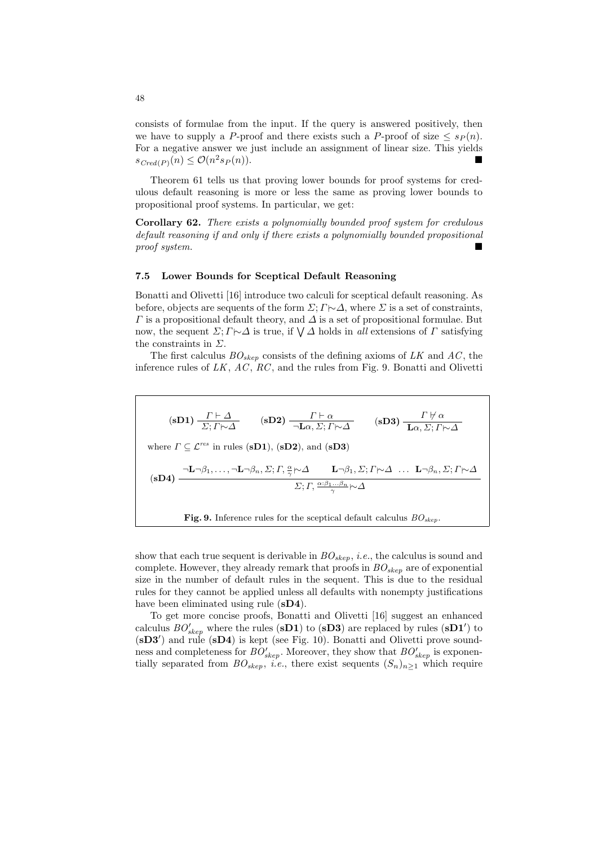consists of formulae from the input. If the query is answered positively, then we have to supply a P-proof and there exists such a P-proof of size  $\leq s_P(n)$ . For a negative answer we just include an assignment of linear size. This yields  $s_{Cred(P)}(n) \leq \mathcal{O}(n^2 s_P(n)).$ 

Theorem 61 tells us that proving lower bounds for proof systems for credulous default reasoning is more or less the same as proving lower bounds to propositional proof systems. In particular, we get:

Corollary 62. There exists a polynomially bounded proof system for credulous default reasoning if and only if there exists a polynomially bounded propositional proof system.

#### 7.5 Lower Bounds for Sceptical Default Reasoning

Bonatti and Olivetti [16] introduce two calculi for sceptical default reasoning. As before, objects are sequents of the form  $\Sigma$ ;  $\Gamma \sim \Delta$ , where  $\Sigma$  is a set of constraints,  $\Gamma$  is a propositional default theory, and  $\Delta$  is a set of propositional formulae. But now, the sequent  $\Sigma; \Gamma \rightarrow \Delta$  is true, if  $\bigvee \Delta$  holds in all extensions of  $\Gamma$  satisfying the constraints in  $\Sigma$ .

The first calculus  $BO_{skep}$  consists of the defining axioms of LK and AC, the inference rules of  $LK$ ,  $AC$ ,  $RC$ , and the rules from Fig. 9. Bonatti and Olivetti

$$
\begin{array}{ll}\n\textbf{(sD1)} \quad \frac{\Gamma \vdash \Delta}{\Sigma; \Gamma \nvdash \Delta} & \textbf{(sD2)} \quad \frac{\Gamma \vdash \alpha}{\neg \textbf{L}\alpha, \Sigma; \Gamma \nvdash \Delta} & \textbf{(sD3)} \quad \frac{\Gamma \not\models \alpha}{\textbf{L}\alpha, \Sigma; \Gamma \nvdash \Delta} \\
\text{where } \Gamma \subseteq \mathcal{L}^{res} \text{ in rules } \textbf{(sD1)}, \textbf{(sD2)}, \text{ and } \textbf{(sD3)} \\
\textbf{(sD4)} \quad \frac{\neg \textbf{L}\neg \beta_1, \dots, \neg \textbf{L}\neg \beta_n, \Sigma; \Gamma, \frac{\alpha}{\gamma} \nvdash \Delta}{\Sigma; \Gamma, \frac{\alpha; \beta_1 \dots \beta_n}{\gamma} \nvdash \Delta} \\
\textbf{Fig. 9. Inference rules for the sequential default calculus } BO_{\text{step}}.\n\end{array}
$$

show that each true sequent is derivable in  $BO_{skep}$ , *i.e.*, the calculus is sound and complete. However, they already remark that proofs in  $BO_{skep}$  are of exponential size in the number of default rules in the sequent. This is due to the residual rules for they cannot be applied unless all defaults with nonempty justifications have been eliminated using rule  $(sD4)$ .

To get more concise proofs, Bonatti and Olivetti [16] suggest an enhanced calculus  $BO'_{skep}$  where the rules (sD1) to (sD3) are replaced by rules (sD1<sup>'</sup>) to  $(sD3')$  and rule  $(sD4)$  is kept (see Fig. 10). Bonatti and Olivetti prove soundness and completeness for  $BO'_{skep}$ . Moreover, they show that  $BO'_{skep}$  is exponentially separated from  $BO_{skep}$ , *i.e.*, there exist sequents  $(S_n)_{n>1}$  which require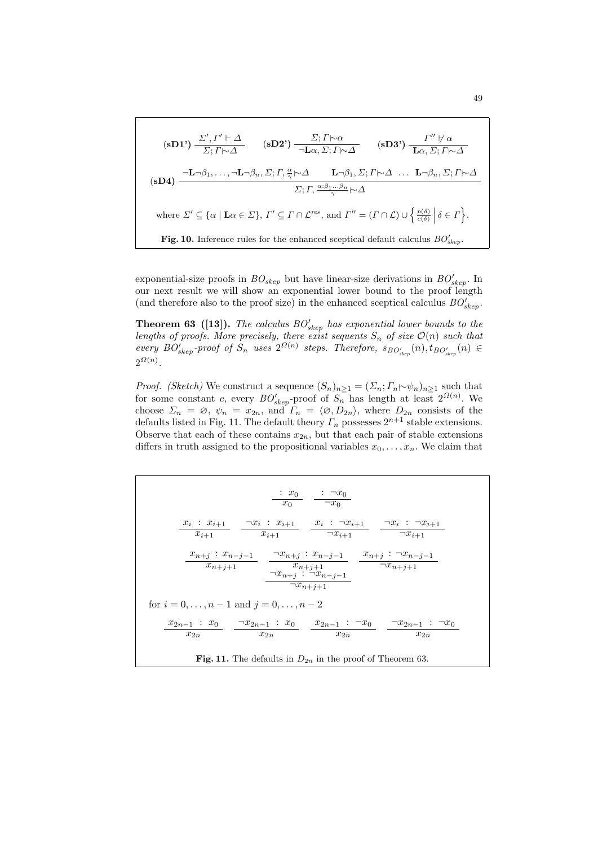$$
(\mathbf{sD1'}) \frac{\Sigma', \Gamma' \vdash \Delta}{\Sigma; \Gamma \uparrow \sim \Delta} \qquad (\mathbf{sD2'}) \frac{\Sigma; \Gamma \uparrow \sim \alpha}{\neg \mathbf{L}\alpha, \Sigma; \Gamma \uparrow \sim \Delta} \qquad (\mathbf{sD3'}) \frac{\Gamma'' \not\models \alpha}{\mathbf{L}\alpha, \Sigma; \Gamma \uparrow \sim \Delta}
$$

$$
(\mathbf{sD4}) \frac{\neg \mathbf{L}\neg \beta_1, \dots, \neg \mathbf{L}\neg \beta_n, \Sigma; \Gamma, \frac{\alpha}{\gamma} \uparrow \sim \Delta} {\Sigma; \Gamma, \frac{\alpha \cdot \beta_1 \dots \beta_n}{\gamma} \uparrow \sim \Delta} \dots \mathbf{L}\neg \beta_n, \Sigma; \Gamma \uparrow \sim \Delta}
$$
where  $\Sigma' \subseteq \{\alpha \mid \mathbf{L}\alpha \in \Sigma\}, \Gamma' \subseteq \Gamma \cap \mathcal{L}^{res}, \text{ and } \Gamma'' = (\Gamma \cap \mathcal{L}) \cup \left\{\frac{p(\delta)}{c(\delta)} \middle| \delta \in \Gamma\right\}.$   
Fig. 10. Inference rules for the enhanced sequential default calculus  $BO'_{\text{step}}$ .

exponential-size proofs in  $BO_{skep}$  but have linear-size derivations in  $BO_{skep}'$ . In our next result we will show an exponential lower bound to the proof length (and therefore also to the proof size) in the enhanced sceptical calculus  $BO'_{skep}$ .

**Theorem 63** ([13]). The calculus  $BO_{\text{skep}}'$  has exponential lower bounds to the lengths of proofs. More precisely, there exist sequents  $S_n$  of size  $\mathcal{O}(n)$  such that every  $BO'_{skep}$ -proof of  $S_n$  uses  $2^{\Omega(n)}$  steps. Therefore,  $s_{BO'_{skep}}(n), t_{BO'_{skep}}(n) \in$  $2^{\Omega(n)}$ .

*Proof.* (Sketch) We construct a sequence  $(S_n)_{n\geq 1} = (\Sigma_n; \Gamma_n \sim \psi_n)_{n\geq 1}$  such that for some constant c, every  $BO'_{skep}$ -proof of  $S_n$  has length at least  $2^{\Omega(n)}$ . We choose  $\Sigma_n = \emptyset$ ,  $\psi_n = x_{2n}$ , and  $\Gamma_n = \langle \emptyset, D_{2n} \rangle$ , where  $D_{2n}$  consists of the defaults listed in Fig. 11. The default theory  $\Gamma_n$  possesses  $2^{n+1}$  stable extensions. Observe that each of these contains  $x_{2n}$ , but that each pair of stable extensions differs in truth assigned to the propositional variables  $x_0, \ldots, x_n$ . We claim that

$$
\frac{1}{x_0} \quad \frac{1}{x_0} \quad \frac{-x_0}{-x_0}
$$
\n
$$
\frac{x_i}{x_{i+1}} \quad \frac{-x_i}{x_{i+1}} \quad \frac{x_i}{-x_{i+1}} \quad \frac{x_i}{-x_{i+1}} \quad \frac{-x_i}{-x_{i+1}} \quad \frac{-x_i}{-x_{i+1}}
$$
\n
$$
\frac{x_{n+j} : x_{n-j-1}}{x_{n+j+1}} \quad \frac{-x_{n+j} : x_{n-j-1}}{x_{n+j-1}} \quad \frac{x_{n+j} : -x_{n-j-1}}{-x_{n+j+1}}
$$
\nfor  $i = 0, ..., n-1$  and  $j = 0, ..., n-2$ \n
$$
\frac{x_{2n-1} : x_0}{x_{2n}} \quad \frac{-x_{2n-1} : x_0}{x_{2n}} \quad \frac{x_{2n-1} : -x_0}{x_{2n}} \quad \frac{-x_{2n-1} : -x_0}{x_{2n}}
$$
\nFig. 11. The defaults in  $D_{2n}$  in the proof of Theorem 63.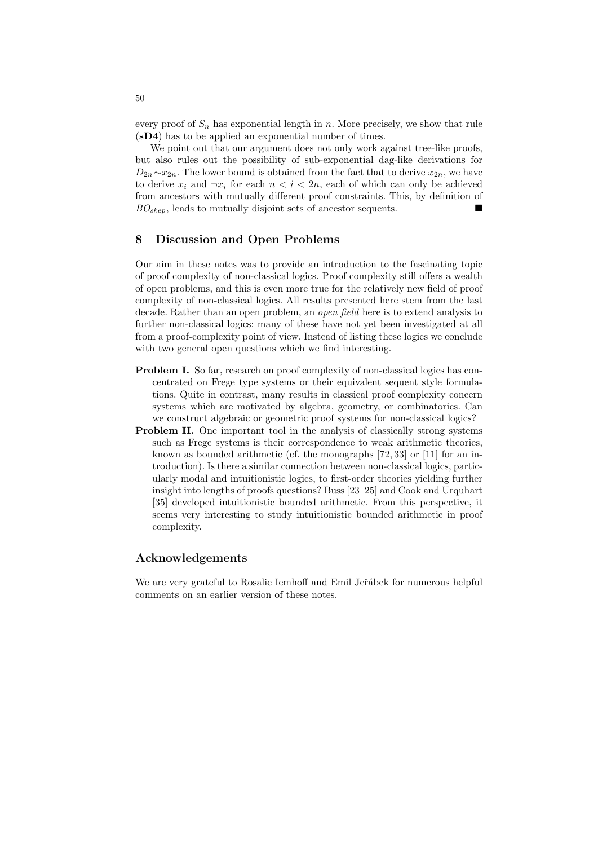every proof of  $S_n$  has exponential length in n. More precisely, we show that rule (sD4) has to be applied an exponential number of times.

We point out that our argument does not only work against tree-like proofs, but also rules out the possibility of sub-exponential dag-like derivations for  $D_{2n} \sim x_{2n}$ . The lower bound is obtained from the fact that to derive  $x_{2n}$ , we have to derive  $x_i$  and  $\neg x_i$  for each  $n < i < 2n$ , each of which can only be achieved from ancestors with mutually different proof constraints. This, by definition of  $BO_{sken}$ , leads to mutually disjoint sets of ancestor sequents.

## 8 Discussion and Open Problems

Our aim in these notes was to provide an introduction to the fascinating topic of proof complexity of non-classical logics. Proof complexity still offers a wealth of open problems, and this is even more true for the relatively new field of proof complexity of non-classical logics. All results presented here stem from the last decade. Rather than an open problem, an *open field* here is to extend analysis to further non-classical logics: many of these have not yet been investigated at all from a proof-complexity point of view. Instead of listing these logics we conclude with two general open questions which we find interesting.

- Problem I. So far, research on proof complexity of non-classical logics has concentrated on Frege type systems or their equivalent sequent style formulations. Quite in contrast, many results in classical proof complexity concern systems which are motivated by algebra, geometry, or combinatorics. Can we construct algebraic or geometric proof systems for non-classical logics?
- Problem II. One important tool in the analysis of classically strong systems such as Frege systems is their correspondence to weak arithmetic theories, known as bounded arithmetic (cf. the monographs [72, 33] or [11] for an introduction). Is there a similar connection between non-classical logics, particularly modal and intuitionistic logics, to first-order theories yielding further insight into lengths of proofs questions? Buss [23–25] and Cook and Urquhart [35] developed intuitionistic bounded arithmetic. From this perspective, it seems very interesting to study intuitionistic bounded arithmetic in proof complexity.

## Acknowledgements

We are very grateful to Rosalie Iemhoff and Emil Jeřábek for numerous helpful comments on an earlier version of these notes.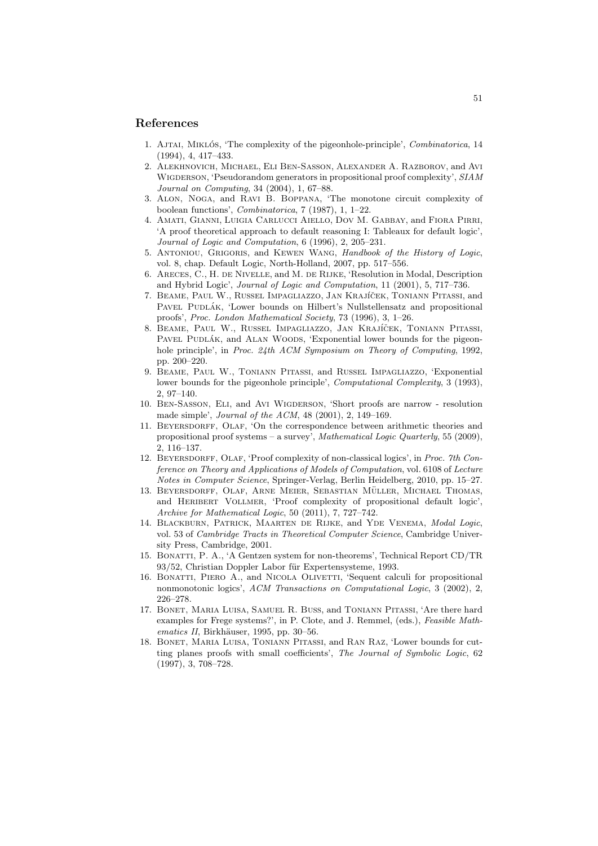#### References

- 1. AJTAI, MIKLÓS, 'The complexity of the pigeonhole-principle', Combinatorica, 14 (1994), 4, 417–433.
- 2. Alekhnovich, Michael, Eli Ben-Sasson, Alexander A. Razborov, and Avi WIGDERSON, 'Pseudorandom generators in propositional proof complexity', SIAM Journal on Computing, 34 (2004), 1, 67–88.
- 3. Alon, Noga, and Ravi B. Boppana, 'The monotone circuit complexity of boolean functions', Combinatorica, 7 (1987), 1, 1–22.
- 4. Amati, Gianni, Luigia Carlucci Aiello, Dov M. Gabbay, and Fiora Pirri, 'A proof theoretical approach to default reasoning I: Tableaux for default logic', Journal of Logic and Computation, 6 (1996), 2, 205–231.
- 5. Antoniou, Grigoris, and Kewen Wang, Handbook of the History of Logic, vol. 8, chap. Default Logic, North-Holland, 2007, pp. 517–556.
- 6. Areces, C., H. de Nivelle, and M. de Rijke, 'Resolution in Modal, Description and Hybrid Logic', Journal of Logic and Computation, 11 (2001), 5, 717–736.
- 7. BEAME, PAUL W., RUSSEL IMPAGLIAZZO, JAN KRAJÍČEK, TONIANN PITASSI, and PAVEL PUDLÁK, 'Lower bounds on Hilbert's Nullstellensatz and propositional proofs', Proc. London Mathematical Society, 73 (1996), 3, 1–26.
- 8. BEAME, PAUL W., RUSSEL IMPAGLIAZZO, JAN KRAJÍČEK, TONIANN PITASSI, PAVEL PUDLÁK, and ALAN WOODS, 'Exponential lower bounds for the pigeonhole principle', in Proc. 24th ACM Symposium on Theory of Computing, 1992, pp. 200–220.
- 9. Beame, Paul W., Toniann Pitassi, and Russel Impagliazzo, 'Exponential lower bounds for the pigeonhole principle', Computational Complexity, 3 (1993), 2, 97–140.
- 10. Ben-Sasson, Eli, and Avi Wigderson, 'Short proofs are narrow resolution made simple', Journal of the ACM, 48 (2001), 2, 149–169.
- 11. Beyersdorff, Olaf, 'On the correspondence between arithmetic theories and propositional proof systems – a survey', *Mathematical Logic Quarterly*, 55 (2009), 2, 116–137.
- 12. Beyersdorff, Olaf, 'Proof complexity of non-classical logics', in Proc. 7th Conference on Theory and Applications of Models of Computation, vol. 6108 of Lecture Notes in Computer Science, Springer-Verlag, Berlin Heidelberg, 2010, pp. 15–27.
- 13. BEYERSDORFF, OLAF, ARNE MEIER, SEBASTIAN MÜLLER, MICHAEL THOMAS, and Heribert Vollmer, 'Proof complexity of propositional default logic', Archive for Mathematical Logic, 50 (2011), 7, 727–742.
- 14. Blackburn, Patrick, Maarten de Rijke, and Yde Venema, Modal Logic, vol. 53 of Cambridge Tracts in Theoretical Computer Science, Cambridge University Press, Cambridge, 2001.
- 15. Bonatti, P. A., 'A Gentzen system for non-theorems', Technical Report CD/TR 93/52, Christian Doppler Labor für Expertensysteme, 1993.
- 16. Bonatti, Piero A., and Nicola Olivetti, 'Sequent calculi for propositional nonmonotonic logics', ACM Transactions on Computational Logic, 3 (2002), 2, 226–278.
- 17. Bonet, Maria Luisa, Samuel R. Buss, and Toniann Pitassi, 'Are there hard examples for Frege systems?', in P. Clote, and J. Remmel, (eds.), Feasible Math $ematics II$ , Birkhäuser, 1995, pp. 30–56.
- 18. Bonet, Maria Luisa, Toniann Pitassi, and Ran Raz, 'Lower bounds for cutting planes proofs with small coefficients', The Journal of Symbolic Logic, 62 (1997), 3, 708–728.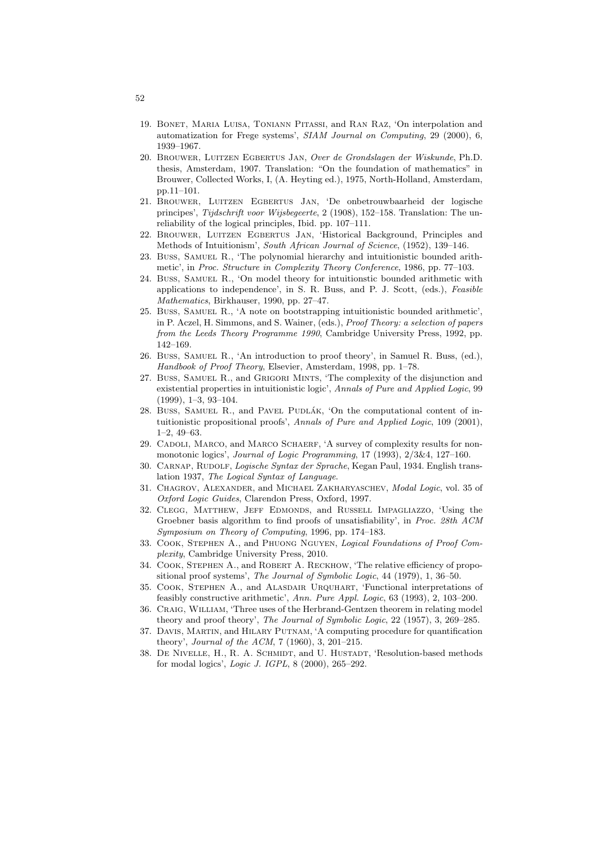- 19. Bonet, Maria Luisa, Toniann Pitassi, and Ran Raz, 'On interpolation and automatization for Frege systems', SIAM Journal on Computing, 29 (2000), 6, 1939–1967.
- 20. Brouwer, Luitzen Egbertus Jan, Over de Grondslagen der Wiskunde, Ph.D. thesis, Amsterdam, 1907. Translation: "On the foundation of mathematics" in Brouwer, Collected Works, I, (A. Heyting ed.), 1975, North-Holland, Amsterdam, pp.11–101.
- 21. Brouwer, Luitzen Egbertus Jan, 'De onbetrouwbaarheid der logische principes', Tijdschrift voor Wijsbegeerte, 2 (1908), 152–158. Translation: The unreliability of the logical principles, Ibid. pp. 107–111.
- 22. Brouwer, Luitzen Egbertus Jan, 'Historical Background, Principles and Methods of Intuitionism', South African Journal of Science, (1952), 139–146.
- 23. Buss, Samuel R., 'The polynomial hierarchy and intuitionistic bounded arithmetic', in Proc. Structure in Complexity Theory Conference, 1986, pp. 77–103.
- 24. Buss, Samuel R., 'On model theory for intuitionstic bounded arithmetic with applications to independence', in S. R. Buss, and P. J. Scott, (eds.), Feasible Mathematics, Birkhauser, 1990, pp. 27–47.
- 25. Buss, Samuel R., 'A note on bootstrapping intuitionistic bounded arithmetic', in P. Aczel, H. Simmons, and S. Wainer, (eds.), Proof Theory: a selection of papers from the Leeds Theory Programme 1990, Cambridge University Press, 1992, pp. 142–169.
- 26. Buss, Samuel R., 'An introduction to proof theory', in Samuel R. Buss, (ed.), Handbook of Proof Theory, Elsevier, Amsterdam, 1998, pp. 1–78.
- 27. Buss, Samuel R., and Grigori Mints, 'The complexity of the disjunction and existential properties in intuitionistic logic', Annals of Pure and Applied Logic, 99 (1999), 1–3, 93–104.
- 28. Buss, SAMUEL R., and PAVEL PUDLÁK, 'On the computational content of intuitionistic propositional proofs', Annals of Pure and Applied Logic, 109 (2001), 1–2, 49–63.
- 29. CADOLI, MARCO, and MARCO SCHAERF, 'A survey of complexity results for nonmonotonic logics', Journal of Logic Programming, 17 (1993), 2/3&4, 127–160.
- 30. CARNAP, RUDOLF, Logische Syntax der Sprache, Kegan Paul, 1934. English translation 1937, The Logical Syntax of Language.
- 31. Chagrov, Alexander, and Michael Zakharyaschev, Modal Logic, vol. 35 of Oxford Logic Guides, Clarendon Press, Oxford, 1997.
- 32. Clegg, Matthew, Jeff Edmonds, and Russell Impagliazzo, 'Using the Groebner basis algorithm to find proofs of unsatisfiability', in Proc. 28th ACM Symposium on Theory of Computing, 1996, pp. 174–183.
- 33. Cook, Stephen A., and Phuong Nguyen, Logical Foundations of Proof Complexity, Cambridge University Press, 2010.
- 34. Cook, Stephen A., and Robert A. Reckhow, 'The relative efficiency of propositional proof systems', The Journal of Symbolic Logic, 44 (1979), 1, 36–50.
- 35. Cook, Stephen A., and Alasdair Urquhart, 'Functional interpretations of feasibly constructive arithmetic', Ann. Pure Appl. Logic, 63 (1993), 2, 103–200.
- 36. Craig, William, 'Three uses of the Herbrand-Gentzen theorem in relating model theory and proof theory', The Journal of Symbolic Logic, 22 (1957), 3, 269–285.
- 37. Davis, Martin, and Hilary Putnam, 'A computing procedure for quantification theory', Journal of the ACM, 7 (1960), 3, 201–215.
- 38. DE NIVELLE, H., R. A. SCHMIDT, and U. HUSTADT, 'Resolution-based methods for modal logics', Logic J. IGPL, 8 (2000), 265–292.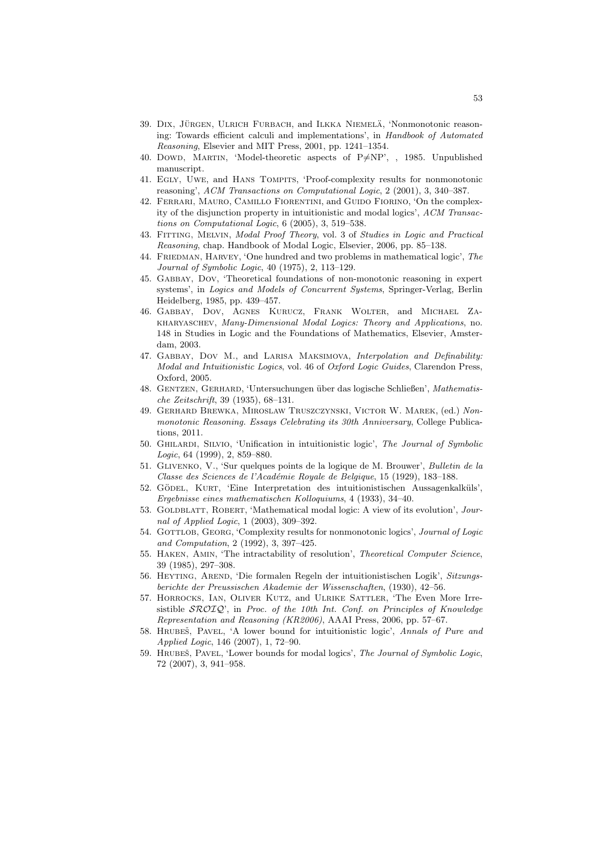- 39. DIX, JÜRGEN, ULRICH FURBACH, and ILKKA NIEMELÄ, 'Nonmonotonic reasoning: Towards efficient calculi and implementations', in Handbook of Automated Reasoning, Elsevier and MIT Press, 2001, pp. 1241–1354.
- 40. Dowd, MARTIN, 'Model-theoretic aspects of  $P\neq NP'$ , , 1985. Unpublished manuscript.
- 41. Egly, Uwe, and Hans Tompits, 'Proof-complexity results for nonmonotonic reasoning', ACM Transactions on Computational Logic, 2 (2001), 3, 340–387.
- 42. Ferrari, Mauro, Camillo Fiorentini, and Guido Fiorino, 'On the complexity of the disjunction property in intuitionistic and modal logics', ACM Transactions on Computational Logic, 6 (2005), 3, 519–538.
- 43. Fitting, Melvin, Modal Proof Theory, vol. 3 of Studies in Logic and Practical Reasoning, chap. Handbook of Modal Logic, Elsevier, 2006, pp. 85–138.
- 44. Friedman, Harvey, 'One hundred and two problems in mathematical logic', The Journal of Symbolic Logic, 40 (1975), 2, 113–129.
- 45. Gabbay, Dov, 'Theoretical foundations of non-monotonic reasoning in expert systems', in Logics and Models of Concurrent Systems, Springer-Verlag, Berlin Heidelberg, 1985, pp. 439–457.
- 46. Gabbay, Dov, Agnes Kurucz, Frank Wolter, and Michael Zakharyaschev, Many-Dimensional Modal Logics: Theory and Applications, no. 148 in Studies in Logic and the Foundations of Mathematics, Elsevier, Amsterdam, 2003.
- 47. Gabbay, Dov M., and Larisa Maksimova, Interpolation and Definability: Modal and Intuitionistic Logics, vol. 46 of Oxford Logic Guides, Clarendon Press, Oxford, 2005.
- 48. GENTZEN, GERHARD, 'Untersuchungen über das logische Schließen', Mathematische Zeitschrift, 39 (1935), 68–131.
- 49. Gerhard Brewka, Miroslaw Truszczynski, Victor W. Marek, (ed.) Nonmonotonic Reasoning. Essays Celebrating its 30th Anniversary, College Publications, 2011.
- 50. Ghilardi, Silvio, 'Unification in intuitionistic logic', The Journal of Symbolic Logic, 64 (1999), 2, 859–880.
- 51. Glivenko, V., 'Sur quelques points de la logique de M. Brouwer', Bulletin de la Classe des Sciences de l'Académie Royale de Belgique, 15 (1929), 183-188.
- 52. GÖDEL, KURT, 'Eine Interpretation des intuitionistischen Aussagenkalküls', Ergebnisse eines mathematischen Kolloquiums, 4 (1933), 34–40.
- 53. GOLDBLATT, ROBERT, 'Mathematical modal logic: A view of its evolution', Journal of Applied Logic, 1 (2003), 309–392.
- 54. GOTTLOB, GEORG, 'Complexity results for nonmonotonic logics', Journal of Logic and Computation, 2 (1992), 3, 397–425.
- 55. Haken, Amin, 'The intractability of resolution', Theoretical Computer Science, 39 (1985), 297–308.
- 56. Heyting, Arend, 'Die formalen Regeln der intuitionistischen Logik', Sitzungsberichte der Preussischen Akademie der Wissenschaften, (1930), 42–56.
- 57. Horrocks, Ian, Oliver Kutz, and Ulrike Sattler, 'The Even More Irresistible  $\mathcal{SROIQ}$ ', in Proc. of the 10th Int. Conf. on Principles of Knowledge Representation and Reasoning (KR2006), AAAI Press, 2006, pp. 57–67.
- 58. HRUBEŠ, PAVEL, 'A lower bound for intuitionistic logic', Annals of Pure and Applied Logic, 146 (2007), 1, 72–90.
- 59. HRUBEŠ, PAVEL, 'Lower bounds for modal logics', The Journal of Symbolic Logic, 72 (2007), 3, 941–958.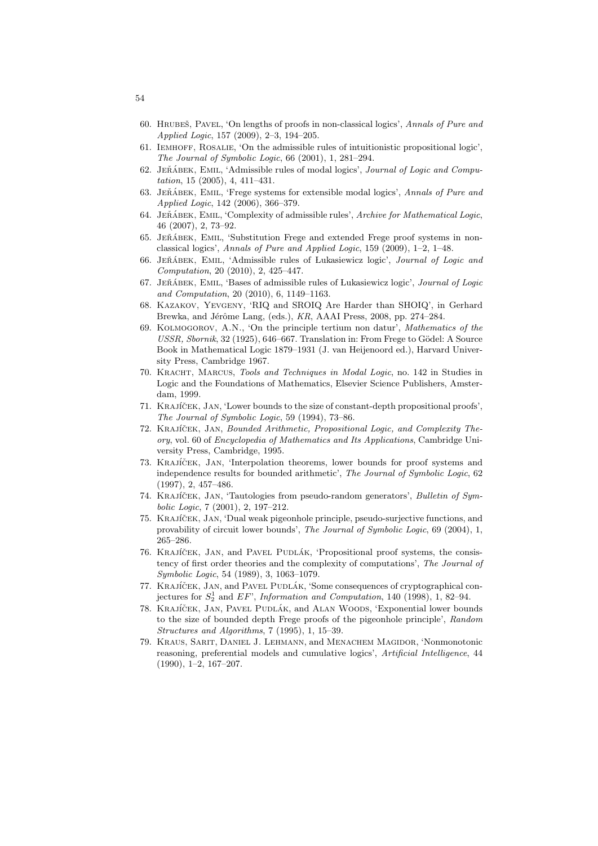- 60. HRUBEŠ, PAVEL, 'On lengths of proofs in non-classical logics', Annals of Pure and Applied Logic, 157 (2009), 2–3, 194–205.
- 61. Iemhoff, Rosalie, 'On the admissible rules of intuitionistic propositional logic', The Journal of Symbolic Logic, 66 (2001), 1, 281–294.
- 62. JEŘÁBEK, EMIL, 'Admissible rules of modal logics', Journal of Logic and Computation, 15 (2005), 4, 411–431.
- 63. JEŘÁBEK, EMIL, 'Frege systems for extensible modal logics', Annals of Pure and Applied Logic, 142 (2006), 366–379.
- 64. JEŘÁBEK, EMIL, 'Complexity of admissible rules', Archive for Mathematical Logic, 46 (2007), 2, 73–92.
- 65. JEŘÁBEK, EMIL, 'Substitution Frege and extended Frege proof systems in nonclassical logics', Annals of Pure and Applied Logic, 159 (2009), 1–2, 1–48.
- 66. JEŘÁBEK, EMIL, 'Admissible rules of Lukasiewicz logic', Journal of Logic and Computation, 20 (2010), 2, 425–447.
- 67. JEŘÁBEK, EMIL, 'Bases of admissible rules of Lukasiewicz logic', Journal of Logic and Computation, 20 (2010), 6, 1149–1163.
- 68. Kazakov, Yevgeny, 'RIQ and SROIQ Are Harder than SHOIQ', in Gerhard Brewka, and Jérôme Lang, (eds.),  $KR$ , AAAI Press, 2008, pp. 274–284.
- 69. Kolmogorov, A.N., 'On the principle tertium non datur', Mathematics of the  $USSR$ , Sbornik, 32 (1925), 646–667. Translation in: From Frege to Gödel: A Source Book in Mathematical Logic 1879–1931 (J. van Heijenoord ed.), Harvard University Press, Cambridge 1967.
- 70. Kracht, Marcus, Tools and Techniques in Modal Logic, no. 142 in Studies in Logic and the Foundations of Mathematics, Elsevier Science Publishers, Amsterdam, 1999.
- 71. KRAJÍČEK, JAN, 'Lower bounds to the size of constant-depth propositional proofs'. The Journal of Symbolic Logic, 59 (1994), 73–86.
- 72. KRAJÍČEK, JAN, Bounded Arithmetic, Propositional Logic, and Complexity Theory, vol. 60 of Encyclopedia of Mathematics and Its Applications, Cambridge University Press, Cambridge, 1995.
- 73. KRAJÍČEK, JAN, 'Interpolation theorems, lower bounds for proof systems and independence results for bounded arithmetic', The Journal of Symbolic Logic, 62 (1997), 2, 457–486.
- 74. KRAJÍČEK, JAN, 'Tautologies from pseudo-random generators', Bulletin of Symbolic Logic, 7 (2001), 2, 197–212.
- 75. KRAJÍČEK, JAN, 'Dual weak pigeonhole principle, pseudo-surjective functions, and provability of circuit lower bounds', The Journal of Symbolic Logic, 69 (2004), 1, 265–286.
- 76. KRAJÍČEK, JAN, and PAVEL PUDLÁK, 'Propositional proof systems, the consistency of first order theories and the complexity of computations', The Journal of Symbolic Logic, 54 (1989), 3, 1063–1079.
- 77. KRAJÍČEK, JAN, and PAVEL PUDLÁK, 'Some consequences of cryptographical conjectures for  $S_2^1$  and  $EF'$ , Information and Computation, 140 (1998), 1, 82-94.
- 78. KRAJÍČEK, JAN, PAVEL PUDLÁK, and ALAN WOODS, 'Exponential lower bounds to the size of bounded depth Frege proofs of the pigeonhole principle', Random Structures and Algorithms, 7 (1995), 1, 15–39.
- 79. Kraus, Sarit, Daniel J. Lehmann, and Menachem Magidor, 'Nonmonotonic reasoning, preferential models and cumulative logics', Artificial Intelligence, 44 (1990), 1–2, 167–207.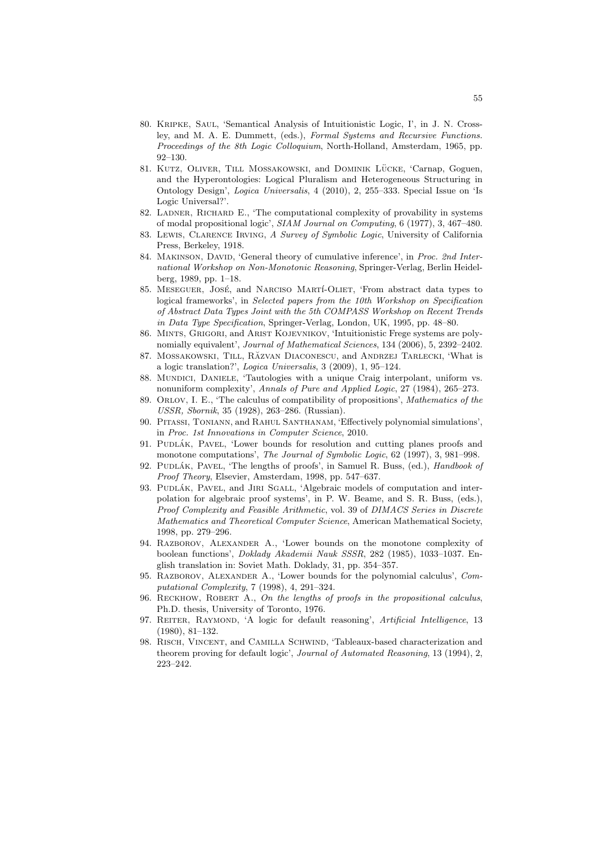- 80. Kripke, Saul, 'Semantical Analysis of Intuitionistic Logic, I', in J. N. Crossley, and M. A. E. Dummett, (eds.), Formal Systems and Recursive Functions. Proceedings of the 8th Logic Colloquium, North-Holland, Amsterdam, 1965, pp. 92–130.
- 81. KUTZ, OLIVER, TILL MOSSAKOWSKI, and DOMINIK LÜCKE, 'Carnap, Goguen, and the Hyperontologies: Logical Pluralism and Heterogeneous Structuring in Ontology Design', Logica Universalis, 4 (2010), 2, 255–333. Special Issue on 'Is Logic Universal?'.
- 82. LADNER, RICHARD E., 'The computational complexity of provability in systems of modal propositional logic', SIAM Journal on Computing, 6 (1977), 3, 467–480.
- 83. Lewis, Clarence Irving, A Survey of Symbolic Logic, University of California Press, Berkeley, 1918.
- 84. MAKINSON, DAVID, 'General theory of cumulative inference', in Proc. 2nd International Workshop on Non-Monotonic Reasoning, Springer-Verlag, Berlin Heidelberg, 1989, pp. 1–18.
- 85. MESEGUER, JOSÉ, and NARCISO MARTÍ-OLIET, 'From abstract data types to logical frameworks', in Selected papers from the 10th Workshop on Specification of Abstract Data Types Joint with the 5th COMPASS Workshop on Recent Trends in Data Type Specification, Springer-Verlag, London, UK, 1995, pp. 48–80.
- 86. Mints, Grigori, and Arist Kojevnikov, 'Intuitionistic Frege systems are polynomially equivalent', Journal of Mathematical Sciences, 134 (2006), 5, 2392–2402.
- 87. MOSSAKOWSKI, TILL, RĂZVAN DIACONESCU, and ANDRZEJ TARLECKI, 'What is a logic translation?', Logica Universalis, 3 (2009), 1, 95–124.
- 88. Mundici, Daniele, 'Tautologies with a unique Craig interpolant, uniform vs. nonuniform complexity', Annals of Pure and Applied Logic, 27 (1984), 265–273.
- 89. Orlov, I. E., 'The calculus of compatibility of propositions', Mathematics of the USSR, Sbornik, 35 (1928), 263–286. (Russian).
- 90. Pitassi, Toniann, and Rahul Santhanam, 'Effectively polynomial simulations', in Proc. 1st Innovations in Computer Science, 2010.
- 91. PUDLÁK, PAVEL, 'Lower bounds for resolution and cutting planes proofs and monotone computations', The Journal of Symbolic Logic, 62 (1997), 3, 981–998.
- 92. PUDLÁK, PAVEL, 'The lengths of proofs', in Samuel R. Buss, (ed.), *Handbook of* Proof Theory, Elsevier, Amsterdam, 1998, pp. 547–637.
- 93. PUDLÁK, PAVEL, and JIRI SGALL, 'Algebraic models of computation and interpolation for algebraic proof systems', in P. W. Beame, and S. R. Buss, (eds.), Proof Complexity and Feasible Arithmetic, vol. 39 of DIMACS Series in Discrete Mathematics and Theoretical Computer Science, American Mathematical Society, 1998, pp. 279–296.
- 94. RAZBOROV, ALEXANDER A., 'Lower bounds on the monotone complexity of boolean functions', Doklady Akademii Nauk SSSR, 282 (1985), 1033–1037. English translation in: Soviet Math. Doklady, 31, pp. 354–357.
- 95. RAZBOROV, ALEXANDER A., 'Lower bounds for the polynomial calculus', Computational Complexity, 7 (1998), 4, 291–324.
- 96. RECKHOW, ROBERT A., On the lengths of proofs in the propositional calculus, Ph.D. thesis, University of Toronto, 1976.
- 97. REITER, RAYMOND, 'A logic for default reasoning', Artificial Intelligence, 13 (1980), 81–132.
- 98. RISCH, VINCENT, and CAMILLA SCHWIND, 'Tableaux-based characterization and theorem proving for default logic', Journal of Automated Reasoning, 13 (1994), 2, 223–242.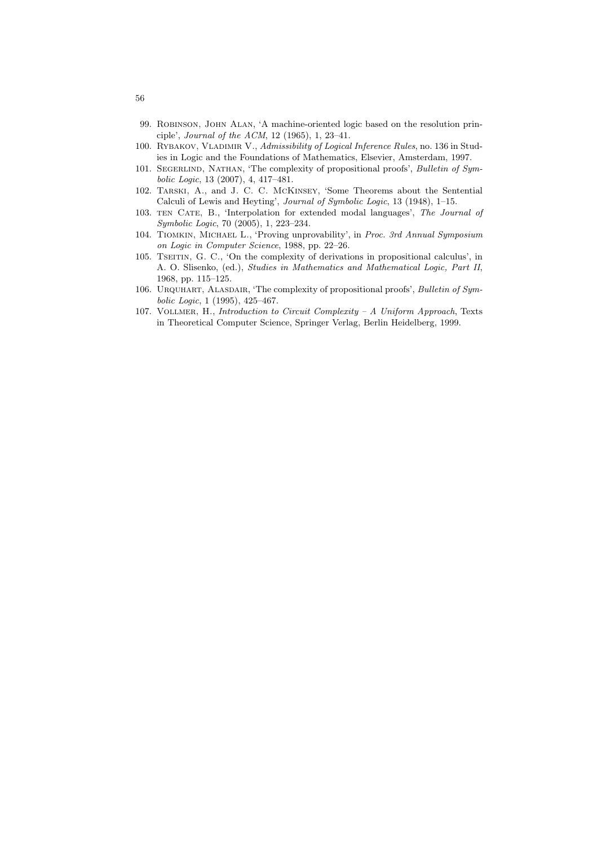- 99. ROBINSON, JOHN ALAN, 'A machine-oriented logic based on the resolution principle', Journal of the ACM, 12 (1965), 1, 23–41.
- 100. RYBAKOV, VLADIMIR V., Admissibility of Logical Inference Rules, no. 136 in Studies in Logic and the Foundations of Mathematics, Elsevier, Amsterdam, 1997.
- 101. SEGERLIND, NATHAN, 'The complexity of propositional proofs', Bulletin of Symbolic Logic, 13 (2007), 4, 417–481.
- 102. Tarski, A., and J. C. C. McKinsey, 'Some Theorems about the Sentential Calculi of Lewis and Heyting', Journal of Symbolic Logic, 13 (1948), 1–15.
- 103. TEN CATE, B., 'Interpolation for extended modal languages', The Journal of Symbolic Logic, 70 (2005), 1, 223–234.
- 104. TIOMKIN, MICHAEL L., 'Proving unprovability', in Proc. 3rd Annual Symposium on Logic in Computer Science, 1988, pp. 22–26.
- 105. Tseitin, G. C., 'On the complexity of derivations in propositional calculus', in A. O. Slisenko, (ed.), Studies in Mathematics and Mathematical Logic, Part II, 1968, pp. 115–125.
- 106. URQUHART, ALASDAIR, 'The complexity of propositional proofs', Bulletin of Symbolic Logic, 1 (1995), 425–467.
- 107. VOLLMER, H., Introduction to Circuit Complexity A Uniform Approach, Texts in Theoretical Computer Science, Springer Verlag, Berlin Heidelberg, 1999.